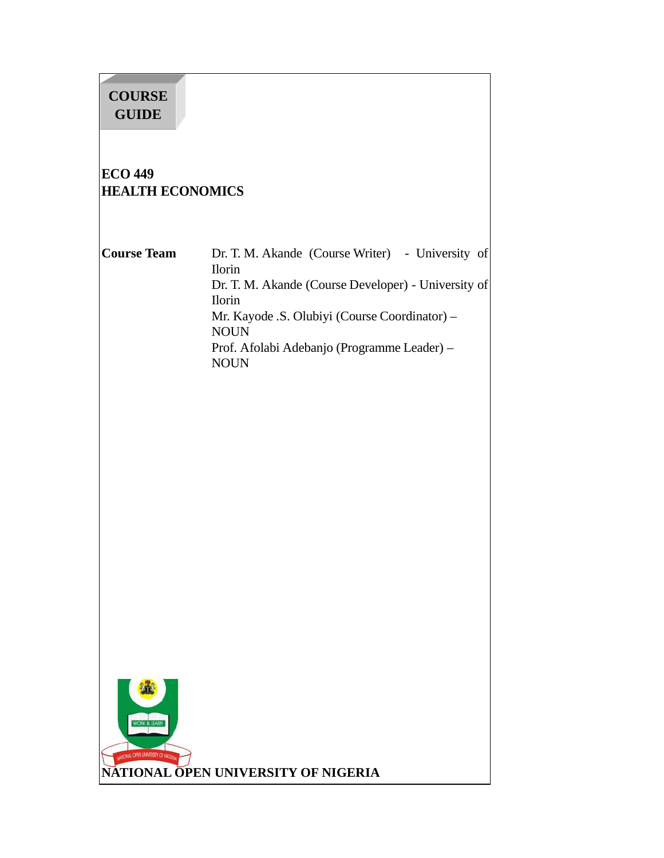# **COURSE GUIDE**

## **ECO 449 HEALTH ECONOMICS**

**Course Team** Dr. T. M. Akande (Course Writer) - University of Ilorin Dr. T. M. Akande (Course Developer) - University of Ilorin Mr. Kayode .S. Olubiyi (Course Coordinator) – NOUN Prof. Afolabi Adebanjo (Programme Leader) – NOUN

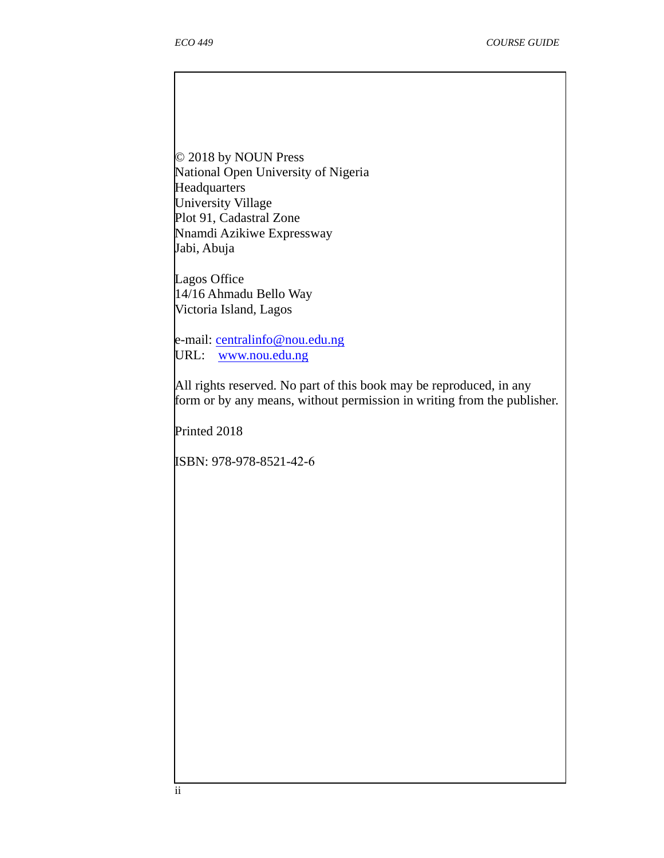© 2018 by NOUN Press National Open University of Nigeria **Headquarters** University Village Plot 91, Cadastral Zone Nnamdi Azikiwe Expressway Jabi, Abuja

Lagos Office 14/16 Ahmadu Bello Way Victoria Island, Lagos

e-mail: centralinfo@nou.edu.ng URL: www.nou.edu.ng

All rights reserved. No part of this book may be reproduced, in any form or by any means, without permission in writing from the publisher.

Printed 2018

ISBN: 978-978-8521-42-6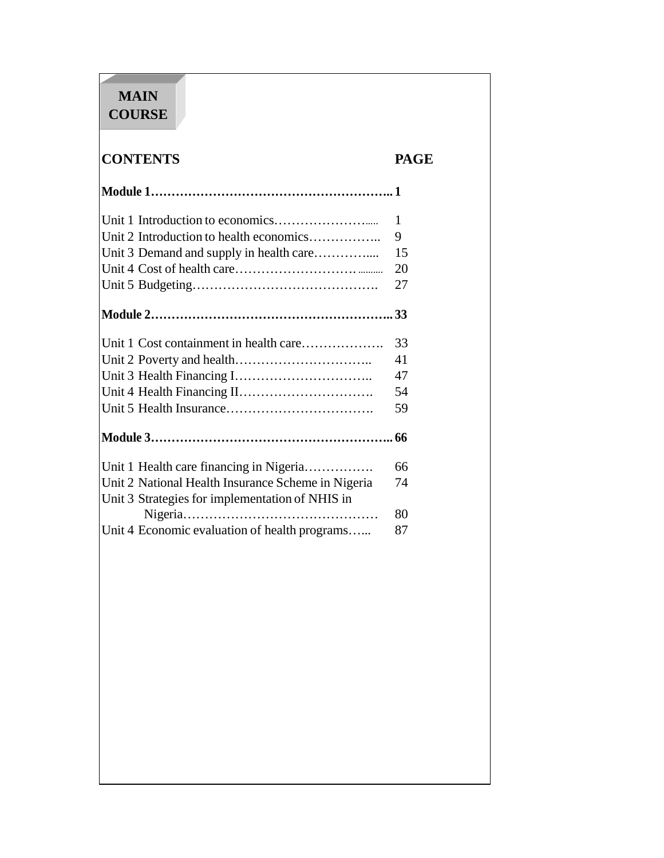# **MAIN COURSE**

# **CONTENTS PAGE**

|                                                    | $\mathbf{1}$ |
|----------------------------------------------------|--------------|
| Unit 2 Introduction to health economics            | 9            |
| Unit 3 Demand and supply in health care            | 15           |
|                                                    | 20           |
|                                                    | 27           |
|                                                    |              |
| Unit 1 Cost containment in health care             | 33           |
|                                                    | 41           |
|                                                    | 47           |
|                                                    | 54           |
|                                                    | 59           |
|                                                    |              |
| Unit 1 Health care financing in Nigeria            | 66           |
| Unit 2 National Health Insurance Scheme in Nigeria | 74           |
| Unit 3 Strategies for implementation of NHIS in    |              |
|                                                    | 80           |
| Unit 4 Economic evaluation of health programs      | 87           |
|                                                    |              |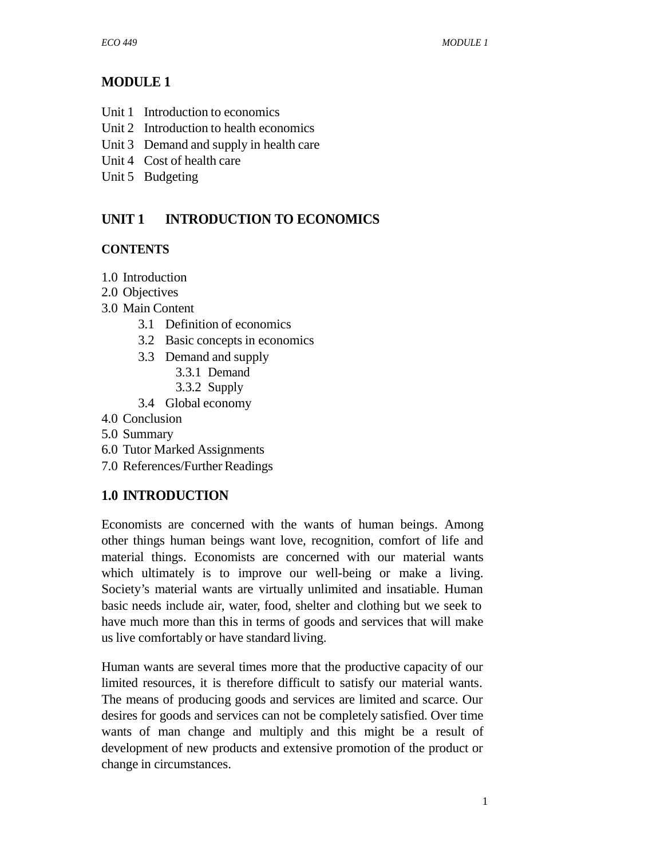## **MODULE 1**

- Unit 1 Introduction to economics
- Unit 2 Introduction to health economics
- Unit 3 Demand and supply in health care
- Unit 4 Cost of health care
- Unit 5 Budgeting

## **UNIT 1 INTRODUCTION TO ECONOMICS**

## **CONTENTS**

- 1.0 Introduction
- 2.0 Objectives
- 3.0 Main Content
	- 3.1 Definition of economics
	- 3.2 Basic concepts in economics
	- 3.3 Demand and supply
		- 3.3.1 Demand
		- 3.3.2 Supply
	- 3.4 Global economy
- 4.0 Conclusion
- 5.0 Summary
- 6.0 Tutor Marked Assignments
- 7.0 References/Further Readings

## **1.0 INTRODUCTION**

Economists are concerned with the wants of human beings. Among other things human beings want love, recognition, comfort of life and material things. Economists are concerned with our material wants which ultimately is to improve our well-being or make a living. Society's material wants are virtually unlimited and insatiable. Human basic needs include air, water, food, shelter and clothing but we seek to have much more than this in terms of goods and services that will make us live comfortably or have standard living.

Human wants are several times more that the productive capacity of our limited resources, it is therefore difficult to satisfy our material wants. The means of producing goods and services are limited and scarce. Our desires for goods and services can not be completely satisfied. Over time wants of man change and multiply and this might be a result of development of new products and extensive promotion of the product or change in circumstances.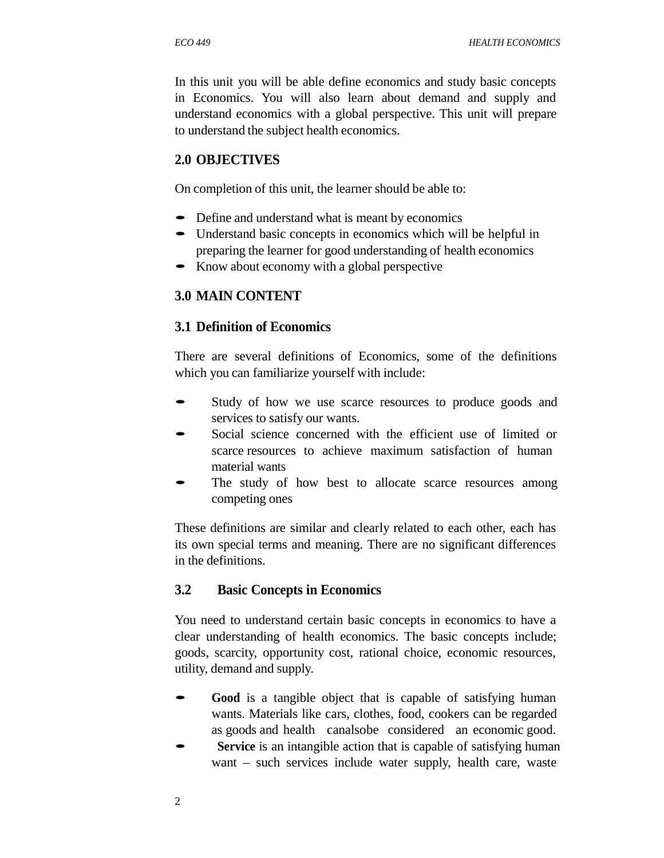In this unit you will be able define economics and study basic concepts in Economics. You will also learn about demand and supply and understand economics with a global perspective. This unit will prepare to understand the subject health economics.

#### **2.0 OBJECTIVES**

On completion of this unit, the learner should be able to:

- Define and understand what is meant by economics
- Understand basic concepts in economics which will be helpful in preparing the learner for good understanding of health economics
- Know about economy with a global perspective

### **3.0 MAIN CONTENT**

#### **3.1 Definition of Economics**

There are several definitions of Economics, some of the definitions which you can familiarize yourself with include:

- Study of how we use scarce resources to produce goods and services to satisfy our wants.
- Social science concerned with the efficient use of limited or scarce resources to achieve maximum satisfaction of human material wants
- The study of how best to allocate scarce resources among competing ones

These definitions are similar and clearly related to each other, each has its own special terms and meaning. There are no significant differences in the definitions.

#### **3.2 Basic Concepts in Economics**

You need to understand certain basic concepts in economics to have a clear understanding of health economics. The basic concepts include; goods, scarcity, opportunity cost, rational choice, economic resources, utility, demand and supply.

- **Good** is a tangible object that is capable of satisfying human wants. Materials like cars, clothes, food, cookers can be regarded as goods and health canalsobe considered an economic good.
- **Service** is an intangible action that is capable of satisfying human want – such services include water supply, health care, waste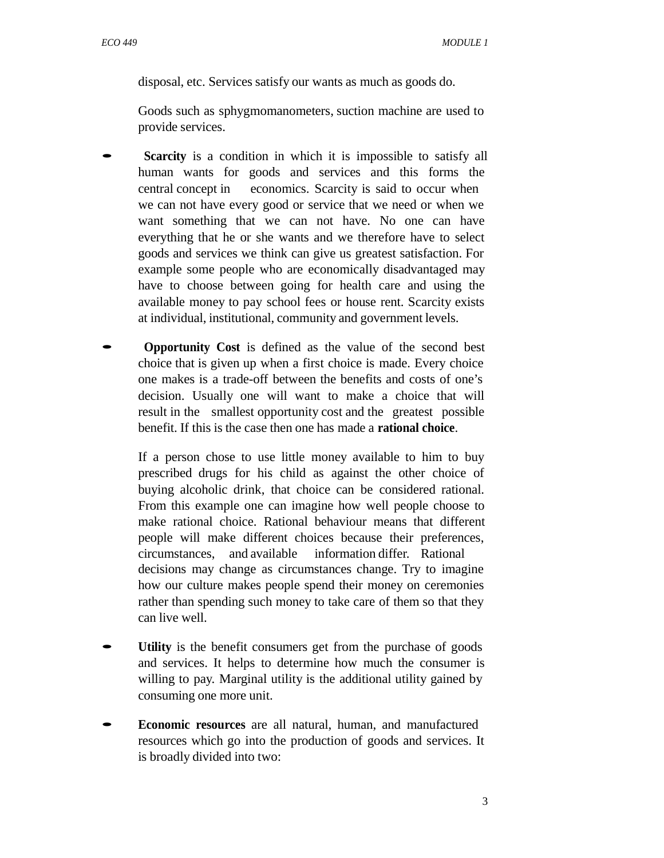disposal, etc. Services satisfy our wants as much as goods do.

Goods such as sphygmomanometers, suction machine are used to provide services.

- **Scarcity** is a condition in which it is impossible to satisfy all human wants for goods and services and this forms the central concept in economics. Scarcity is said to occur when we can not have every good or service that we need or when we want something that we can not have. No one can have everything that he or she wants and we therefore have to select goods and services we think can give us greatest satisfaction. For example some people who are economically disadvantaged may have to choose between going for health care and using the available money to pay school fees or house rent. Scarcity exists at individual, institutional, community and government levels.
- **Opportunity Cost** is defined as the value of the second best choice that is given up when a first choice is made. Every choice one makes is a trade-off between the benefits and costs of one's decision. Usually one will want to make a choice that will result in the smallest opportunity cost and the greatest possible benefit. If this is the case then one has made a **rational choice**.

If a person chose to use little money available to him to buy prescribed drugs for his child as against the other choice of buying alcoholic drink, that choice can be considered rational. From this example one can imagine how well people choose to make rational choice. Rational behaviour means that different people will make different choices because their preferences, circumstances, and available information differ. Rational decisions may change as circumstances change. Try to imagine how our culture makes people spend their money on ceremonies rather than spending such money to take care of them so that they can live well.

- Utility is the benefit consumers get from the purchase of goods and services. It helps to determine how much the consumer is willing to pay. Marginal utility is the additional utility gained by consuming one more unit.
- **Economic resources** are all natural, human, and manufactured resources which go into the production of goods and services. It is broadly divided into two: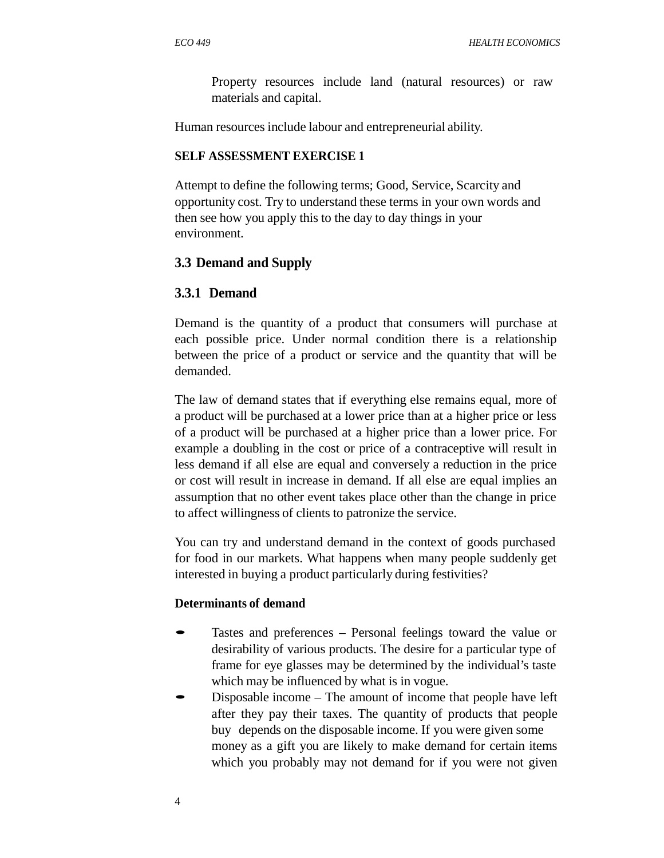Property resources include land (natural resources) or raw materials and capital.

Human resources include labour and entrepreneurial ability.

#### **SELF ASSESSMENT EXERCISE 1**

Attempt to define the following terms; Good, Service, Scarcity and opportunity cost. Try to understand these terms in your own words and then see how you apply this to the day to day things in your environment.

### **3.3 Demand and Supply**

### **3.3.1 Demand**

Demand is the quantity of a product that consumers will purchase at each possible price. Under normal condition there is a relationship between the price of a product or service and the quantity that will be demanded.

The law of demand states that if everything else remains equal, more of a product will be purchased at a lower price than at a higher price or less of a product will be purchased at a higher price than a lower price. For example a doubling in the cost or price of a contraceptive will result in less demand if all else are equal and conversely a reduction in the price or cost will result in increase in demand. If all else are equal implies an assumption that no other event takes place other than the change in price to affect willingness of clients to patronize the service.

You can try and understand demand in the context of goods purchased for food in our markets. What happens when many people suddenly get interested in buying a product particularly during festivities?

#### **Determinants of demand**

- Tastes and preferences Personal feelings toward the value or desirability of various products. The desire for a particular type of frame for eye glasses may be determined by the individual's taste which may be influenced by what is in vogue.
- Disposable income The amount of income that people have left after they pay their taxes. The quantity of products that people buy depends on the disposable income. If you were given some money as a gift you are likely to make demand for certain items which you probably may not demand for if you were not given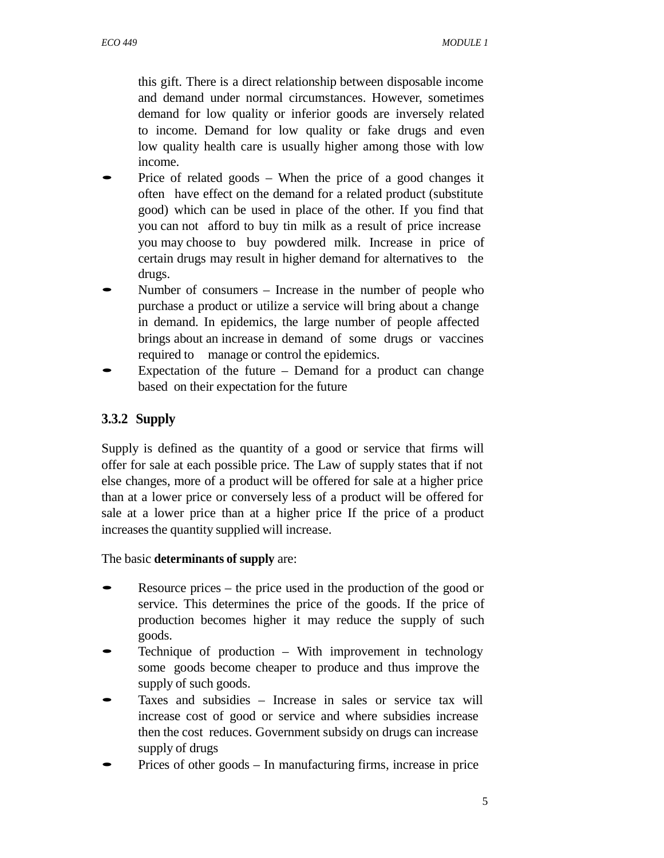this gift. There is a direct relationship between disposable income and demand under normal circumstances. However, sometimes demand for low quality or inferior goods are inversely related to income. Demand for low quality or fake drugs and even low quality health care is usually higher among those with low income.

- Price of related goods When the price of a good changes it often have effect on the demand for a related product (substitute good) which can be used in place of the other. If you find that you can not afford to buy tin milk as a result of price increase you may choose to buy powdered milk. Increase in price of certain drugs may result in higher demand for alternatives to the drugs.
- Number of consumers Increase in the number of people who purchase a product or utilize a service will bring about a change in demand. In epidemics, the large number of people affected brings about an increase in demand of some drugs or vaccines required to manage or control the epidemics.
- Expectation of the future  $-$  Demand for a product can change based on their expectation for the future

## **3.3.2 Supply**

Supply is defined as the quantity of a good or service that firms will offer for sale at each possible price. The Law of supply states that if not else changes, more of a product will be offered for sale at a higher price than at a lower price or conversely less of a product will be offered for sale at a lower price than at a higher price If the price of a product increases the quantity supplied will increase.

The basic **determinants of supply** are:

- Resource prices the price used in the production of the good or service. This determines the price of the goods. If the price of production becomes higher it may reduce the supply of such goods.
- Technique of production With improvement in technology some goods become cheaper to produce and thus improve the supply of such goods.
- Taxes and subsidies Increase in sales or service tax will increase cost of good or service and where subsidies increase then the cost reduces. Government subsidy on drugs can increase supply of drugs
- Prices of other goods In manufacturing firms, increase in price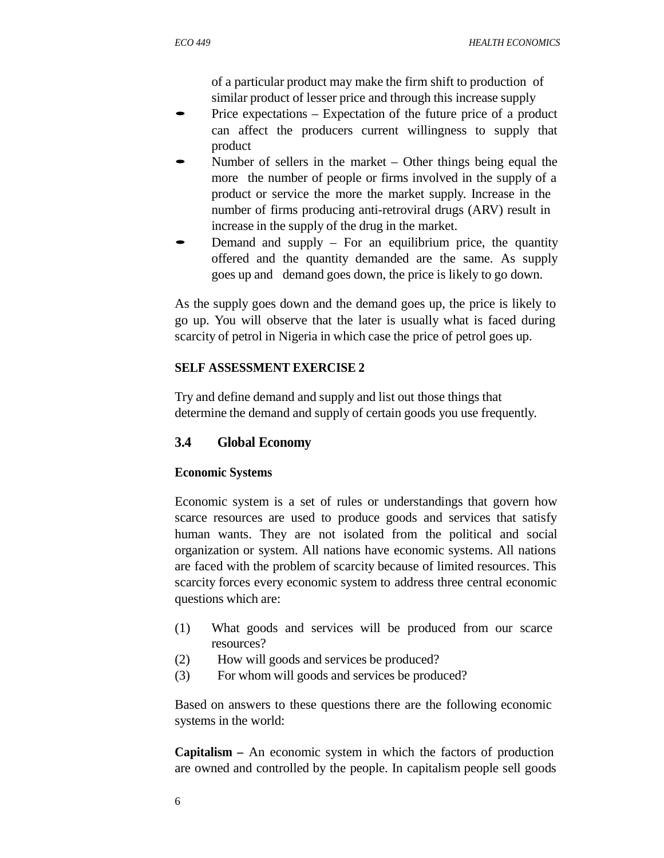of a particular product may make the firm shift to production of similar product of lesser price and through this increase supply

- Price expectations Expectation of the future price of <sup>a</sup> product can affect the producers current willingness to supply that product
- Number of sellers in the market Other things being equal the more the number of people or firms involved in the supply of a product or service the more the market supply. Increase in the number of firms producing anti-retroviral drugs (ARV) result in increase in the supply of the drug in the market.
- Demand and supply  $-$  For an equilibrium price, the quantity offered and the quantity demanded are the same. As supply goes up and demand goes down, the price is likely to go down.

As the supply goes down and the demand goes up, the price is likely to go up. You will observe that the later is usually what is faced during scarcity of petrol in Nigeria in which case the price of petrol goes up.

#### **SELF ASSESSMENT EXERCISE 2**

Try and define demand and supply and list out those things that determine the demand and supply of certain goods you use frequently.

#### **3.4 Global Economy**

#### **Economic Systems**

Economic system is a set of rules or understandings that govern how scarce resources are used to produce goods and services that satisfy human wants. They are not isolated from the political and social organization or system. All nations have economic systems. All nations are faced with the problem of scarcity because of limited resources. This scarcity forces every economic system to address three central economic questions which are:

- (1) What goods and services will be produced from our scarce resources?
- (2) How will goods and services be produced?
- (3) For whom will goods and services be produced?

Based on answers to these questions there are the following economic systems in the world:

**Capitalism –** An economic system in which the factors of production are owned and controlled by the people. In capitalism people sell goods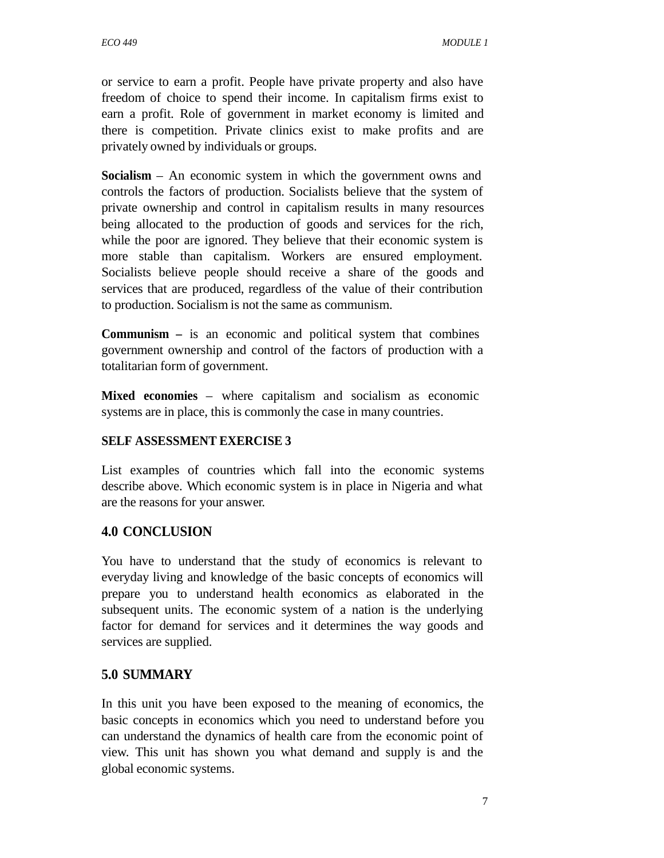or service to earn a profit. People have private property and also have freedom of choice to spend their income. In capitalism firms exist to earn a profit. Role of government in market economy is limited and there is competition. Private clinics exist to make profits and are privately owned by individuals or groups.

**Socialism** – An economic system in which the government owns and controls the factors of production. Socialists believe that the system of private ownership and control in capitalism results in many resources being allocated to the production of goods and services for the rich, while the poor are ignored. They believe that their economic system is more stable than capitalism. Workers are ensured employment. Socialists believe people should receive a share of the goods and services that are produced, regardless of the value of their contribution to production. Socialism is not the same as communism.

**Communism –** is an economic and political system that combines government ownership and control of the factors of production with a totalitarian form of government.

**Mixed economies** – where capitalism and socialism as economic systems are in place, this is commonly the case in many countries.

#### **SELF ASSESSMENT EXERCISE 3**

List examples of countries which fall into the economic systems describe above. Which economic system is in place in Nigeria and what are the reasons for your answer.

#### **4.0 CONCLUSION**

You have to understand that the study of economics is relevant to everyday living and knowledge of the basic concepts of economics will prepare you to understand health economics as elaborated in the subsequent units. The economic system of a nation is the underlying factor for demand for services and it determines the way goods and services are supplied.

#### **5.0 SUMMARY**

In this unit you have been exposed to the meaning of economics, the basic concepts in economics which you need to understand before you can understand the dynamics of health care from the economic point of view. This unit has shown you what demand and supply is and the global economic systems.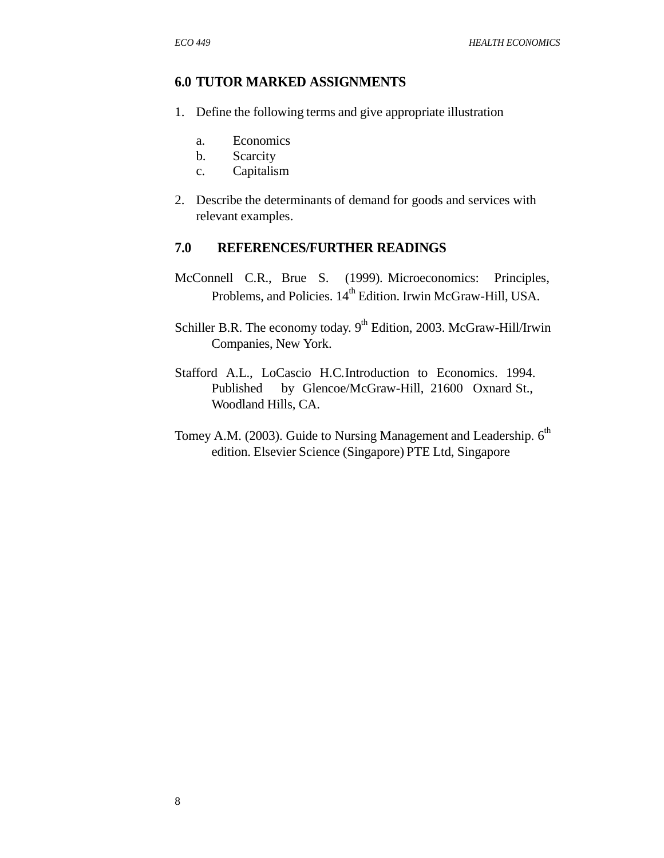#### **6.0 TUTOR MARKED ASSIGNMENTS**

- 1. Define the following terms and give appropriate illustration
	- a. Economics
	- b. Scarcity
	- c. Capitalism
- 2. Describe the determinants of demand for goods and services with relevant examples.

#### **7.0 REFERENCES/FURTHER READINGS**

- McConnell C.R., Brue S. (1999). Microeconomics: Principles, Problems, and Policies.  $14^{th}$  Edition. Irwin McGraw-Hill, USA.
- Schiller B.R. The economy today. 9<sup>th</sup> Edition, 2003. McGraw-Hill/Irwin Companies, New York.
- Stafford A.L., LoCascio H.C.Introduction to Economics. 1994. Published by Glencoe/McGraw-Hill, 21600 Oxnard St., Woodland Hills, CA.
- Tomey A.M. (2003). Guide to Nursing Management and Leadership. 6<sup>th</sup> edition. Elsevier Science (Singapore) PTE Ltd, Singapore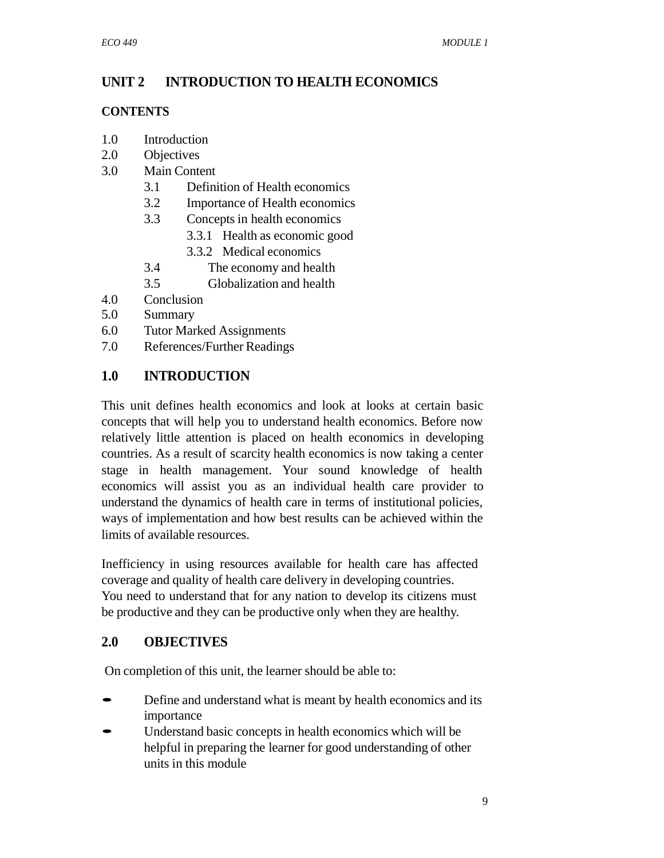## **UNIT 2 INTRODUCTION TO HEALTH ECONOMICS**

#### **CONTENTS**

- 1.0 Introduction
- 2.0 Objectives
- 3.0 Main Content
	- 3.1 Definition of Health economics
	- 3.2 Importance of Health economics
	- 3.3 Concepts in health economics
		-
		- 3.3.2 Medical economics
	- 3.3.1 Health as economic good 3.4 The economy and health 3.4 The economy and health<br>3.5 Globalization and health
		-
- 4.0 Conclusion
- 5.0 Summary
- 6.0 Tutor Marked Assignments
- 7.0 References/Further Readings

## **1.0 INTRODUCTION**

This unit defines health economics and look at looks at certain basic concepts that will help you to understand health economics. Before now relatively little attention is placed on health economics in developing countries. As a result of scarcity health economics is now taking a center stage in health management. Your sound knowledge of health economics will assist you as an individual health care provider to understand the dynamics of health care in terms of institutional policies, ways of implementation and how best results can be achieved within the limits of available resources.

Inefficiency in using resources available for health care has affected coverage and quality of health care delivery in developing countries. You need to understand that for any nation to develop its citizens must be productive and they can be productive only when they are healthy.

## **2.0 OBJECTIVES**

On completion of this unit, the learner should be able to:

- Define and understand what is meant by health economics and its importance
- Understand basic concepts in health economics which will be helpful in preparing the learner for good understanding of other units in this module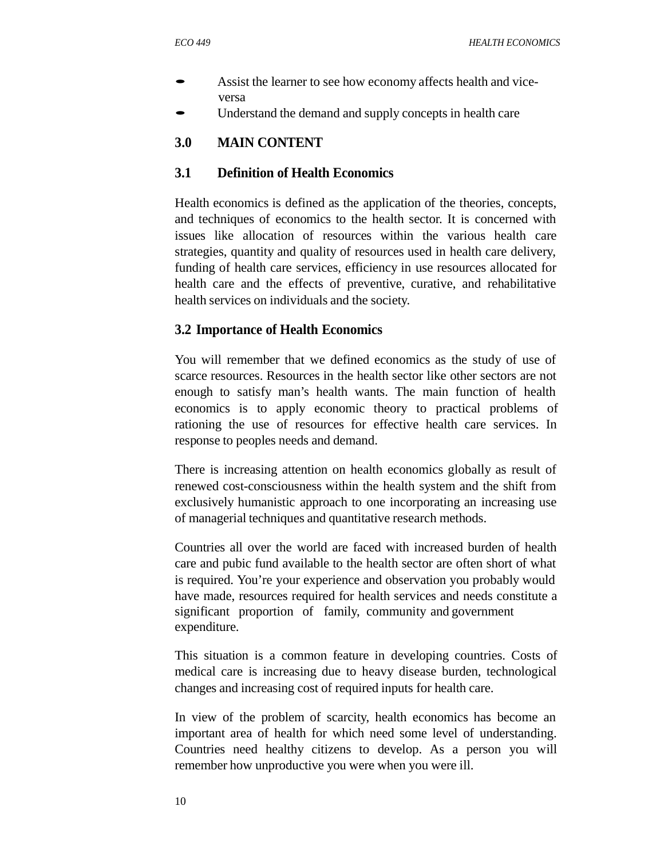- Assist the learner to see how economy affects health and viceversa
- Understand the demand and supply concepts in health care

## **3.0 MAIN CONTENT**

## **3.1 Definition of Health Economics**

Health economics is defined as the application of the theories, concepts, and techniques of economics to the health sector. It is concerned with issues like allocation of resources within the various health care strategies, quantity and quality of resources used in health care delivery, funding of health care services, efficiency in use resources allocated for health care and the effects of preventive, curative, and rehabilitative health services on individuals and the society.

### **3.2 Importance of Health Economics**

You will remember that we defined economics as the study of use of scarce resources. Resources in the health sector like other sectors are not enough to satisfy man's health wants. The main function of health economics is to apply economic theory to practical problems of rationing the use of resources for effective health care services. In response to peoples needs and demand.

There is increasing attention on health economics globally as result of renewed cost-consciousness within the health system and the shift from exclusively humanistic approach to one incorporating an increasing use of managerial techniques and quantitative research methods.

Countries all over the world are faced with increased burden of health care and pubic fund available to the health sector are often short of what is required. You're your experience and observation you probably would have made, resources required for health services and needs constitute a significant proportion of family, community and government expenditure.

This situation is a common feature in developing countries. Costs of medical care is increasing due to heavy disease burden, technological changes and increasing cost of required inputs for health care.

In view of the problem of scarcity, health economics has become an important area of health for which need some level of understanding. Countries need healthy citizens to develop. As a person you will remember how unproductive you were when you were ill.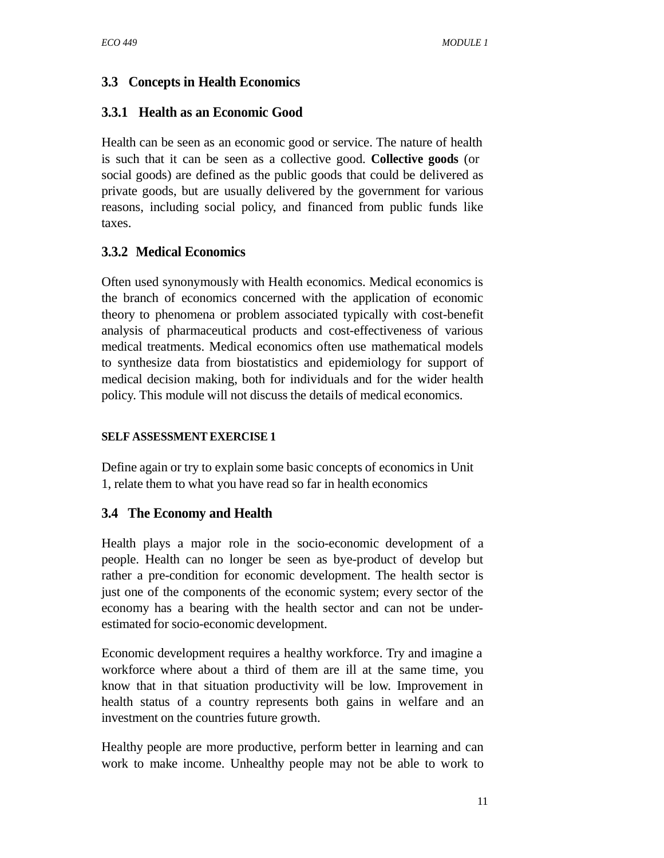## **3.3 Concepts in Health Economics**

## **3.3.1 Health as an Economic Good**

Health can be seen as an economic good or service. The nature of health is such that it can be seen as a collective good. **Collective goods** (or social goods) are defined as the public goods that could be delivered as private goods, but are usually delivered by the government for various reasons, including social policy, and financed from public funds like taxes.

### **3.3.2 Medical Economics**

Often used synonymously with Health economics. Medical economics is the branch of economics concerned with the application of economic theory to phenomena or problem associated typically with cost-benefit analysis of pharmaceutical products and cost-effectiveness of various medical treatments. Medical economics often use mathematical models to synthesize data from biostatistics and epidemiology for support of medical decision making, both for individuals and for the wider health policy. This module will not discuss the details of medical economics.

#### **SELF ASSESSMENT EXERCISE 1**

Define again or try to explain some basic concepts of economicsin Unit 1, relate them to what you have read so far in health economics

## **3.4 The Economy and Health**

Health plays a major role in the socio-economic development of a people. Health can no longer be seen as bye-product of develop but rather a pre-condition for economic development. The health sector is just one of the components of the economic system; every sector of the economy has a bearing with the health sector and can not be underestimated for socio-economic development.

Economic development requires a healthy workforce. Try and imagine a workforce where about a third of them are ill at the same time, you know that in that situation productivity will be low. Improvement in health status of a country represents both gains in welfare and an investment on the countries future growth.

Healthy people are more productive, perform better in learning and can work to make income. Unhealthy people may not be able to work to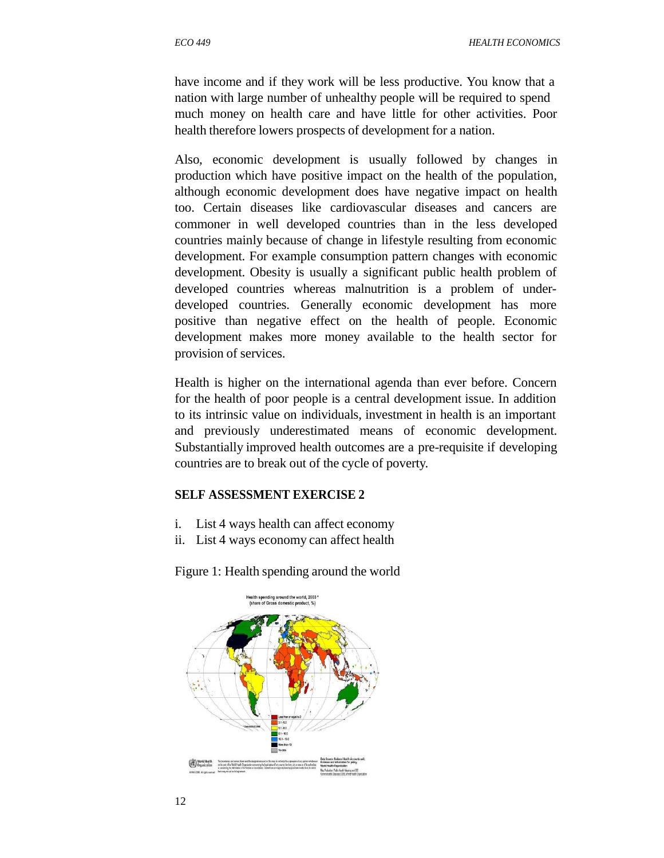*ECO 449 HEALTH ECONOMICS*

have income and if they work will be less productive. You know that a nation with large number of unhealthy people will be required to spend much money on health care and have little for other activities. Poor health therefore lowers prospects of development for a nation.

Also, economic development is usually followed by changes in production which have positive impact on the health of the population, although economic development does have negative impact on health too. Certain diseases like cardiovascular diseases and cancers are commoner in well developed countries than in the less developed countries mainly because of change in lifestyle resulting from economic development. For example consumption pattern changes with economic development. Obesity is usually a significant public health problem of developed countries whereas malnutrition is a problem of underdeveloped countries. Generally economic development has more positive than negative effect on the health of people. Economic development makes more money available to the health sector for provision of services.

Health is higher on the international agenda than ever before. Concern for the health of poor people is a central development issue. In addition to its intrinsic value on individuals, investment in health is an important and previously underestimated means of economic development. Substantially improved health outcomes are a pre-requisite if developing countries are to break out of the cycle of poverty.

#### **SELF ASSESSMENT EXERCISE 2**

- i. List 4 ways health can affect economy
- ii. List 4 ways economy can affect health

Figure 1: Health spending around the world

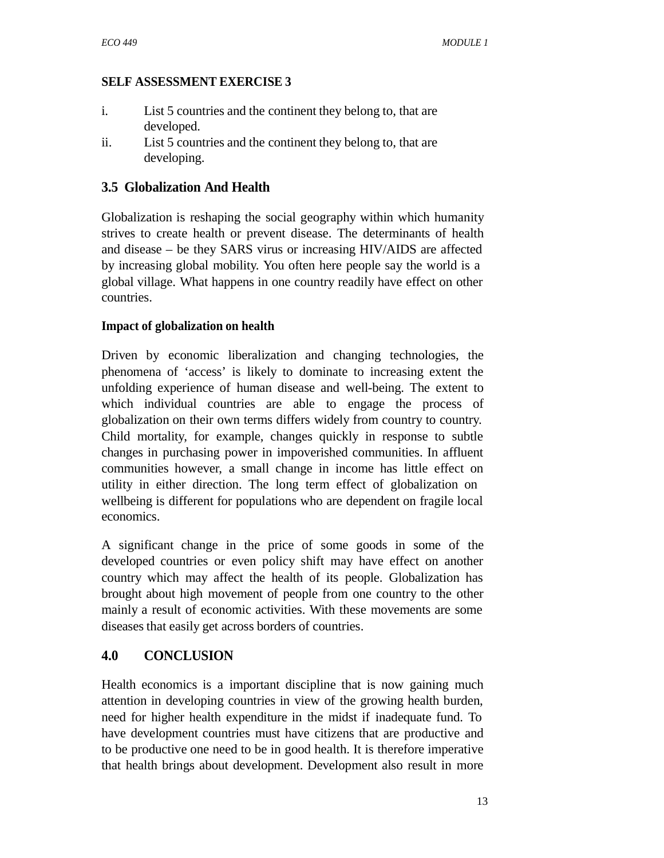#### **SELF ASSESSMENT EXERCISE 3**

- i. List 5 countries and the continent they belong to, that are developed.
- ii. List 5 countries and the continent they belong to, that are developing.

## **3.5 Globalization And Health**

Globalization is reshaping the social geography within which humanity strives to create health or prevent disease. The determinants of health and disease – be they SARS virus or increasing HIV/AIDS are affected by increasing global mobility. You often here people say the world is a global village. What happens in one country readily have effect on other countries.

#### **Impact of globalization on health**

Driven by economic liberalization and changing technologies, the phenomena of 'access' is likely to dominate to increasing extent the unfolding experience of human disease and well-being. The extent to which individual countries are able to engage the process of globalization on their own terms differs widely from country to country. Child mortality, for example, changes quickly in response to subtle changes in purchasing power in impoverished communities. In affluent communities however, a small change in income has little effect on utility in either direction. The long term effect of globalization on wellbeing is different for populations who are dependent on fragile local economics.

A significant change in the price of some goods in some of the developed countries or even policy shift may have effect on another country which may affect the health of its people. Globalization has brought about high movement of people from one country to the other mainly a result of economic activities. With these movements are some diseases that easily get across borders of countries.

## **4.0 CONCLUSION**

Health economics is a important discipline that is now gaining much attention in developing countries in view of the growing health burden, need for higher health expenditure in the midst if inadequate fund. To have development countries must have citizens that are productive and to be productive one need to be in good health. It is therefore imperative that health brings about development. Development also result in more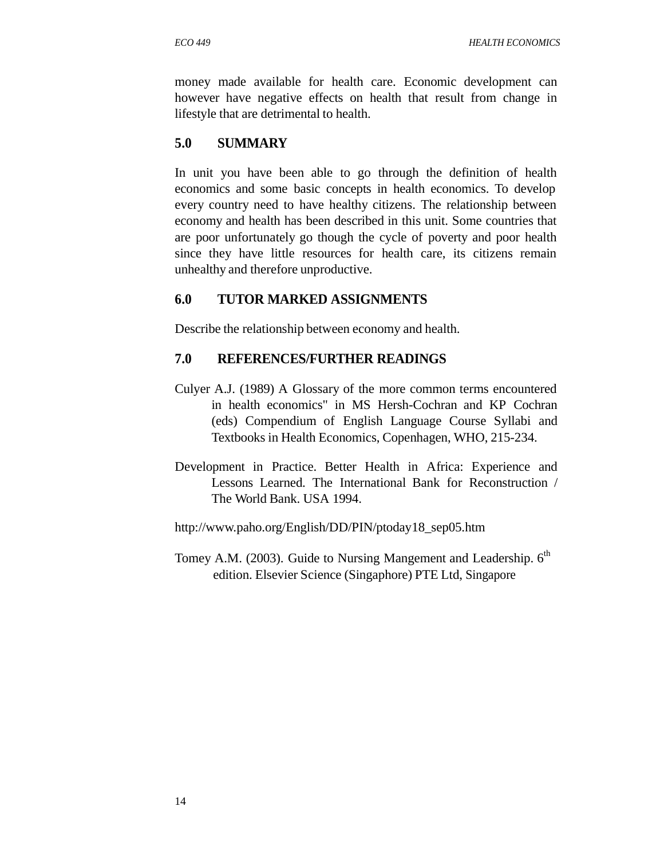money made available for health care. Economic development can however have negative effects on health that result from change in lifestyle that are detrimental to health.

## **5.0 SUMMARY**

In unit you have been able to go through the definition of health economics and some basic concepts in health economics. To develop every country need to have healthy citizens. The relationship between economy and health has been described in this unit. Some countries that are poor unfortunately go though the cycle of poverty and poor health since they have little resources for health care, its citizens remain unhealthy and therefore unproductive.

### **6.0 TUTOR MARKED ASSIGNMENTS**

Describe the relationship between economy and health.

### **7.0 REFERENCES/FURTHER READINGS**

- Culyer A.J. (1989) A Glossary of the more common terms encountered in health economics" in MS Hersh-Cochran and KP Cochran (eds) Compendium of English Language Course Syllabi and Textbooks in Health Economics, Copenhagen, WHO, 215-234.
- Development in Practice. Better Health in Africa: Experience and Lessons Learned. The International Bank for Reconstruction / The World Bank. USA 1994.

http://www.paho.org/English/DD/PIN/ptoday18\_sep05.htm

Tomey A.M. (2003). Guide to Nursing Mangement and Leadership. 6<sup>th</sup> edition. Elsevier Science (Singaphore) PTE Ltd, Singapore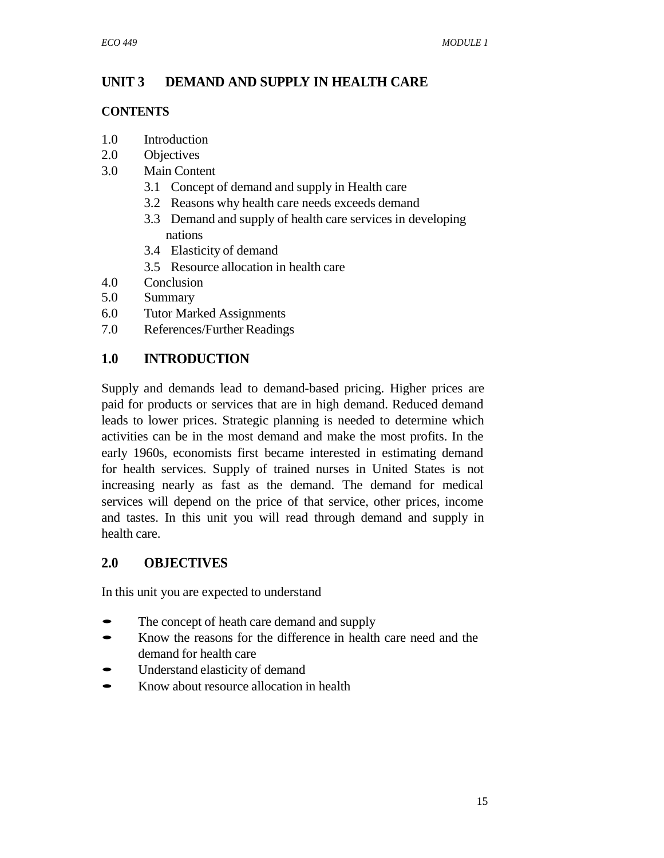## **UNIT 3 DEMAND AND SUPPLY IN HEALTH CARE**

#### **CONTENTS**

- 1.0 Introduction
- 2.0 Objectives
- 3.0 Main Content
	- 3.1 Concept of demand and supply in Health care
	- 3.2 Reasons why health care needs exceeds demand
	- 3.3 Demand and supply of health care services in developing nations
	- 3.4 Elasticity of demand
	- 3.5 Resource allocation in health care
- 4.0 Conclusion
- 5.0 Summary
- 6.0 Tutor Marked Assignments
- 7.0 References/Further Readings

## **1.0 INTRODUCTION**

Supply and demands lead to demand-based pricing. Higher prices are paid for products or services that are in high demand. Reduced demand leads to lower prices. Strategic planning is needed to determine which activities can be in the most demand and make the most profits. In the early 1960s, economists first became interested in estimating demand for health services. Supply of trained nurses in United States is not increasing nearly as fast as the demand. The demand for medical services will depend on the price of that service, other prices, income and tastes. In this unit you will read through demand and supply in health care.

## **2.0 OBJECTIVES**

In this unit you are expected to understand

- The concept of heath care demand and supply
- Know the reasons for the difference in health care need and the demand for health care
- Understand elasticity of demand
- Know about resource allocation in health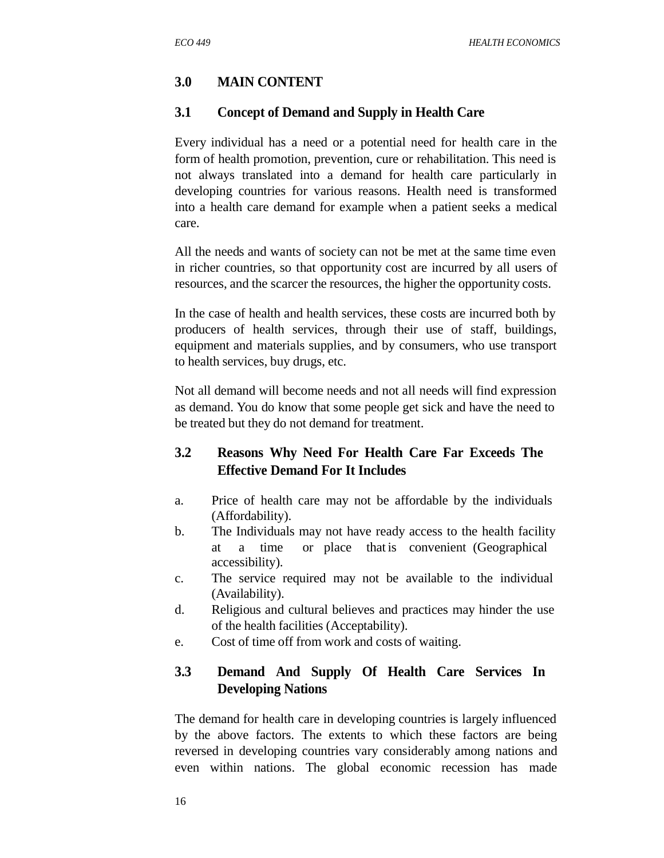## **3.0 MAIN CONTENT**

### **3.1 Concept of Demand and Supply in Health Care**

Every individual has a need or a potential need for health care in the form of health promotion, prevention, cure or rehabilitation. This need is not always translated into a demand for health care particularly in developing countries for various reasons. Health need is transformed into a health care demand for example when a patient seeks a medical care.

All the needs and wants of society can not be met at the same time even in richer countries, so that opportunity cost are incurred by all users of resources, and the scarcer the resources, the higher the opportunity costs.

In the case of health and health services, these costs are incurred both by producers of health services, through their use of staff, buildings, equipment and materials supplies, and by consumers, who use transport to health services, buy drugs, etc.

Not all demand will become needs and not all needs will find expression as demand. You do know that some people get sick and have the need to be treated but they do not demand for treatment.

## **3.2 Reasons Why Need For Health Care Far Exceeds The Effective Demand For It Includes**

- a. Price of health care may not be affordable by the individuals (Affordability).
- b. The Individuals may not have ready access to the health facility at a time or place that is convenient (Geographical accessibility).
- c. The service required may not be available to the individual (Availability).
- d. Religious and cultural believes and practices may hinder the use of the health facilities (Acceptability).
- e. Cost of time off from work and costs of waiting.

## **3.3 Demand And Supply Of Health Care Services In Developing Nations**

The demand for health care in developing countries is largely influenced by the above factors. The extents to which these factors are being reversed in developing countries vary considerably among nations and even within nations. The global economic recession has made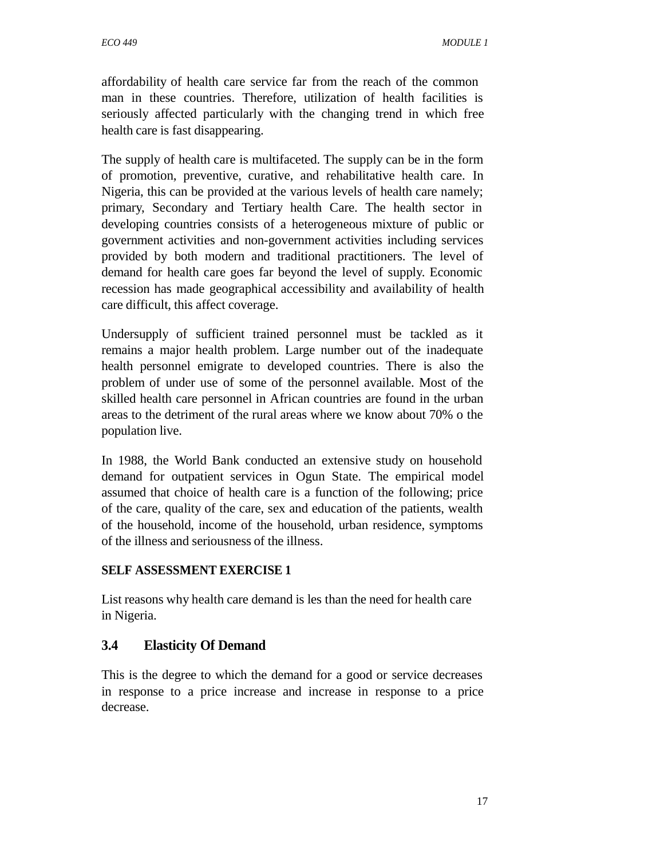affordability of health care service far from the reach of the common man in these countries. Therefore, utilization of health facilities is seriously affected particularly with the changing trend in which free health care is fast disappearing.

The supply of health care is multifaceted. The supply can be in the form of promotion, preventive, curative, and rehabilitative health care. In Nigeria, this can be provided at the various levels of health care namely; primary, Secondary and Tertiary health Care. The health sector in developing countries consists of a heterogeneous mixture of public or government activities and non-government activities including services provided by both modern and traditional practitioners. The level of demand for health care goes far beyond the level of supply. Economic recession has made geographical accessibility and availability of health care difficult, this affect coverage.

Undersupply of sufficient trained personnel must be tackled as it remains a major health problem. Large number out of the inadequate health personnel emigrate to developed countries. There is also the problem of under use of some of the personnel available. Most of the skilled health care personnel in African countries are found in the urban areas to the detriment of the rural areas where we know about 70% o the population live.

In 1988, the World Bank conducted an extensive study on household demand for outpatient services in Ogun State. The empirical model assumed that choice of health care is a function of the following; price of the care, quality of the care, sex and education of the patients, wealth of the household, income of the household, urban residence, symptoms of the illness and seriousness of the illness.

#### **SELF ASSESSMENT EXERCISE 1**

List reasons why health care demand is les than the need for health care in Nigeria.

#### **3.4 Elasticity Of Demand**

This is the degree to which the demand for a good or service decreases in response to a price increase and increase in response to a price decrease.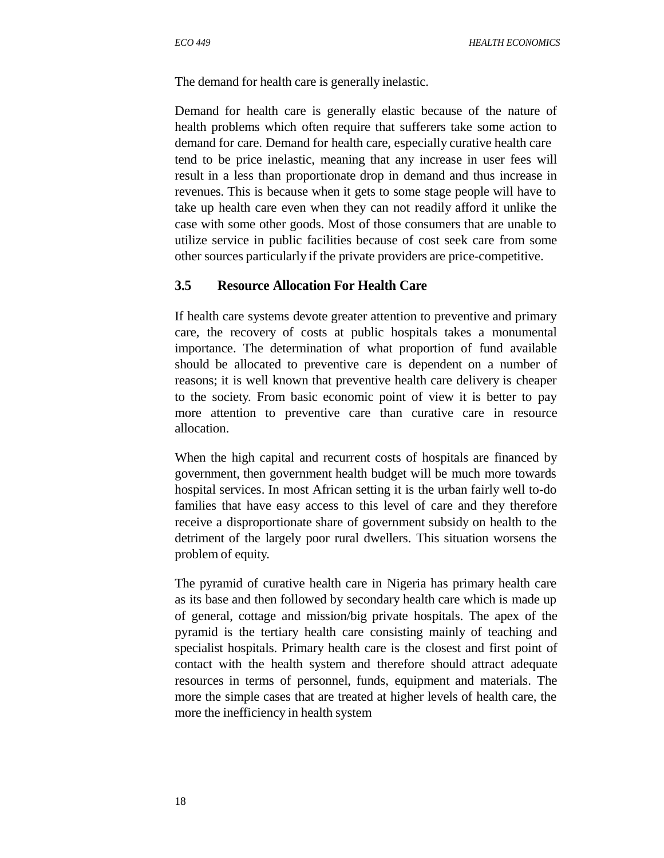The demand for health care is generally inelastic.

Demand for health care is generally elastic because of the nature of health problems which often require that sufferers take some action to demand for care. Demand for health care, especially curative health care tend to be price inelastic, meaning that any increase in user fees will result in a less than proportionate drop in demand and thus increase in revenues. This is because when it gets to some stage people will have to take up health care even when they can not readily afford it unlike the case with some other goods. Most of those consumers that are unable to utilize service in public facilities because of cost seek care from some other sources particularly if the private providers are price-competitive.

#### **3.5 Resource Allocation For Health Care**

If health care systems devote greater attention to preventive and primary care, the recovery of costs at public hospitals takes a monumental importance. The determination of what proportion of fund available should be allocated to preventive care is dependent on a number of reasons; it is well known that preventive health care delivery is cheaper to the society. From basic economic point of view it is better to pay more attention to preventive care than curative care in resource allocation.

When the high capital and recurrent costs of hospitals are financed by government, then government health budget will be much more towards hospital services. In most African setting it is the urban fairly well to-do families that have easy access to this level of care and they therefore receive a disproportionate share of government subsidy on health to the detriment of the largely poor rural dwellers. This situation worsens the problem of equity.

The pyramid of curative health care in Nigeria has primary health care as its base and then followed by secondary health care which is made up of general, cottage and mission/big private hospitals. The apex of the pyramid is the tertiary health care consisting mainly of teaching and specialist hospitals. Primary health care is the closest and first point of contact with the health system and therefore should attract adequate resources in terms of personnel, funds, equipment and materials. The more the simple cases that are treated at higher levels of health care, the more the inefficiency in health system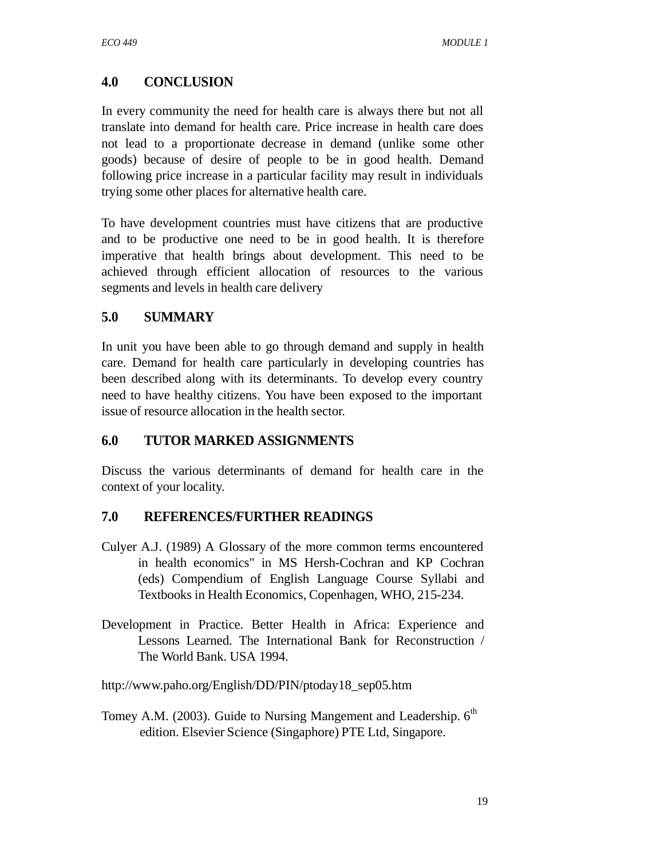## **4.0 CONCLUSION**

In every community the need for health care is always there but not all translate into demand for health care. Price increase in health care does not lead to a proportionate decrease in demand (unlike some other goods) because of desire of people to be in good health. Demand following price increase in a particular facility may result in individuals trying some other places for alternative health care.

To have development countries must have citizens that are productive and to be productive one need to be in good health. It is therefore imperative that health brings about development. This need to be achieved through efficient allocation of resources to the various segments and levels in health care delivery

## **5.0 SUMMARY**

In unit you have been able to go through demand and supply in health care. Demand for health care particularly in developing countries has been described along with its determinants. To develop every country need to have healthy citizens. You have been exposed to the important issue of resource allocation in the health sector.

## **6.0 TUTOR MARKED ASSIGNMENTS**

Discuss the various determinants of demand for health care in the context of your locality.

## **7.0 REFERENCES/FURTHER READINGS**

- Culyer A.J. (1989) A Glossary of the more common terms encountered in health economics" in MS Hersh-Cochran and KP Cochran (eds) Compendium of English Language Course Syllabi and Textbooks in Health Economics, Copenhagen, WHO, 215-234.
- Development in Practice. Better Health in Africa: Experience and Lessons Learned. The International Bank for Reconstruction / The World Bank. USA 1994.

http://www.paho.org/English/DD/PIN/ptoday18\_sep05.htm

Tomey A.M. (2003). Guide to Nursing Mangement and Leadership. 6<sup>th</sup> edition. Elsevier Science (Singaphore) PTE Ltd, Singapore.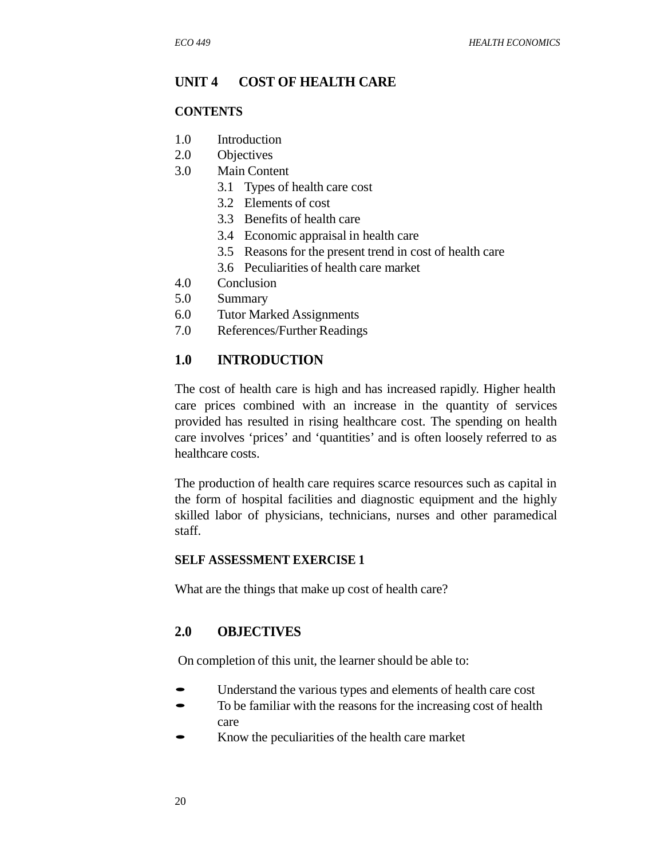#### **UNIT 4 COST OF HEALTH CARE**

#### **CONTENTS**

- 1.0 Introduction
- 2.0 Objectives
- 3.0 Main Content
	- 3.1 Types of health care cost
	- 3.2 Elements of cost
	- 3.3 Benefits of health care
	- 3.4 Economic appraisal in health care
	- 3.5 Reasons for the present trend in cost of health care
	- 3.6 Peculiarities of health care market
- 4.0 Conclusion
- 5.0 Summary
- 6.0 Tutor Marked Assignments
- 7.0 References/Further Readings

#### **1.0 INTRODUCTION**

The cost of health care is high and has increased rapidly. Higher health care prices combined with an increase in the quantity of services provided has resulted in rising healthcare cost. The spending on health care involves 'prices' and 'quantities' and is often loosely referred to as healthcare costs.

The production of health care requires scarce resources such as capital in the form of hospital facilities and diagnostic equipment and the highly skilled labor of physicians, technicians, nurses and other paramedical staff.

#### **SELF ASSESSMENT EXERCISE 1**

What are the things that make up cost of health care?

#### **2.0 OBJECTIVES**

On completion of this unit, the learner should be able to:

- Understand the various types and elements of health care cost
- To be familiar with the reasons for the increasing cost of health care
- Know the peculiarities of the health care market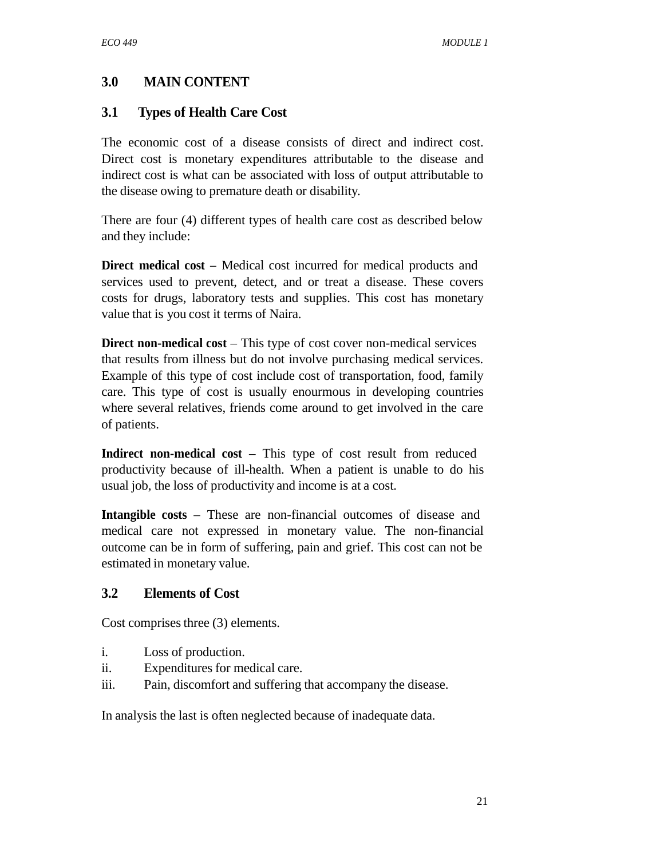## **3.0 MAIN CONTENT**

## **3.1 Types of Health Care Cost**

The economic cost of a disease consists of direct and indirect cost. Direct cost is monetary expenditures attributable to the disease and indirect cost is what can be associated with loss of output attributable to the disease owing to premature death or disability.

There are four (4) different types of health care cost as described below and they include:

**Direct medical cost –** Medical cost incurred for medical products and services used to prevent, detect, and or treat a disease. These covers costs for drugs, laboratory tests and supplies. This cost has monetary value that is you cost it terms of Naira.

**Direct non-medical cost** – This type of cost cover non-medical services that results from illness but do not involve purchasing medical services. Example of this type of cost include cost of transportation, food, family care. This type of cost is usually enourmous in developing countries where several relatives, friends come around to get involved in the care of patients.

**Indirect non-medical cost** – This type of cost result from reduced productivity because of ill-health. When a patient is unable to do his usual job, the loss of productivity and income is at a cost.

**Intangible costs** – These are non-financial outcomes of disease and medical care not expressed in monetary value. The non-financial outcome can be in form of suffering, pain and grief. This cost can not be estimated in monetary value.

## **3.2 Elements of Cost**

Cost comprises three (3) elements.

- i. Loss of production.
- ii. Expenditures for medical care.
- iii. Pain, discomfort and suffering that accompany the disease.

In analysis the last is often neglected because of inadequate data.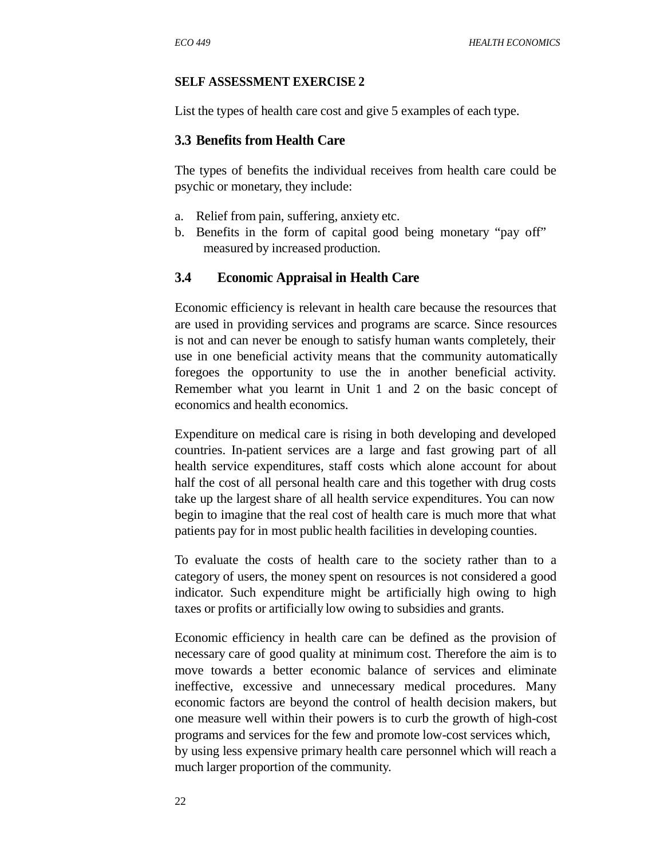#### **SELF ASSESSMENT EXERCISE 2**

List the types of health care cost and give 5 examples of each type.

#### **3.3 Benefits from Health Care**

The types of benefits the individual receives from health care could be psychic or monetary, they include:

- a. Relief from pain, suffering, anxiety etc.
- b. Benefits in the form of capital good being monetary "pay off" measured by increased production.

#### **3.4 Economic Appraisal in Health Care**

Economic efficiency is relevant in health care because the resources that are used in providing services and programs are scarce. Since resources is not and can never be enough to satisfy human wants completely, their use in one beneficial activity means that the community automatically foregoes the opportunity to use the in another beneficial activity. Remember what you learnt in Unit 1 and 2 on the basic concept of economics and health economics.

Expenditure on medical care is rising in both developing and developed countries. In-patient services are a large and fast growing part of all health service expenditures, staff costs which alone account for about half the cost of all personal health care and this together with drug costs take up the largest share of all health service expenditures. You can now begin to imagine that the real cost of health care is much more that what patients pay for in most public health facilities in developing counties.

To evaluate the costs of health care to the society rather than to a category of users, the money spent on resources is not considered a good indicator. Such expenditure might be artificially high owing to high taxes or profits or artificially low owing to subsidies and grants.

Economic efficiency in health care can be defined as the provision of necessary care of good quality at minimum cost. Therefore the aim is to move towards a better economic balance of services and eliminate ineffective, excessive and unnecessary medical procedures. Many economic factors are beyond the control of health decision makers, but one measure well within their powers is to curb the growth of high-cost programs and services for the few and promote low-cost services which, by using less expensive primary health care personnel which will reach a much larger proportion of the community.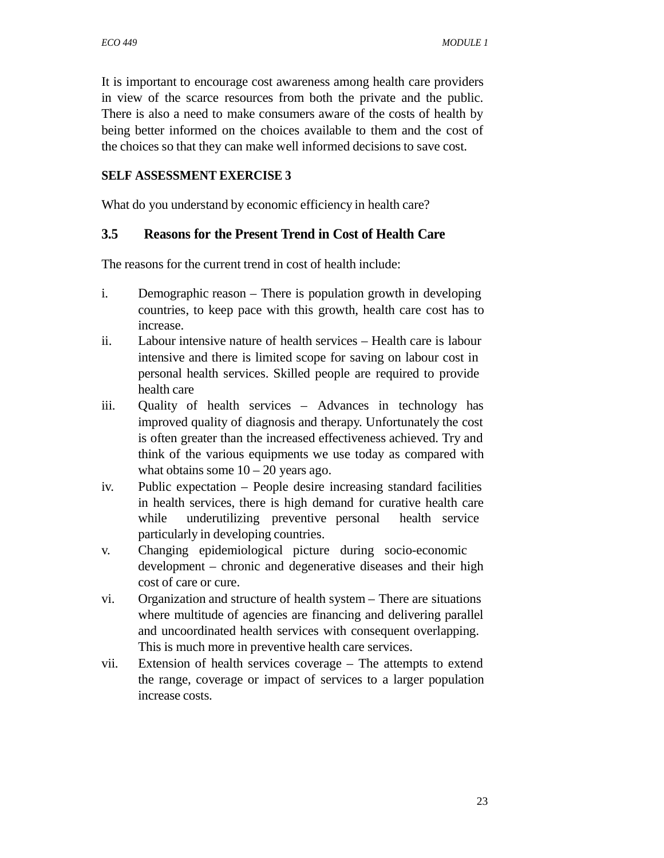It is important to encourage cost awareness among health care providers in view of the scarce resources from both the private and the public. There is also a need to make consumers aware of the costs of health by being better informed on the choices available to them and the cost of the choices so that they can make well informed decisions to save cost.

### **SELF ASSESSMENT EXERCISE 3**

What do you understand by economic efficiency in health care?

### **3.5 Reasons for the Present Trend in Cost of Health Care**

The reasons for the current trend in cost of health include:

- i. Demographic reason There is population growth in developing countries, to keep pace with this growth, health care cost has to increase.
- ii. Labour intensive nature of health services Health care is labour intensive and there is limited scope for saving on labour cost in personal health services. Skilled people are required to provide health care
- iii. Quality of health services Advances in technology has improved quality of diagnosis and therapy. Unfortunately the cost is often greater than the increased effectiveness achieved. Try and think of the various equipments we use today as compared with what obtains some  $10 - 20$  years ago.
- iv. Public expectation People desire increasing standard facilities in health services, there is high demand for curative health care while underutilizing preventive personal health service particularly in developing countries.
- v. Changing epidemiological picture during socio-economic development – chronic and degenerative diseases and their high cost of care or cure.
- vi. Organization and structure of health system There are situations where multitude of agencies are financing and delivering parallel and uncoordinated health services with consequent overlapping. This is much more in preventive health care services.
- vii. Extension of health services coverage The attempts to extend the range, coverage or impact of services to a larger population increase costs.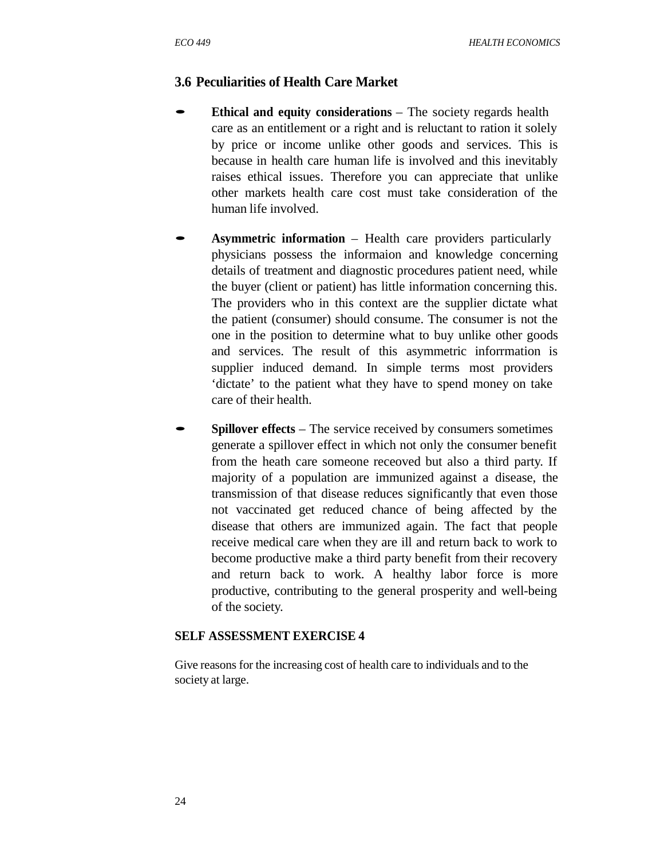### **3.6 Peculiarities of Health Care Market**

- **Ethical and equity considerations** The society regards health care as an entitlement or a right and is reluctant to ration it solely by price or income unlike other goods and services. This is because in health care human life is involved and this inevitably raises ethical issues. Therefore you can appreciate that unlike other markets health care cost must take consideration of the human life involved.
- **Asymmetric information** Health care providers particularly physicians possess the informaion and knowledge concerning details of treatment and diagnostic procedures patient need, while the buyer (client or patient) has little information concerning this. The providers who in this context are the supplier dictate what the patient (consumer) should consume. The consumer is not the one in the position to determine what to buy unlike other goods and services. The result of this asymmetric inforrmation is supplier induced demand. In simple terms most providers 'dictate' to the patient what they have to spend money on take care of their health.
- **Spillover effects** The service received by consumers sometimes generate a spillover effect in which not only the consumer benefit from the heath care someone receoved but also a third party. If majority of a population are immunized against a disease, the transmission of that disease reduces significantly that even those not vaccinated get reduced chance of being affected by the disease that others are immunized again. The fact that people receive medical care when they are ill and return back to work to become productive make a third party benefit from their recovery and return back to work. A healthy labor force is more productive, contributing to the general prosperity and well-being of the society.

#### **SELF ASSESSMENT EXERCISE 4**

Give reasons for the increasing cost of health care to individuals and to the society at large.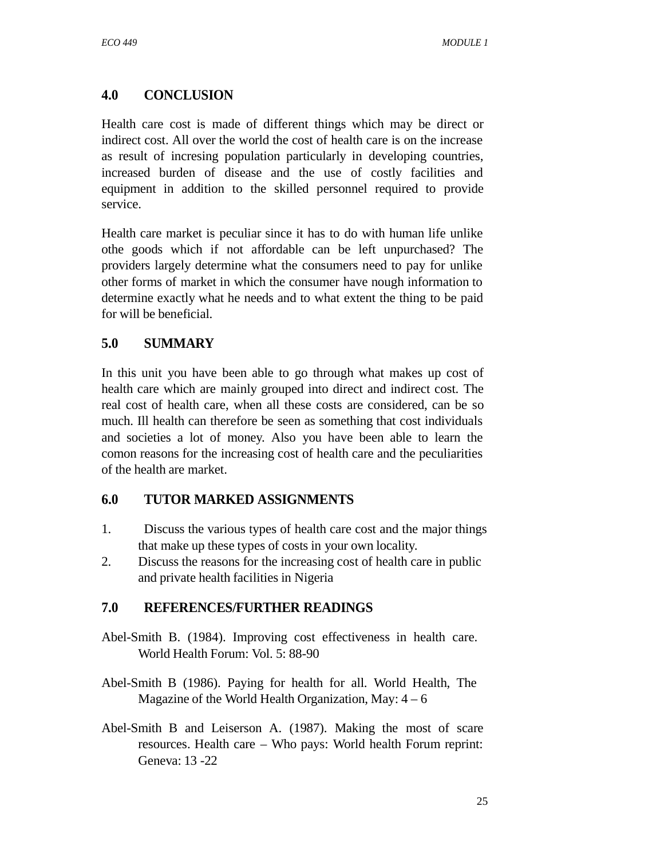## **4.0 CONCLUSION**

Health care cost is made of different things which may be direct or indirect cost. All over the world the cost of health care is on the increase as result of incresing population particularly in developing countries, increased burden of disease and the use of costly facilities and equipment in addition to the skilled personnel required to provide service.

Health care market is peculiar since it has to do with human life unlike othe goods which if not affordable can be left unpurchased? The providers largely determine what the consumers need to pay for unlike other forms of market in which the consumer have nough information to determine exactly what he needs and to what extent the thing to be paid for will be beneficial.

## **5.0 SUMMARY**

In this unit you have been able to go through what makes up cost of health care which are mainly grouped into direct and indirect cost. The real cost of health care, when all these costs are considered, can be so much. Ill health can therefore be seen as something that cost individuals and societies a lot of money. Also you have been able to learn the comon reasons for the increasing cost of health care and the peculiarities of the health are market.

## **6.0 TUTOR MARKED ASSIGNMENTS**

- 1. Discuss the various types of health care cost and the major things that make up these types of costs in your own locality.
- 2. Discuss the reasons for the increasing cost of health care in public and private health facilities in Nigeria

## **7.0 REFERENCES/FURTHER READINGS**

- Abel-Smith B. (1984). Improving cost effectiveness in health care. World Health Forum: Vol. 5: 88-90
- Abel-Smith B (1986). Paying for health for all. World Health, The Magazine of the World Health Organization, May:  $4 - 6$
- Abel-Smith B and Leiserson A. (1987). Making the most of scare resources. Health care – Who pays: World health Forum reprint: Geneva: 13 -22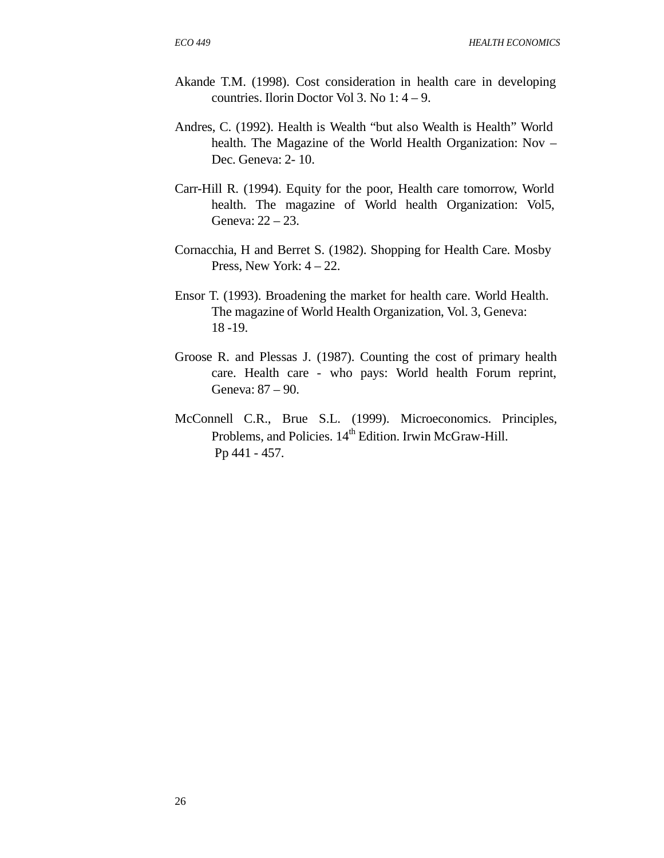- Akande T.M. (1998). Cost consideration in health care in developing countries. Ilorin Doctor Vol 3. No 1: 4 – 9.
- Andres, C. (1992). Health is Wealth "but also Wealth is Health" World health. The Magazine of the World Health Organization: Nov – Dec. Geneva: 2- 10.
- Carr-Hill R. (1994). Equity for the poor, Health care tomorrow, World health. The magazine of World health Organization: Vol5, Geneva: 22 – 23.
- Cornacchia, H and Berret S. (1982). Shopping for Health Care. Mosby Press, New York:  $4 - 22$ .
- Ensor T. (1993). Broadening the market for health care. World Health. The magazine of World Health Organization, Vol. 3, Geneva: 18 -19.
- Groose R. and Plessas J. (1987). Counting the cost of primary health care. Health care - who pays: World health Forum reprint, Geneva: 87 – 90.
- McConnell C.R., Brue S.L. (1999). Microeconomics. Principles, Problems, and Policies. 14<sup>th</sup> Edition. Irwin McGraw-Hill. Pp 441 - 457.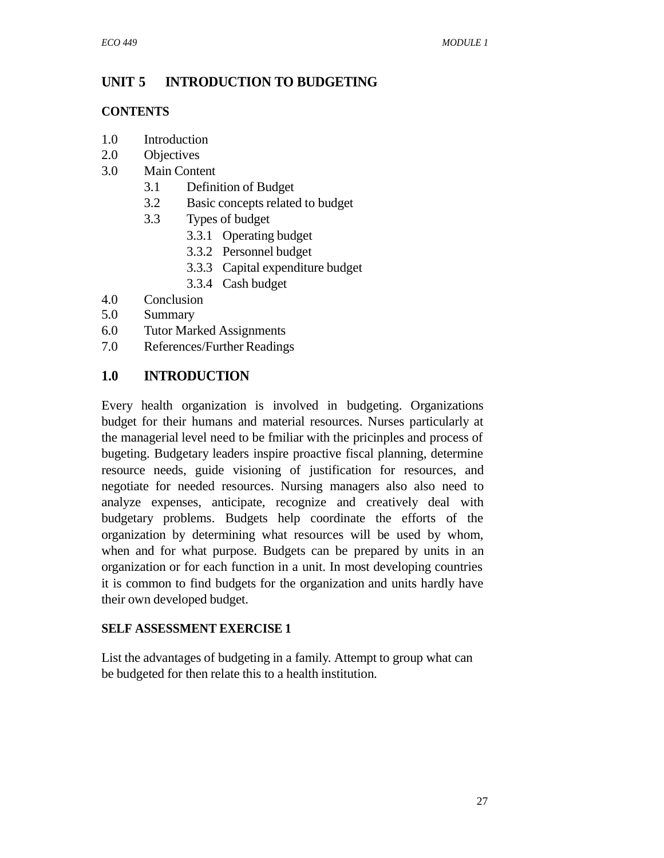## **UNIT 5 INTRODUCTION TO BUDGETING**

#### **CONTENTS**

- 1.0 Introduction
- 2.0 Objectives
- 3.0 Main Content
- 2012<br>2013 Definition of Budget<br>3.1 Definition of Budget
	- 3.1 Definition of Budget<br>3.2 Basic concepts related to budget 3.1 Definition of Bu<br>3.2 Basic concepts r<br>3.3 Types of budget
	- - 3.3.1 Operating budget
		- 3.3.2 Personnel budget
		- 3.3.3 Capital expenditure budget
		- 3.3.4 Cash budget
- 4.0 Conclusion
- 5.0 Summary
- 6.0 Tutor Marked Assignments
- 7.0 References/Further Readings

## **1.0 INTRODUCTION**

Every health organization is involved in budgeting. Organizations budget for their humans and material resources. Nurses particularly at the managerial level need to be fmiliar with the pricinples and process of bugeting. Budgetary leaders inspire proactive fiscal planning, determine resource needs, guide visioning of justification for resources, and negotiate for needed resources. Nursing managers also also need to analyze expenses, anticipate, recognize and creatively deal with budgetary problems. Budgets help coordinate the efforts of the organization by determining what resources will be used by whom, when and for what purpose. Budgets can be prepared by units in an organization or for each function in a unit. In most developing countries it is common to find budgets for the organization and units hardly have their own developed budget.

## **SELF ASSESSMENT EXERCISE 1**

List the advantages of budgeting in a family. Attempt to group what can be budgeted for then relate this to a health institution.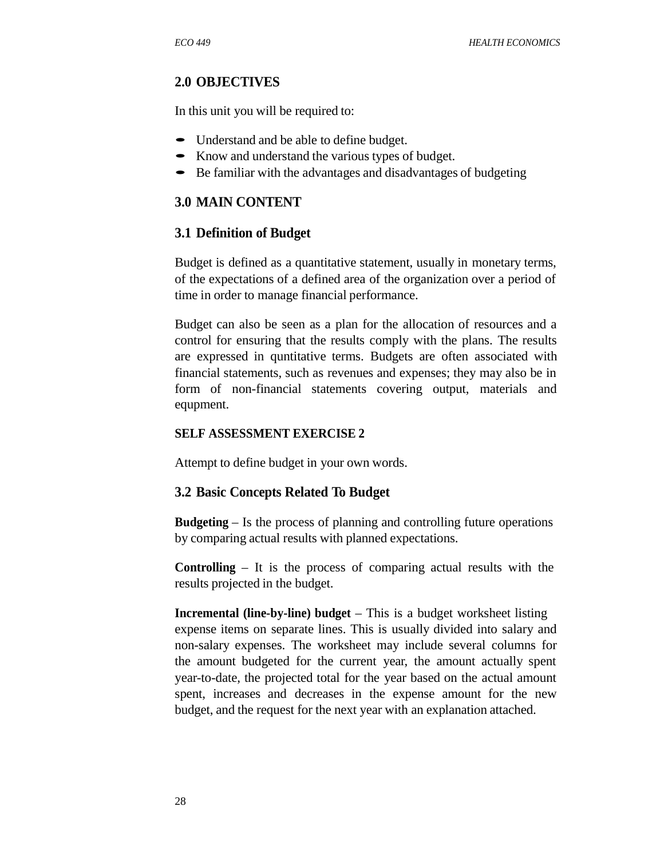### **2.0 OBJECTIVES**

In this unit you will be required to:

- Understand and be able to define budget.
- Know and understand the various types of budget.
- Be familiar with the advantages and disadvantages of budgeting

### **3.0 MAIN CONTENT**

#### **3.1 Definition of Budget**

Budget is defined as a quantitative statement, usually in monetary terms, of the expectations of a defined area of the organization over a period of time in order to manage financial performance.

Budget can also be seen as a plan for the allocation of resources and a control for ensuring that the results comply with the plans. The results are expressed in quntitative terms. Budgets are often associated with financial statements, such as revenues and expenses; they may also be in form of non-financial statements covering output, materials and equpment.

#### **SELF ASSESSMENT EXERCISE 2**

Attempt to define budget in your own words.

#### **3.2 Basic Concepts Related To Budget**

**Budgeting** – Is the process of planning and controlling future operations by comparing actual results with planned expectations.

**Controlling** – It is the process of comparing actual results with the results projected in the budget.

**Incremental (line-by-line) budget** – This is a budget worksheet listing expense items on separate lines. This is usually divided into salary and non-salary expenses. The worksheet may include several columns for the amount budgeted for the current year, the amount actually spent year-to-date, the projected total for the year based on the actual amount spent, increases and decreases in the expense amount for the new budget, and the request for the next year with an explanation attached.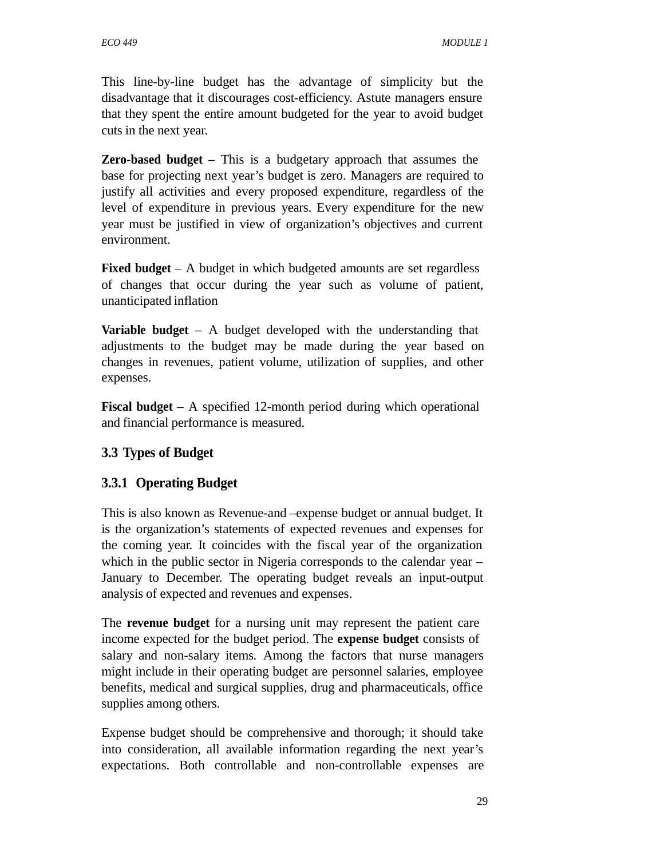This line-by-line budget has the advantage of simplicity but the disadvantage that it discourages cost-efficiency. Astute managers ensure that they spent the entire amount budgeted for the year to avoid budget cuts in the next year.

**Zero-based budget –** This is a budgetary approach that assumes the base for projecting next year's budget is zero. Managers are required to justify all activities and every proposed expenditure, regardless of the level of expenditure in previous years. Every expenditure for the new year must be justified in view of organization's objectives and current environment.

**Fixed budget** – A budget in which budgeted amounts are set regardless of changes that occur during the year such as volume of patient, unanticipated inflation

**Variable budget** – A budget developed with the understanding that adjustments to the budget may be made during the year based on changes in revenues, patient volume, utilization of supplies, and other expenses.

**Fiscal budget** – A specified 12-month period during which operational and financial performance is measured.

## **3.3 Types of Budget**

## **3.3.1 Operating Budget**

This is also known as Revenue-and –expense budget or annual budget. It is the organization's statements of expected revenues and expenses for the coming year. It coincides with the fiscal year of the organization which in the public sector in Nigeria corresponds to the calendar year – January to December. The operating budget reveals an input-output analysis of expected and revenues and expenses.

The **revenue budget** for a nursing unit may represent the patient care income expected for the budget period. The **expense budget** consists of salary and non-salary items. Among the factors that nurse managers might include in their operating budget are personnel salaries, employee benefits, medical and surgical supplies, drug and pharmaceuticals, office supplies among others.

Expense budget should be comprehensive and thorough; it should take into consideration, all available information regarding the next year's expectations. Both controllable and non-controllable expenses are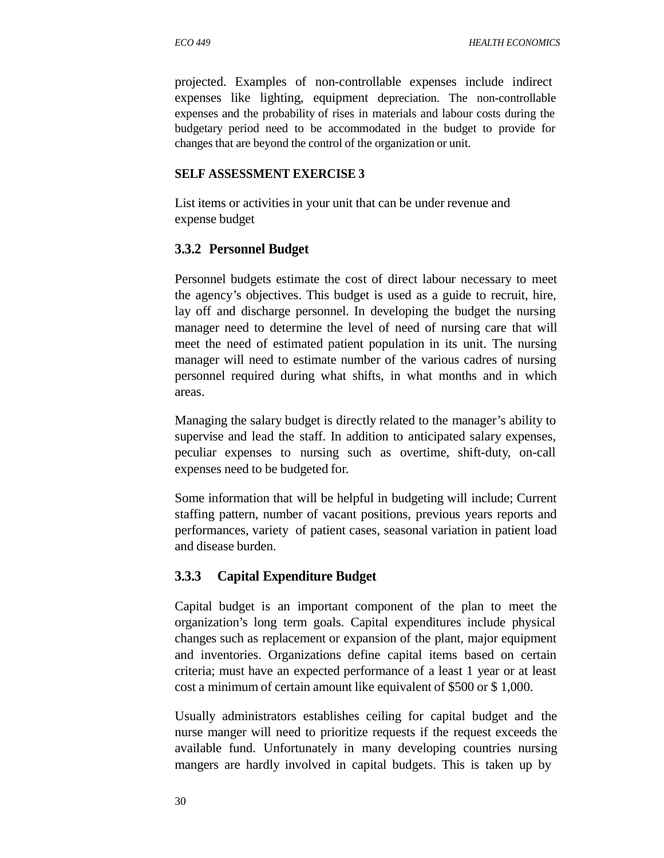projected. Examples of non-controllable expenses include indirect expenses like lighting, equipment depreciation. The non-controllable expenses and the probability of rises in materials and labour costs during the budgetary period need to be accommodated in the budget to provide for changes that are beyond the control of the organization or unit.

#### **SELF ASSESSMENT EXERCISE 3**

List items or activities in your unit that can be under revenue and expense budget

#### **3.3.2 Personnel Budget**

Personnel budgets estimate the cost of direct labour necessary to meet the agency's objectives. This budget is used as a guide to recruit, hire, lay off and discharge personnel. In developing the budget the nursing manager need to determine the level of need of nursing care that will meet the need of estimated patient population in its unit. The nursing manager will need to estimate number of the various cadres of nursing personnel required during what shifts, in what months and in which areas.

Managing the salary budget is directly related to the manager's ability to supervise and lead the staff. In addition to anticipated salary expenses, peculiar expenses to nursing such as overtime, shift-duty, on-call expenses need to be budgeted for.

Some information that will be helpful in budgeting will include; Current staffing pattern, number of vacant positions, previous years reports and performances, variety of patient cases, seasonal variation in patient load and disease burden.

#### **3.3.3 Capital Expenditure Budget**

Capital budget is an important component of the plan to meet the organization's long term goals. Capital expenditures include physical changes such as replacement or expansion of the plant, major equipment and inventories. Organizations define capital items based on certain criteria; must have an expected performance of a least 1 year or at least cost a minimum of certain amount like equivalent of \$500 or \$ 1,000.

Usually administrators establishes ceiling for capital budget and the nurse manger will need to prioritize requests if the request exceeds the available fund. Unfortunately in many developing countries nursing mangers are hardly involved in capital budgets. This is taken up by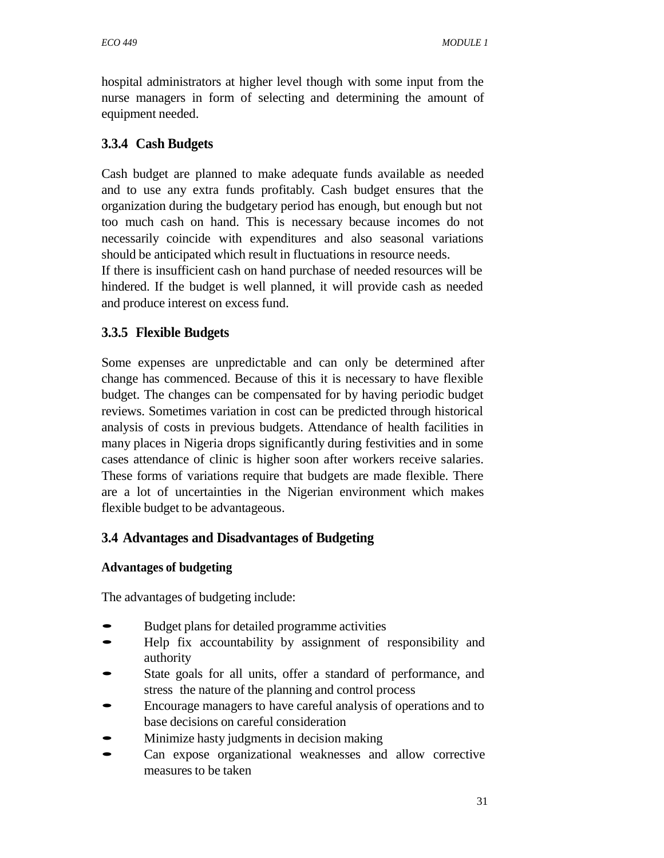hospital administrators at higher level though with some input from the nurse managers in form of selecting and determining the amount of equipment needed.

## **3.3.4 Cash Budgets**

Cash budget are planned to make adequate funds available as needed and to use any extra funds profitably. Cash budget ensures that the organization during the budgetary period has enough, but enough but not too much cash on hand. This is necessary because incomes do not necessarily coincide with expenditures and also seasonal variations should be anticipated which result in fluctuations in resource needs.

If there is insufficient cash on hand purchase of needed resources will be hindered. If the budget is well planned, it will provide cash as needed and produce interest on excess fund.

## **3.3.5 Flexible Budgets**

Some expenses are unpredictable and can only be determined after change has commenced. Because of this it is necessary to have flexible budget. The changes can be compensated for by having periodic budget reviews. Sometimes variation in cost can be predicted through historical analysis of costs in previous budgets. Attendance of health facilities in many places in Nigeria drops significantly during festivities and in some cases attendance of clinic is higher soon after workers receive salaries. These forms of variations require that budgets are made flexible. There are a lot of uncertainties in the Nigerian environment which makes flexible budget to be advantageous.

## **3.4 Advantages and Disadvantages of Budgeting**

#### **Advantages of budgeting**

The advantages of budgeting include:

- Budget plans for detailed programme activities
- Help fix accountability by assignment of responsibility and authority
- State goals for all units, offer a standard of performance, and stress the nature of the planning and control process
- Encourage managers to have careful analysis of operations and to base decisions on careful consideration
- Minimize hasty judgments in decision making
- Can expose organizational weaknesses and allow corrective measures to be taken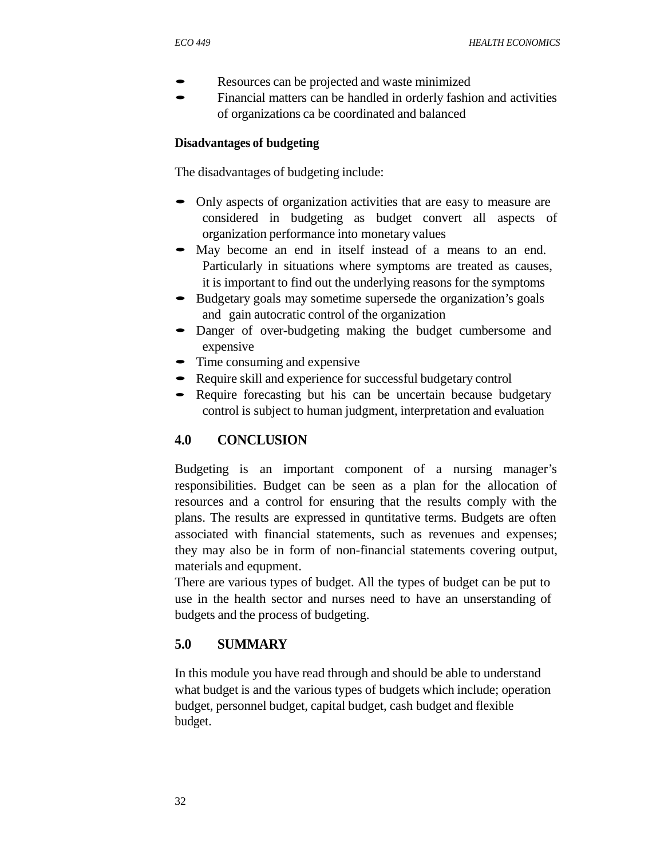- Resources can be projected and waste minimized
- Financial matters can be handled in orderly fashion and activities of organizations ca be coordinated and balanced

#### **Disadvantages of budgeting**

The disadvantages of budgeting include:

- Only aspects of organization activities that are easy to measure are considered in budgeting as budget convert all aspects of organization performance into monetary values
- May become an end in itself instead of a means to an end. Particularly in situations where symptoms are treated as causes, it is important to find out the underlying reasons for the symptoms
- Budgetary goals may sometime supersede the organization's goals and gain autocratic control of the organization
- Danger of over-budgeting making the budget cumbersome and expensive
- Time consuming and expensive
- Require skill and experience for successful budgetary control
- Require forecasting but his can be uncertain because budgetary control is subject to human judgment, interpretation and evaluation

## **4.0 CONCLUSION**

Budgeting is an important component of a nursing manager's responsibilities. Budget can be seen as a plan for the allocation of resources and a control for ensuring that the results comply with the plans. The results are expressed in quntitative terms. Budgets are often associated with financial statements, such as revenues and expenses; they may also be in form of non-financial statements covering output, materials and equpment.

There are various types of budget. All the types of budget can be put to use in the health sector and nurses need to have an unserstanding of budgets and the process of budgeting.

#### **5.0 SUMMARY**

In this module you have read through and should be able to understand what budget is and the various types of budgets which include; operation budget, personnel budget, capital budget, cash budget and flexible budget.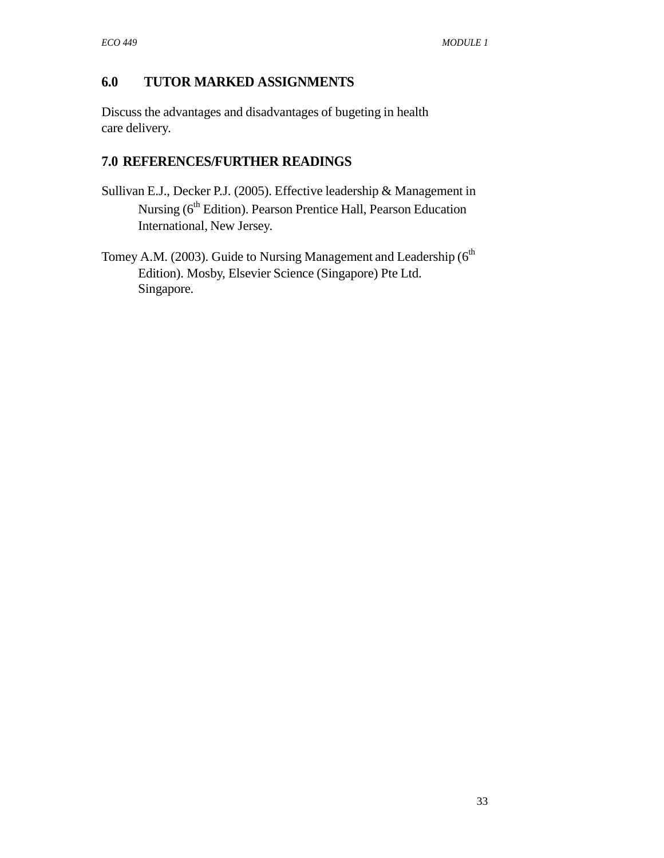## **6.0 TUTOR MARKED ASSIGNMENTS**

Discuss the advantages and disadvantages of bugeting in health care delivery.

## **7.0 REFERENCES/FURTHER READINGS**

- Sullivan E.J., Decker P.J. (2005). Effective leadership & Management in Nursing (6<sup>th</sup> Edition). Pearson Prentice Hall, Pearson Education International, New Jersey.
- Tomey A.M. (2003). Guide to Nursing Management and Leadership ( $6<sup>th</sup>$ Edition). Mosby, Elsevier Science (Singapore) Pte Ltd. Singapore.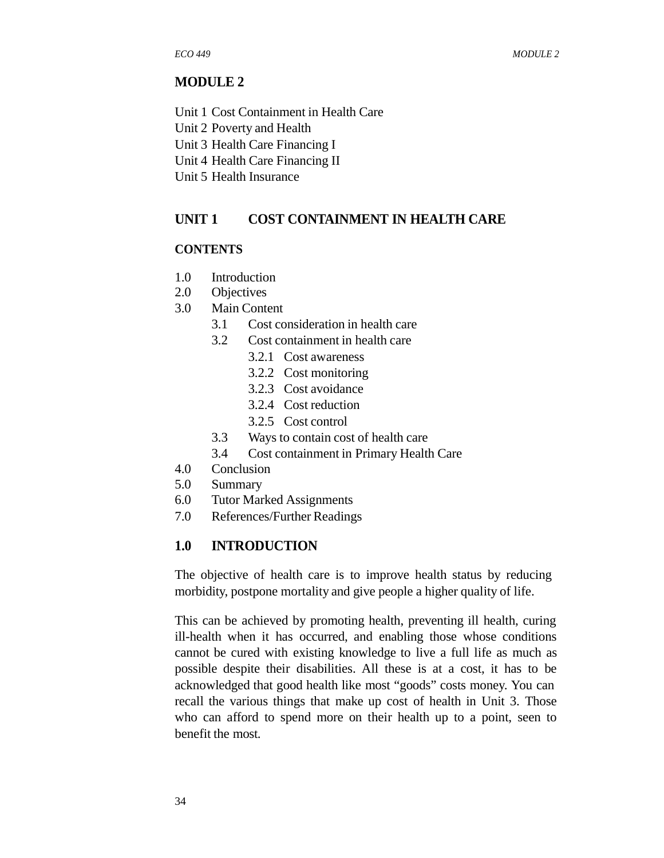#### **MODULE 2**

Unit 1 Cost Containment in Health Care

Unit 2 Poverty and Health

Unit 3 Health Care Financing I

Unit 4 Health Care Financing II

Unit 5 Health Insurance

## **UNIT 1 COST CONTAINMENT IN HEALTH CARE**

#### **CONTENTS**

- 1.0 Introduction
- 2.0 Objectives
- 3.0 Main Content
	- 3.1 Cost consideration in health care
	- 3.2 Cost containment in health care
		- 3.2.1 Cost awareness
		- 3.2.2 Cost monitoring
		- 3.2.3 Cost avoidance
		- 3.2.4 Cost reduction
		- 3.2.5 Cost control
	- 3.3 Ways to contain cost of health care
	- 3.4 Cost containment in Primary Health Care
- 4.0 Conclusion
- 5.0 Summary
- 6.0 Tutor Marked Assignments
- 7.0 References/Further Readings

#### **1.0 INTRODUCTION**

The objective of health care is to improve health status by reducing morbidity, postpone mortality and give people a higher quality of life.

This can be achieved by promoting health, preventing ill health, curing ill-health when it has occurred, and enabling those whose conditions cannot be cured with existing knowledge to live a full life as much as possible despite their disabilities. All these is at a cost, it has to be acknowledged that good health like most "goods" costs money. You can recall the various things that make up cost of health in Unit 3. Those who can afford to spend more on their health up to a point, seen to benefit the most.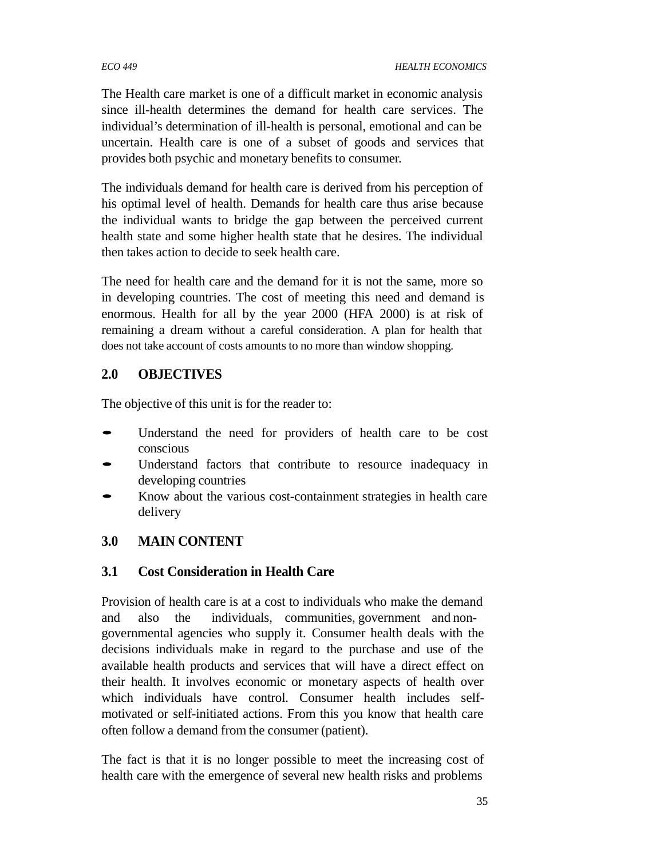#### *ECO 449 HEALTH ECONOMICS*

The Health care market is one of a difficult market in economic analysis since ill-health determines the demand for health care services. The individual's determination of ill-health is personal, emotional and can be uncertain. Health care is one of a subset of goods and services that provides both psychic and monetary benefits to consumer.

The individuals demand for health care is derived from his perception of his optimal level of health. Demands for health care thus arise because the individual wants to bridge the gap between the perceived current health state and some higher health state that he desires. The individual then takes action to decide to seek health care.

The need for health care and the demand for it is not the same, more so in developing countries. The cost of meeting this need and demand is enormous. Health for all by the year 2000 (HFA 2000) is at risk of remaining a dream without a careful consideration. A plan for health that does not take account of costs amounts to no more than window shopping.

## **2.0 OBJECTIVES**

The objective of this unit is for the reader to:

- Understand the need for providers of health care to be cost conscious
- Understand factors that contribute to resource inadequacy in developing countries
- Know about the various cost-containment strategies in health care delivery

# **3.0 MAIN CONTENT**

# **3.1 Cost Consideration in Health Care**

Provision of health care is at a cost to individuals who make the demand and also the individuals, communities, government and nongovernmental agencies who supply it. Consumer health deals with the decisions individuals make in regard to the purchase and use of the available health products and services that will have a direct effect on their health. It involves economic or monetary aspects of health over which individuals have control. Consumer health includes selfmotivated or self-initiated actions. From this you know that health care often follow a demand from the consumer (patient).

The fact is that it is no longer possible to meet the increasing cost of health care with the emergence of several new health risks and problems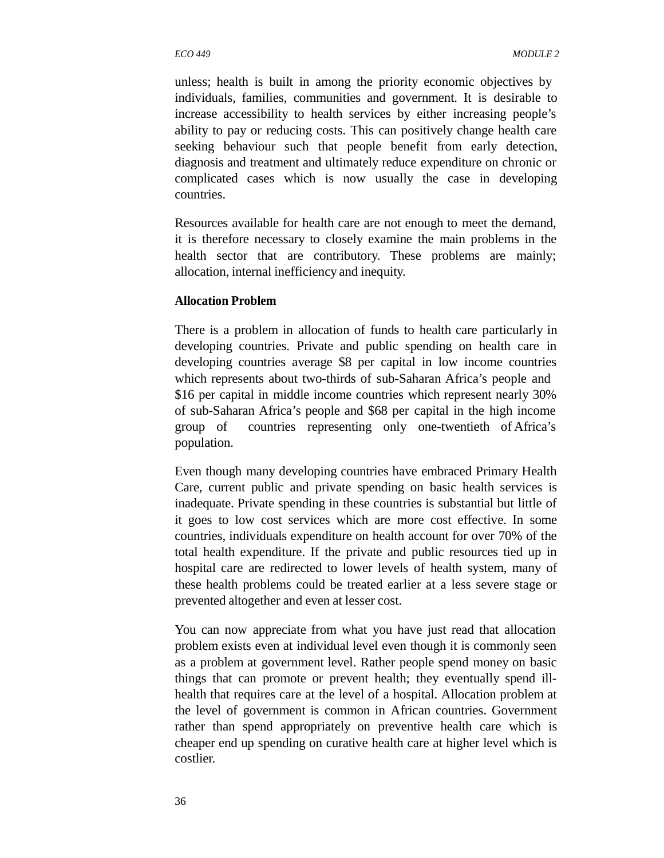unless; health is built in among the priority economic objectives by individuals, families, communities and government. It is desirable to increase accessibility to health services by either increasing people's ability to pay or reducing costs. This can positively change health care seeking behaviour such that people benefit from early detection, diagnosis and treatment and ultimately reduce expenditure on chronic or complicated cases which is now usually the case in developing countries.

Resources available for health care are not enough to meet the demand, it is therefore necessary to closely examine the main problems in the health sector that are contributory. These problems are mainly; allocation, internal inefficiency and inequity.

#### **Allocation Problem**

There is a problem in allocation of funds to health care particularly in developing countries. Private and public spending on health care in developing countries average \$8 per capital in low income countries which represents about two-thirds of sub-Saharan Africa's people and \$16 per capital in middle income countries which represent nearly 30% of sub-Saharan Africa's people and \$68 per capital in the high income group of countries representing only one-twentieth of Africa's population.

Even though many developing countries have embraced Primary Health Care, current public and private spending on basic health services is inadequate. Private spending in these countries is substantial but little of it goes to low cost services which are more cost effective. In some countries, individuals expenditure on health account for over 70% of the total health expenditure. If the private and public resources tied up in hospital care are redirected to lower levels of health system, many of these health problems could be treated earlier at a less severe stage or prevented altogether and even at lesser cost.

You can now appreciate from what you have just read that allocation problem exists even at individual level even though it is commonly seen as a problem at government level. Rather people spend money on basic things that can promote or prevent health; they eventually spend illhealth that requires care at the level of a hospital. Allocation problem at the level of government is common in African countries. Government rather than spend appropriately on preventive health care which is cheaper end up spending on curative health care at higher level which is costlier.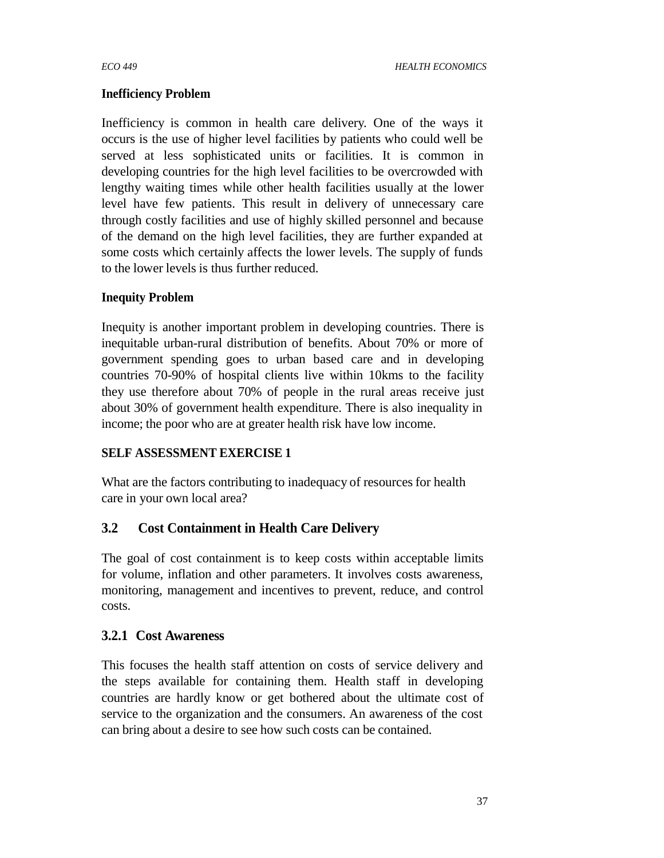## **Inefficiency Problem**

Inefficiency is common in health care delivery. One of the ways it occurs is the use of higher level facilities by patients who could well be served at less sophisticated units or facilities. It is common in developing countries for the high level facilities to be overcrowded with lengthy waiting times while other health facilities usually at the lower level have few patients. This result in delivery of unnecessary care through costly facilities and use of highly skilled personnel and because of the demand on the high level facilities, they are further expanded at some costs which certainly affects the lower levels. The supply of funds to the lower levels is thus further reduced.

## **Inequity Problem**

Inequity is another important problem in developing countries. There is inequitable urban-rural distribution of benefits. About 70% or more of government spending goes to urban based care and in developing countries 70-90% of hospital clients live within 10kms to the facility they use therefore about 70% of people in the rural areas receive just about 30% of government health expenditure. There is also inequality in income; the poor who are at greater health risk have low income.

## **SELF ASSESSMENT EXERCISE 1**

What are the factors contributing to inadequacy of resources for health care in your own local area?

# **3.2 Cost Containment in Health Care Delivery**

The goal of cost containment is to keep costs within acceptable limits for volume, inflation and other parameters. It involves costs awareness, monitoring, management and incentives to prevent, reduce, and control costs.

# **3.2.1 Cost Awareness**

This focuses the health staff attention on costs of service delivery and the steps available for containing them. Health staff in developing countries are hardly know or get bothered about the ultimate cost of service to the organization and the consumers. An awareness of the cost can bring about a desire to see how such costs can be contained.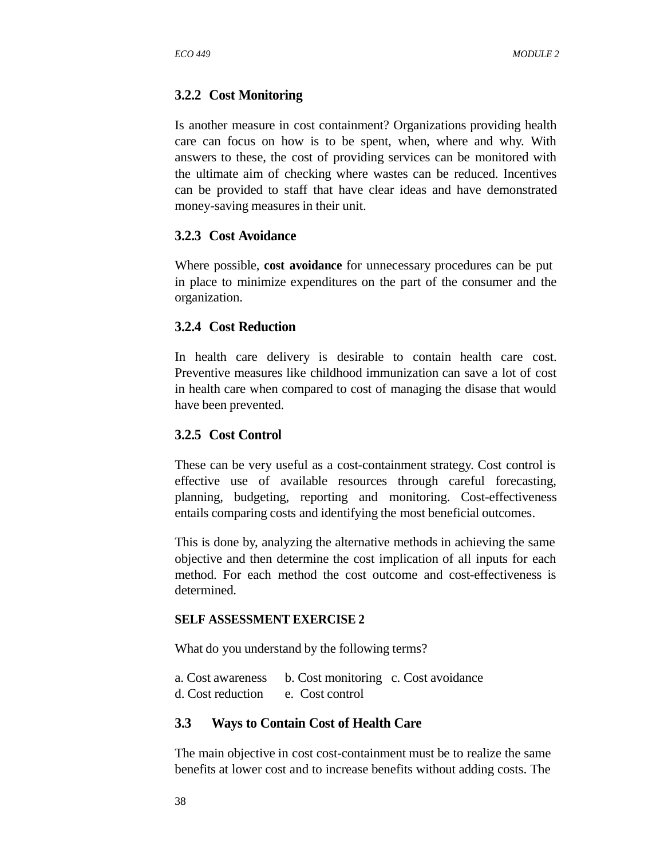## **3.2.2 Cost Monitoring**

Is another measure in cost containment? Organizations providing health care can focus on how is to be spent, when, where and why. With answers to these, the cost of providing services can be monitored with the ultimate aim of checking where wastes can be reduced. Incentives can be provided to staff that have clear ideas and have demonstrated money-saving measures in their unit.

#### **3.2.3 Cost Avoidance**

Where possible, **cost avoidance** for unnecessary procedures can be put in place to minimize expenditures on the part of the consumer and the organization.

## **3.2.4 Cost Reduction**

In health care delivery is desirable to contain health care cost. Preventive measures like childhood immunization can save a lot of cost in health care when compared to cost of managing the disase that would have been prevented.

## **3.2.5 Cost Control**

These can be very useful as a cost-containment strategy. Cost control is effective use of available resources through careful forecasting, planning, budgeting, reporting and monitoring. Cost-effectiveness entails comparing costs and identifying the most beneficial outcomes.

This is done by, analyzing the alternative methods in achieving the same objective and then determine the cost implication of all inputs for each method. For each method the cost outcome and cost-effectiveness is determined.

#### **SELF ASSESSMENT EXERCISE 2**

What do you understand by the following terms?

a. Cost awareness b. Cost monitoring c. Cost avoidance d. Cost reduction e. Cost control

#### **3.3 Ways to Contain Cost of Health Care**

The main objective in cost cost-containment must be to realize the same benefits at lower cost and to increase benefits without adding costs. The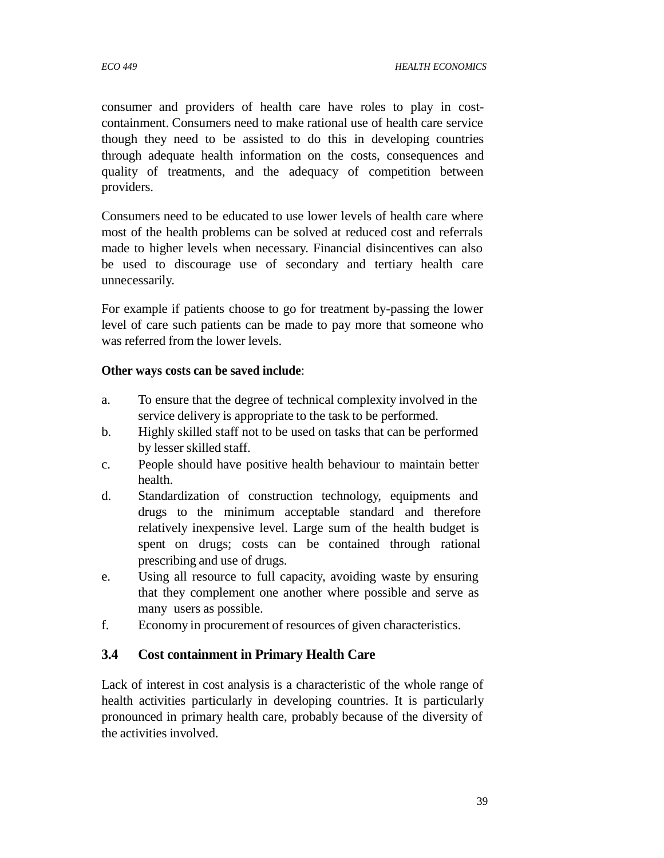consumer and providers of health care have roles to play in costcontainment. Consumers need to make rational use of health care service though they need to be assisted to do this in developing countries through adequate health information on the costs, consequences and quality of treatments, and the adequacy of competition between providers.

Consumers need to be educated to use lower levels of health care where most of the health problems can be solved at reduced cost and referrals made to higher levels when necessary. Financial disincentives can also be used to discourage use of secondary and tertiary health care unnecessarily.

For example if patients choose to go for treatment by-passing the lower level of care such patients can be made to pay more that someone who was referred from the lower levels.

#### **Other ways costs can be saved include**:

- a. To ensure that the degree of technical complexity involved in the service delivery is appropriate to the task to be performed.
- b. Highly skilled staff not to be used on tasks that can be performed by lesser skilled staff.
- c. People should have positive health behaviour to maintain better health.
- d. Standardization of construction technology, equipments and drugs to the minimum acceptable standard and therefore relatively inexpensive level. Large sum of the health budget is spent on drugs; costs can be contained through rational prescribing and use of drugs.
- e. Using all resource to full capacity, avoiding waste by ensuring that they complement one another where possible and serve as many users as possible.
- f. Economy in procurement of resources of given characteristics.

# **3.4 Cost containment in Primary Health Care**

Lack of interest in cost analysis is a characteristic of the whole range of health activities particularly in developing countries. It is particularly pronounced in primary health care, probably because of the diversity of the activities involved.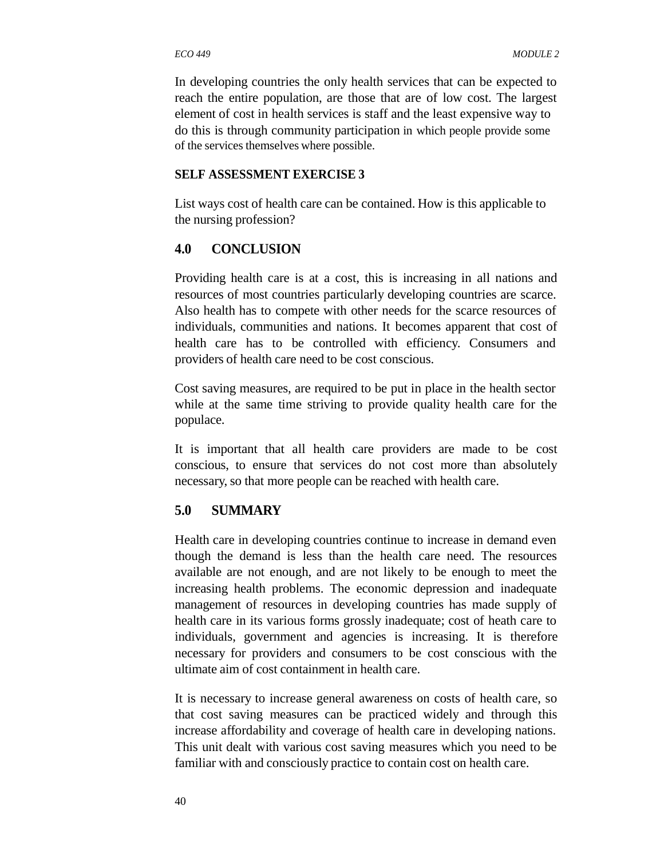In developing countries the only health services that can be expected to reach the entire population, are those that are of low cost. The largest element of cost in health services is staff and the least expensive way to do this is through community participation in which people provide some of the services themselves where possible.

#### **SELF ASSESSMENT EXERCISE 3**

List ways cost of health care can be contained. How is this applicable to the nursing profession?

#### **4.0 CONCLUSION**

Providing health care is at a cost, this is increasing in all nations and resources of most countries particularly developing countries are scarce. Also health has to compete with other needs for the scarce resources of individuals, communities and nations. It becomes apparent that cost of health care has to be controlled with efficiency. Consumers and providers of health care need to be cost conscious.

Cost saving measures, are required to be put in place in the health sector while at the same time striving to provide quality health care for the populace.

It is important that all health care providers are made to be cost conscious, to ensure that services do not cost more than absolutely necessary, so that more people can be reached with health care.

#### **5.0 SUMMARY**

Health care in developing countries continue to increase in demand even though the demand is less than the health care need. The resources available are not enough, and are not likely to be enough to meet the increasing health problems. The economic depression and inadequate management of resources in developing countries has made supply of health care in its various forms grossly inadequate; cost of heath care to individuals, government and agencies is increasing. It is therefore necessary for providers and consumers to be cost conscious with the ultimate aim of cost containment in health care.

It is necessary to increase general awareness on costs of health care, so that cost saving measures can be practiced widely and through this increase affordability and coverage of health care in developing nations. This unit dealt with various cost saving measures which you need to be familiar with and consciously practice to contain cost on health care.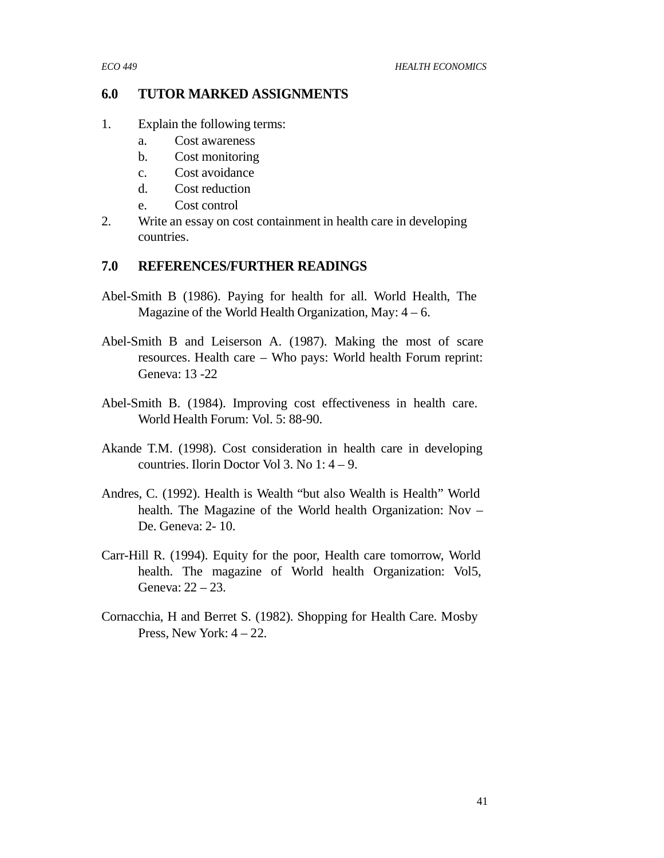## **6.0 TUTOR MARKED ASSIGNMENTS**

- 1. Explain the following terms:
	- a. Cost awareness
	- b. Cost monitoring
	- c. Cost avoidance
	- d. Cost reduction
	- e. Cost control
- 2. Write an essay on cost containment in health care in developing countries.

## **7.0 REFERENCES/FURTHER READINGS**

- Abel-Smith B (1986). Paying for health for all. World Health, The Magazine of the World Health Organization, May:  $4 - 6$ .
- Abel-Smith B and Leiserson A. (1987). Making the most of scare resources. Health care – Who pays: World health Forum reprint: Geneva: 13 -22
- Abel-Smith B. (1984). Improving cost effectiveness in health care. World Health Forum: Vol. 5: 88-90.
- Akande T.M. (1998). Cost consideration in health care in developing countries. Ilorin Doctor Vol 3. No 1: 4 – 9.
- Andres, C. (1992). Health is Wealth "but also Wealth is Health" World health. The Magazine of the World health Organization: Nov – De. Geneva: 2- 10.
- Carr-Hill R. (1994). Equity for the poor, Health care tomorrow, World health. The magazine of World health Organization: Vol5, Geneva: 22 – 23.
- Cornacchia, H and Berret S. (1982). Shopping for Health Care. Mosby Press, New York:  $4 - 22$ .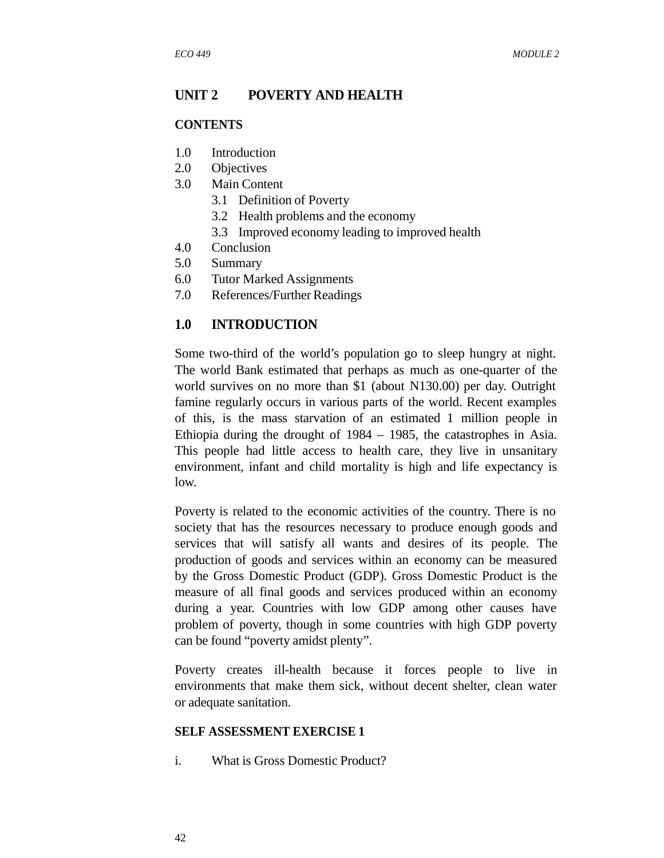#### **UNIT 2 POVERTY AND HEALTH**

#### **CONTENTS**

- 1.0 Introduction
- 2.0 Objectives
- 3.0 Main Content
	- 3.1 Definition of Poverty
	- 3.2 Health problems and the economy
	- 3.3 Improved economy leading to improved health
- 4.0 Conclusion
- 5.0 Summary
- 6.0 Tutor Marked Assignments
- 7.0 References/Further Readings

#### **1.0 INTRODUCTION**

Some two-third of the world's population go to sleep hungry at night. The world Bank estimated that perhaps as much as one-quarter of the world survives on no more than \$1 (about N130.00) per day. Outright famine regularly occurs in various parts of the world. Recent examples of this, is the mass starvation of an estimated 1 million people in Ethiopia during the drought of 1984 – 1985, the catastrophes in Asia. This people had little access to health care, they live in unsanitary environment, infant and child mortality is high and life expectancy is low.

Poverty is related to the economic activities of the country. There is no society that has the resources necessary to produce enough goods and services that will satisfy all wants and desires of its people. The production of goods and services within an economy can be measured by the Gross Domestic Product (GDP). Gross Domestic Product is the measure of all final goods and services produced within an economy during a year. Countries with low GDP among other causes have problem of poverty, though in some countries with high GDP poverty can be found "poverty amidst plenty".

Poverty creates ill-health because it forces people to live in environments that make them sick, without decent shelter, clean water or adequate sanitation.

#### **SELF ASSESSMENT EXERCISE 1**

i. What is Gross Domestic Product?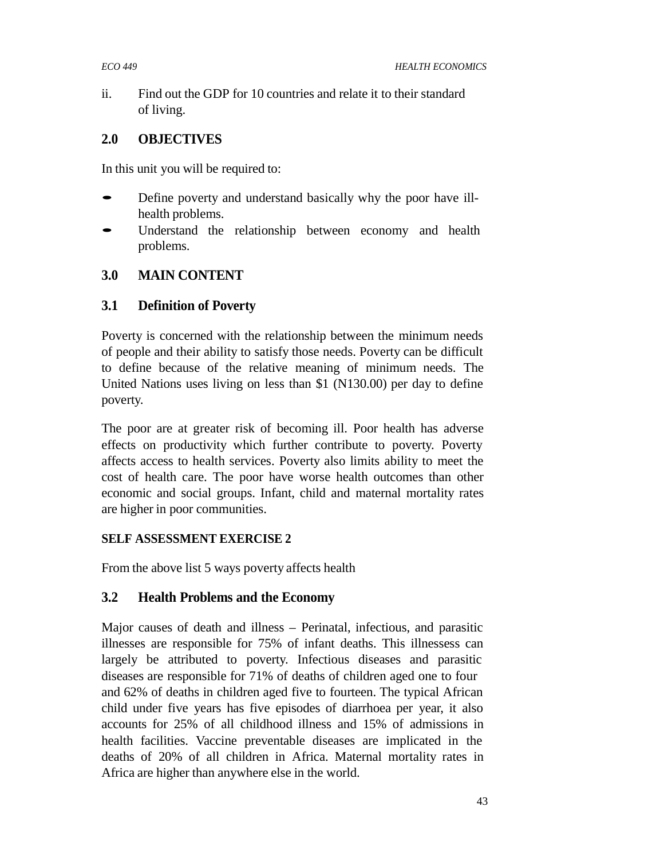ii. Find out the GDP for 10 countries and relate it to their standard of living.

# **2.0 OBJECTIVES**

In this unit you will be required to:

- Define poverty and understand basically why the poor have illhealth problems.
- Understand the relationship between economy and health problems.

# **3.0 MAIN CONTENT**

# **3.1 Definition of Poverty**

Poverty is concerned with the relationship between the minimum needs of people and their ability to satisfy those needs. Poverty can be difficult to define because of the relative meaning of minimum needs. The United Nations uses living on less than \$1 (N130.00) per day to define poverty.

The poor are at greater risk of becoming ill. Poor health has adverse effects on productivity which further contribute to poverty. Poverty affects access to health services. Poverty also limits ability to meet the cost of health care. The poor have worse health outcomes than other economic and social groups. Infant, child and maternal mortality rates are higher in poor communities.

## **SELF ASSESSMENT EXERCISE 2**

From the above list 5 ways poverty affects health

# **3.2 Health Problems and the Economy**

Major causes of death and illness – Perinatal, infectious, and parasitic illnesses are responsible for 75% of infant deaths. This illnessess can largely be attributed to poverty. Infectious diseases and parasitic diseases are responsible for 71% of deaths of children aged one to four and 62% of deaths in children aged five to fourteen. The typical African child under five years has five episodes of diarrhoea per year, it also accounts for 25% of all childhood illness and 15% of admissions in health facilities. Vaccine preventable diseases are implicated in the deaths of 20% of all children in Africa. Maternal mortality rates in Africa are higher than anywhere else in the world.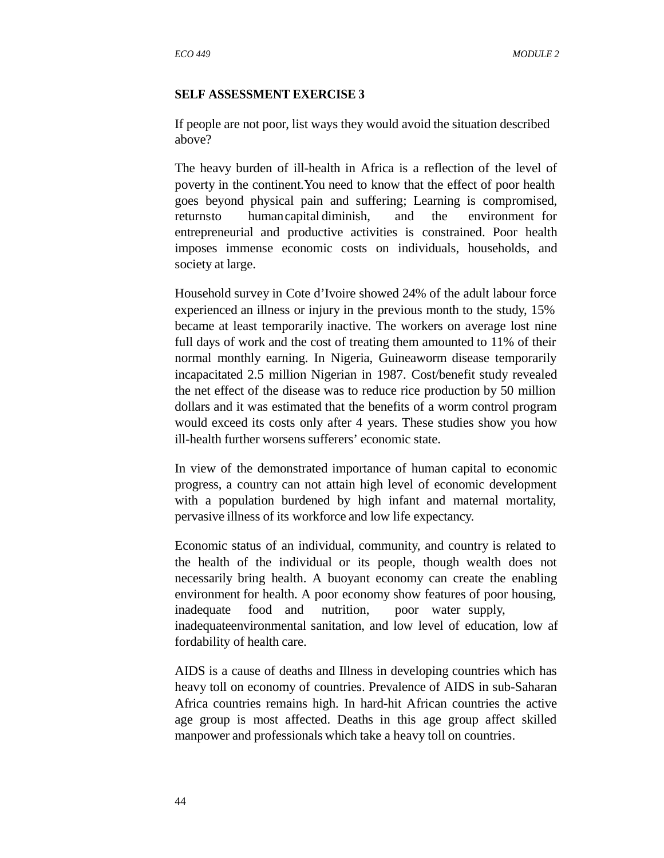#### **SELF ASSESSMENT EXERCISE 3**

If people are not poor, list ways they would avoid the situation described above?

The heavy burden of ill-health in Africa is a reflection of the level of poverty in the continent.You need to know that the effect of poor health goes beyond physical pain and suffering; Learning is compromised, returnsto humancapital diminish, and the environment for entrepreneurial and productive activities is constrained. Poor health imposes immense economic costs on individuals, households, and society at large.

Household survey in Cote d'Ivoire showed 24% of the adult labour force experienced an illness or injury in the previous month to the study, 15% became at least temporarily inactive. The workers on average lost nine full days of work and the cost of treating them amounted to 11% of their normal monthly earning. In Nigeria, Guineaworm disease temporarily incapacitated 2.5 million Nigerian in 1987. Cost/benefit study revealed the net effect of the disease was to reduce rice production by 50 million dollars and it was estimated that the benefits of a worm control program would exceed its costs only after 4 years. These studies show you how ill-health further worsens sufferers' economic state.

In view of the demonstrated importance of human capital to economic progress, a country can not attain high level of economic development with a population burdened by high infant and maternal mortality, pervasive illness of its workforce and low life expectancy.

Economic status of an individual, community, and country is related to the health of the individual or its people, though wealth does not necessarily bring health. A buoyant economy can create the enabling environment for health. A poor economy show features of poor housing, inadequate food and nutrition, poor water supply, inadequateenvironmental sanitation, and low level of education, low af fordability of health care.

AIDS is a cause of deaths and Illness in developing countries which has heavy toll on economy of countries. Prevalence of AIDS in sub-Saharan Africa countries remains high. In hard-hit African countries the active age group is most affected. Deaths in this age group affect skilled manpower and professionals which take a heavy toll on countries.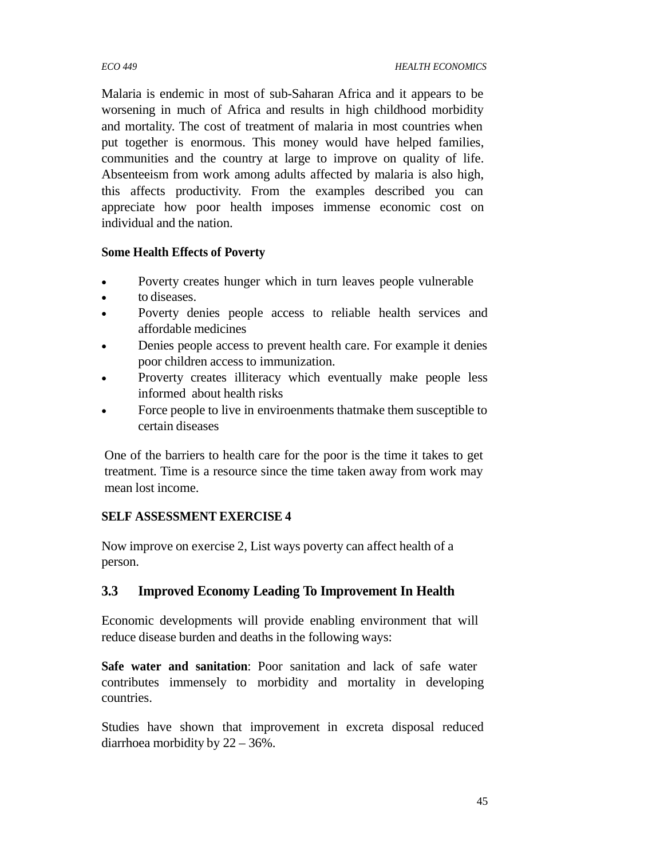Malaria is endemic in most of sub-Saharan Africa and it appears to be worsening in much of Africa and results in high childhood morbidity and mortality. The cost of treatment of malaria in most countries when put together is enormous. This money would have helped families, communities and the country at large to improve on quality of life. Absenteeism from work among adults affected by malaria is also high, this affects productivity. From the examples described you can appreciate how poor health imposes immense economic cost on individual and the nation.

## **Some Health Effects of Poverty**

- Poverty creates hunger which in turn leaves people vulnerable
- to diseases.
- Poverty denies people access to reliable health services and affordable medicines
- Denies people access to prevent health care. For example it denies poor children access to immunization.
- Proverty creates illiteracy which eventually make people less informed about health risks
- Force people to live in enviroenments thatmake them susceptible to certain diseases

One of the barriers to health care for the poor is the time it takes to get treatment. Time is a resource since the time taken away from work may mean lost income.

# **SELF ASSESSMENT EXERCISE 4**

Now improve on exercise 2, List ways poverty can affect health of a person.

# **3.3 Improved Economy Leading To Improvement In Health**

Economic developments will provide enabling environment that will reduce disease burden and deaths in the following ways:

**Safe water and sanitation**: Poor sanitation and lack of safe water contributes immensely to morbidity and mortality in developing countries.

Studies have shown that improvement in excreta disposal reduced diarrhoea morbidity by 22 – 36%.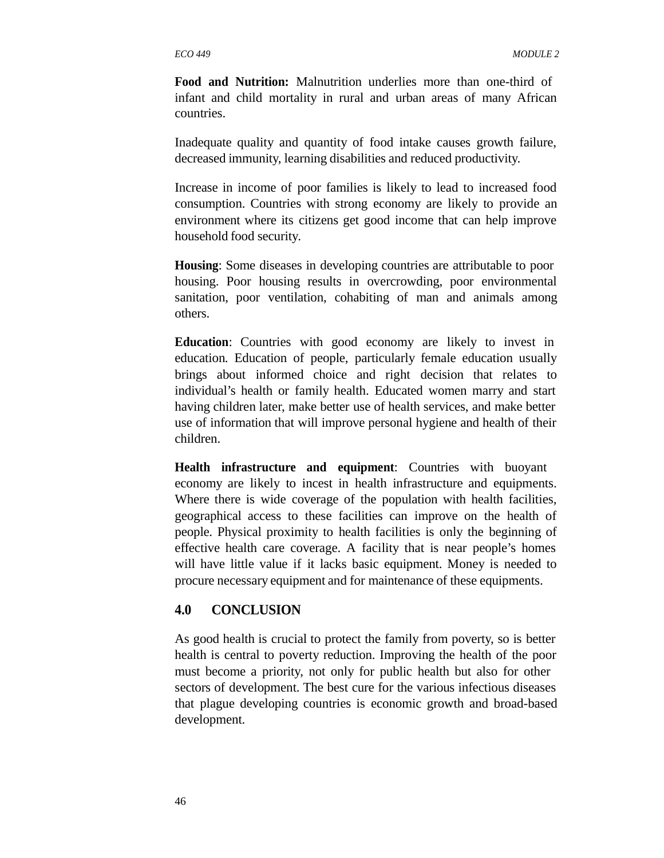**Food and Nutrition:** Malnutrition underlies more than one-third of infant and child mortality in rural and urban areas of many African countries.

Inadequate quality and quantity of food intake causes growth failure, decreased immunity, learning disabilities and reduced productivity.

Increase in income of poor families is likely to lead to increased food consumption. Countries with strong economy are likely to provide an environment where its citizens get good income that can help improve household food security.

**Housing**: Some diseases in developing countries are attributable to poor housing. Poor housing results in overcrowding, poor environmental sanitation, poor ventilation, cohabiting of man and animals among others.

**Education**: Countries with good economy are likely to invest in education. Education of people, particularly female education usually brings about informed choice and right decision that relates to individual's health or family health. Educated women marry and start having children later, make better use of health services, and make better use of information that will improve personal hygiene and health of their children.

**Health infrastructure and equipment**: Countries with buoyant economy are likely to incest in health infrastructure and equipments. Where there is wide coverage of the population with health facilities, geographical access to these facilities can improve on the health of people. Physical proximity to health facilities is only the beginning of effective health care coverage. A facility that is near people's homes will have little value if it lacks basic equipment. Money is needed to procure necessary equipment and for maintenance of these equipments.

#### **4.0 CONCLUSION**

As good health is crucial to protect the family from poverty, so is better health is central to poverty reduction. Improving the health of the poor must become a priority, not only for public health but also for other sectors of development. The best cure for the various infectious diseases that plague developing countries is economic growth and broad-based development.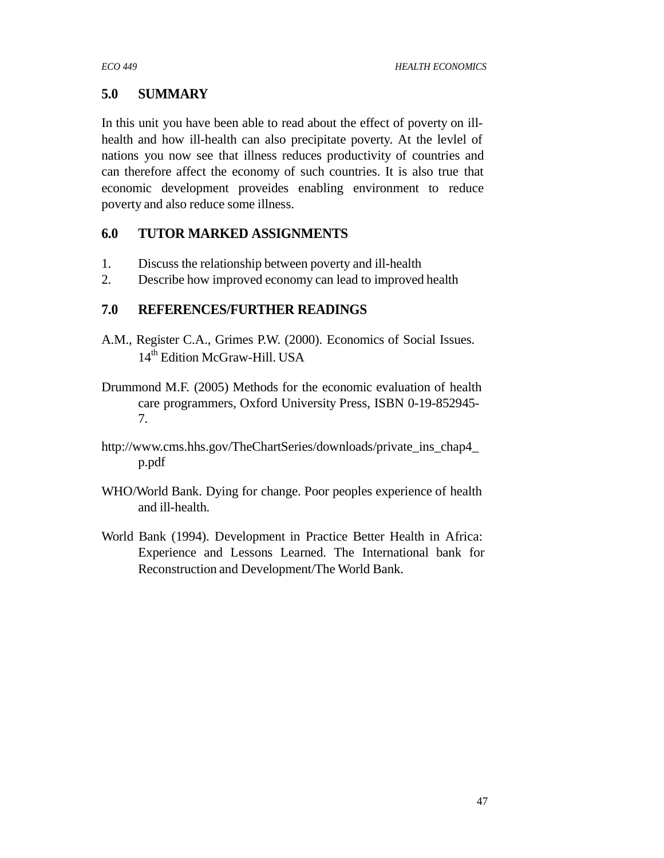# **5.0 SUMMARY**

In this unit you have been able to read about the effect of poverty on illhealth and how ill-health can also precipitate poverty. At the levlel of nations you now see that illness reduces productivity of countries and can therefore affect the economy of such countries. It is also true that economic development proveides enabling environment to reduce poverty and also reduce some illness.

# **6.0 TUTOR MARKED ASSIGNMENTS**

- 1. Discuss the relationship between poverty and ill-health
- 2. Describe how improved economy can lead to improved health

# **7.0 REFERENCES/FURTHER READINGS**

- A.M., Register C.A., Grimes P.W. (2000). Economics of Social Issues. 14<sup>th</sup> Edition McGraw-Hill. USA
- Drummond M.F. (2005) Methods for the economic evaluation of health care programmers, Oxford University Press, ISBN 0-19-852945- 7.
- http://www.cms.hhs.gov/TheChartSeries/downloads/private\_ins\_chap4\_ p.pdf
- WHO/World Bank. Dying for change. Poor peoples experience of health and ill-health.
- World Bank (1994). Development in Practice Better Health in Africa: Experience and Lessons Learned. The International bank for Reconstruction and Development/The World Bank.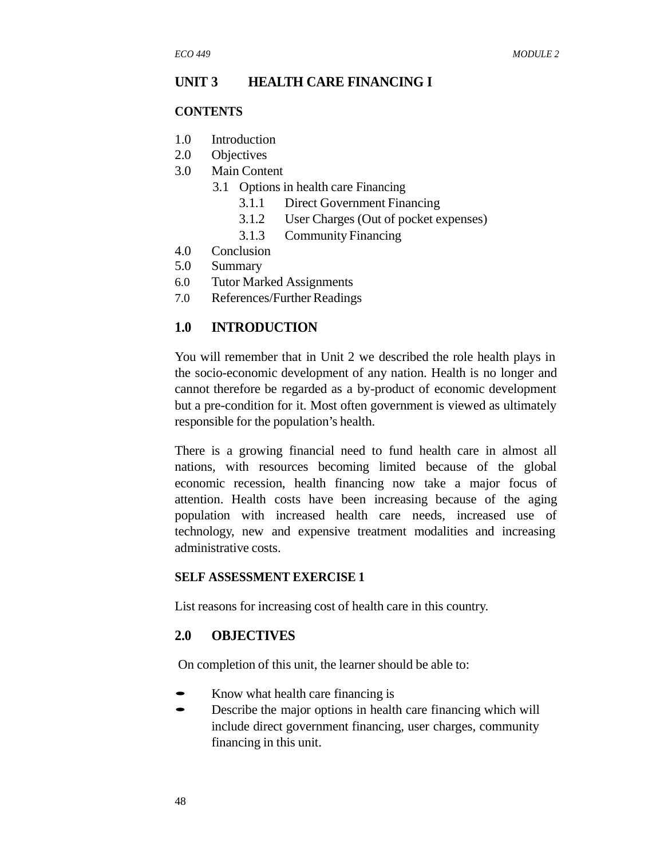#### **UNIT 3 HEALTH CARE FINANCING I**

#### **CONTENTS**

- 1.0 Introduction
- 2.0 Objectives
- 3.0 Main Content
	- 3.1 Options in health care Financing
		- 3.1.1 Direct Government Financing
		- 3.1.2 User Charges (Out of pocket expenses)
		- 3.1.3 Community Financing
- 4.0 Conclusion
- 5.0 Summary
- 6.0 Tutor Marked Assignments
- 7.0 References/Further Readings

#### **1.0 INTRODUCTION**

You will remember that in Unit 2 we described the role health plays in the socio-economic development of any nation. Health is no longer and cannot therefore be regarded as a by-product of economic development but a pre-condition for it. Most often government is viewed as ultimately responsible for the population's health.

There is a growing financial need to fund health care in almost all nations, with resources becoming limited because of the global economic recession, health financing now take a major focus of attention. Health costs have been increasing because of the aging population with increased health care needs, increased use of technology, new and expensive treatment modalities and increasing administrative costs.

#### **SELF ASSESSMENT EXERCISE 1**

List reasons for increasing cost of health care in this country.

#### **2.0 OBJECTIVES**

On completion of this unit, the learner should be able to:

- Know what health care financing is<br>• Describe the major options in healt
- Describe the major options in health care financing which will include direct government financing, user charges, community financing in this unit.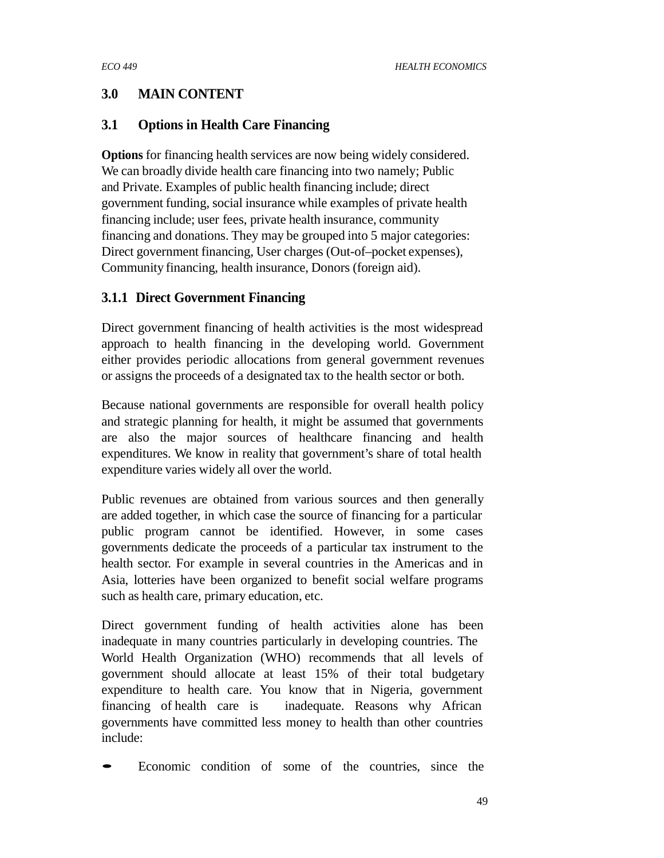# **3.0 MAIN CONTENT**

# **3.1 Options in Health Care Financing**

**Options** for financing health services are now being widely considered. We can broadly divide health care financing into two namely; Public and Private. Examples of public health financing include; direct government funding, social insurance while examples of private health financing include; user fees, private health insurance, community financing and donations. They may be grouped into 5 major categories: Direct government financing, User charges (Out-of–pocket expenses), Community financing, health insurance, Donors (foreign aid).

# **3.1.1 Direct Government Financing**

Direct government financing of health activities is the most widespread approach to health financing in the developing world. Government either provides periodic allocations from general government revenues or assigns the proceeds of a designated tax to the health sector or both.

Because national governments are responsible for overall health policy and strategic planning for health, it might be assumed that governments are also the major sources of healthcare financing and health expenditures. We know in reality that government's share of total health expenditure varies widely all over the world.

Public revenues are obtained from various sources and then generally are added together, in which case the source of financing for a particular public program cannot be identified. However, in some cases governments dedicate the proceeds of a particular tax instrument to the health sector. For example in several countries in the Americas and in Asia, lotteries have been organized to benefit social welfare programs such as health care, primary education, etc.

Direct government funding of health activities alone has been inadequate in many countries particularly in developing countries. The World Health Organization (WHO) recommends that all levels of government should allocate at least 15% of their total budgetary expenditure to health care. You know that in Nigeria, government financing of health care is inadequate. Reasons why African governments have committed less money to health than other countries include:

• Economic condition of some of the countries, since the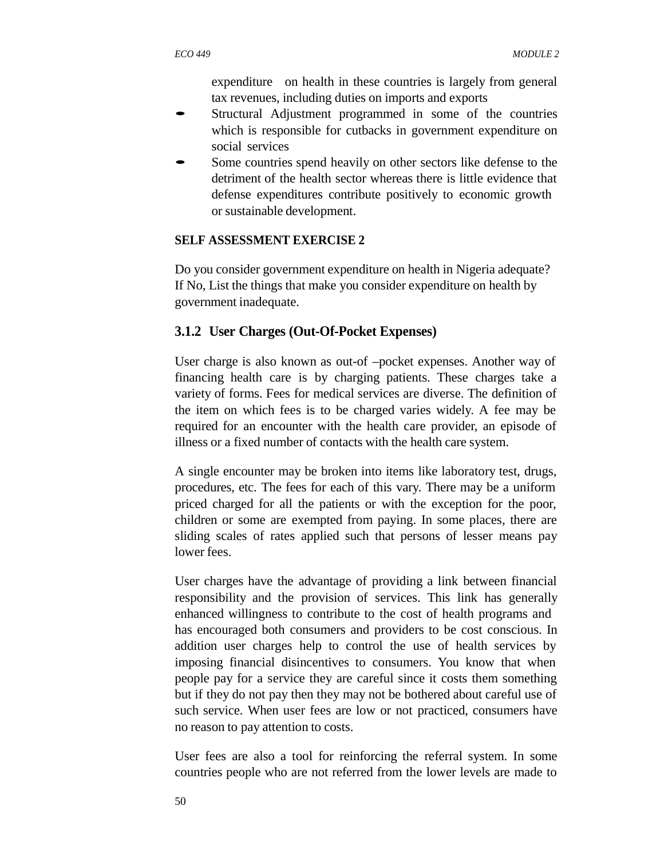expenditure on health in these countries is largely from general tax revenues, including duties on imports and exports

- Structural Adjustment programmed in some of the countries which is responsible for cutbacks in government expenditure on social services
- Some countries spend heavily on other sectors like defense to the detriment of the health sector whereas there is little evidence that defense expenditures contribute positively to economic growth or sustainable development.

#### **SELF ASSESSMENT EXERCISE 2**

Do you consider government expenditure on health in Nigeria adequate? If No, List the things that make you consider expenditure on health by government inadequate.

## **3.1.2 User Charges (Out-Of-Pocket Expenses)**

User charge is also known as out-of –pocket expenses. Another way of financing health care is by charging patients. These charges take a variety of forms. Fees for medical services are diverse. The definition of the item on which fees is to be charged varies widely. A fee may be required for an encounter with the health care provider, an episode of illness or a fixed number of contacts with the health care system.

A single encounter may be broken into items like laboratory test, drugs, procedures, etc. The fees for each of this vary. There may be a uniform priced charged for all the patients or with the exception for the poor, children or some are exempted from paying. In some places, there are sliding scales of rates applied such that persons of lesser means pay lower fees.

User charges have the advantage of providing a link between financial responsibility and the provision of services. This link has generally enhanced willingness to contribute to the cost of health programs and has encouraged both consumers and providers to be cost conscious. In addition user charges help to control the use of health services by imposing financial disincentives to consumers. You know that when people pay for a service they are careful since it costs them something but if they do not pay then they may not be bothered about careful use of such service. When user fees are low or not practiced, consumers have no reason to pay attention to costs.

User fees are also a tool for reinforcing the referral system. In some countries people who are not referred from the lower levels are made to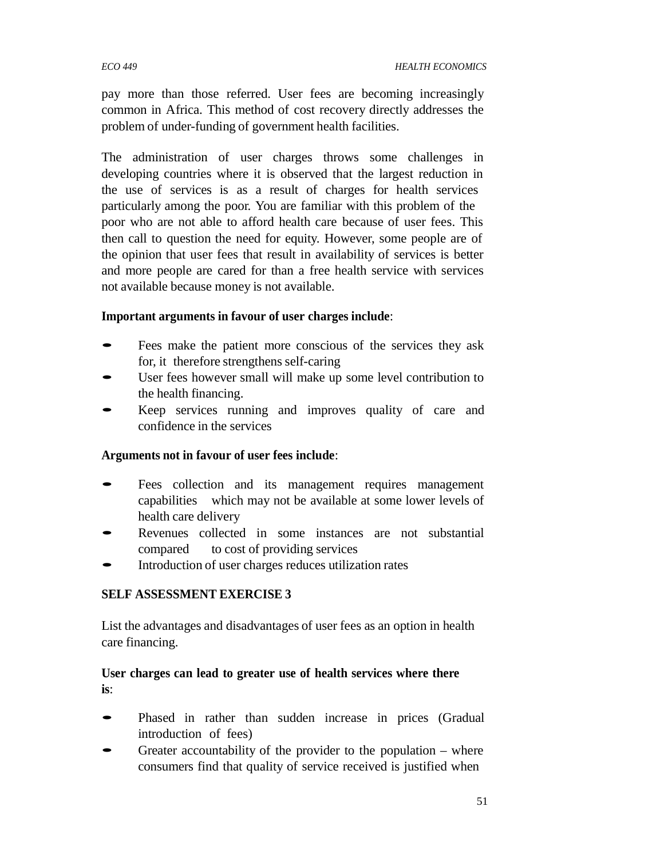*ECO 449 HEALTH ECONOMICS*

pay more than those referred. User fees are becoming increasingly common in Africa. This method of cost recovery directly addresses the problem of under-funding of government health facilities.

The administration of user charges throws some challenges in developing countries where it is observed that the largest reduction in the use of services is as a result of charges for health services particularly among the poor. You are familiar with this problem of the poor who are not able to afford health care because of user fees. This then call to question the need for equity. However, some people are of the opinion that user fees that result in availability of services is better and more people are cared for than a free health service with services not available because money is not available.

## **Important arguments in favour of user charges include**:

- Fees make the patient more conscious of the services they ask for, it therefore strengthens self-caring
- User fees however small will make up some level contribution to the health financing.
- Keep services running and improves quality of care and confidence in the services

## **Arguments not in favour of user fees include**:

- Fees collection and its management requires management capabilities which may not be available at some lower levels of health care delivery
- Revenues collected in some instances are not substantial compared to cost of providing services
- Introduction of user charges reduces utilization rates

## **SELF ASSESSMENT EXERCISE 3**

List the advantages and disadvantages of user fees as an option in health care financing.

## **User charges can lead to greater use of health services where there is**:

- Phased in rather than sudden increase in prices (Gradual introduction of fees)
- Greater accountability of the provider to the population  $-$  where consumers find that quality of service received is justified when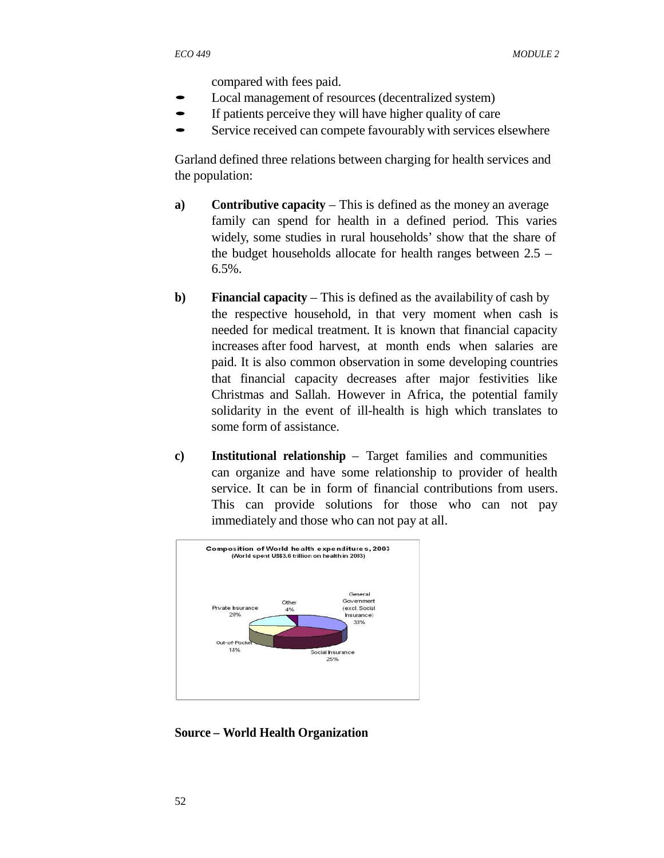compared with fees paid.

- Local management of resources (decentralized system)
- If patients perceive they will have higher quality of care
- Service received can compete favourably with services elsewhere

Garland defined three relations between charging for health services and the population:

- **a) Contributive capacity** This is defined as the money an average family can spend for health in a defined period. This varies widely, some studies in rural households' show that the share of the budget households allocate for health ranges between 2.5 – 6.5%.
- **b) Financial capacity** This is defined as the availability of cash by the respective household, in that very moment when cash is needed for medical treatment. It is known that financial capacity increases after food harvest, at month ends when salaries are paid. It is also common observation in some developing countries that financial capacity decreases after major festivities like Christmas and Sallah. However in Africa, the potential family solidarity in the event of ill-health is high which translates to some form of assistance.
- **c) Institutional relationship** Target families and communities can organize and have some relationship to provider of health service. It can be in form of financial contributions from users. This can provide solutions for those who can not pay immediately and those who can not pay at all.



**Source – World Health Organization**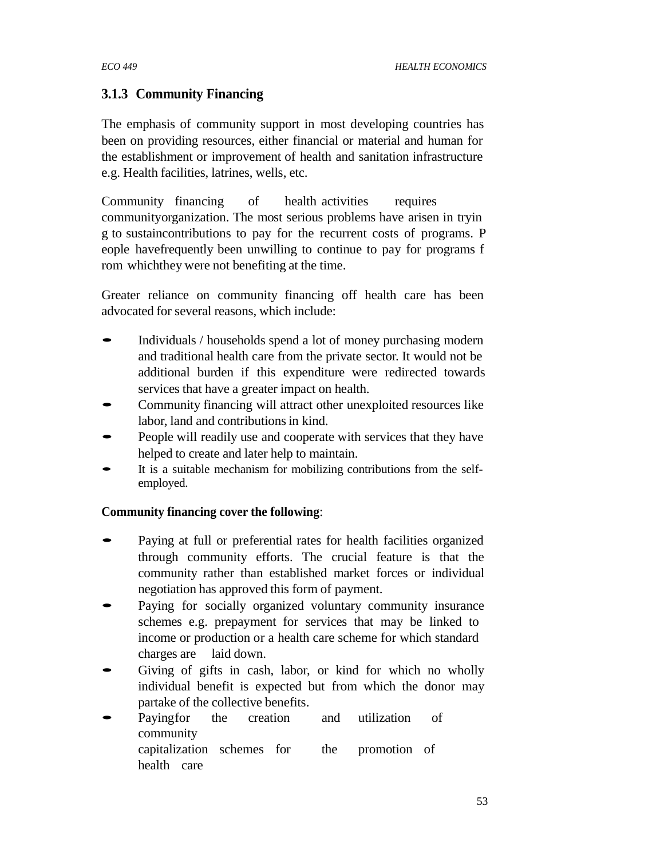# **3.1.3 Community Financing**

The emphasis of community support in most developing countries has been on providing resources, either financial or material and human for the establishment or improvement of health and sanitation infrastructure e.g. Health facilities, latrines, wells, etc.

Community financing of health activities requires communityorganization. The most serious problems have arisen in tryin g to sustaincontributions to pay for the recurrent costs of programs. P eople havefrequently been unwilling to continue to pay for programs f rom whichthey were not benefiting at the time.

Greater reliance on community financing off health care has been advocated for several reasons, which include:

- Individuals / households spend <sup>a</sup> lot of money purchasing modern and traditional health care from the private sector. It would not be additional burden if this expenditure were redirected towards services that have a greater impact on health.
- Community financing will attract other unexploited resources like labor, land and contributions in kind.
- People will readily use and cooperate with services that they have helped to create and later help to maintain.
- It is a suitable mechanism for mobilizing contributions from the selfemployed.

## **Community financing cover the following**:

- Paying at full or preferential rates for health facilities organized through community efforts. The crucial feature is that the community rather than established market forces or individual negotiation has approved this form of payment.
- Paying for socially organized voluntary community insurance schemes e.g. prepayment for services that may be linked to income or production or a health care scheme for which standard charges are laid down.
- Giving of gifts in cash, labor, or kind for which no wholly individual benefit is expected but from which the donor may
- partake of the collective benefits. Payingfor the creation and utilization of community capitalization schemes for the promotion of health care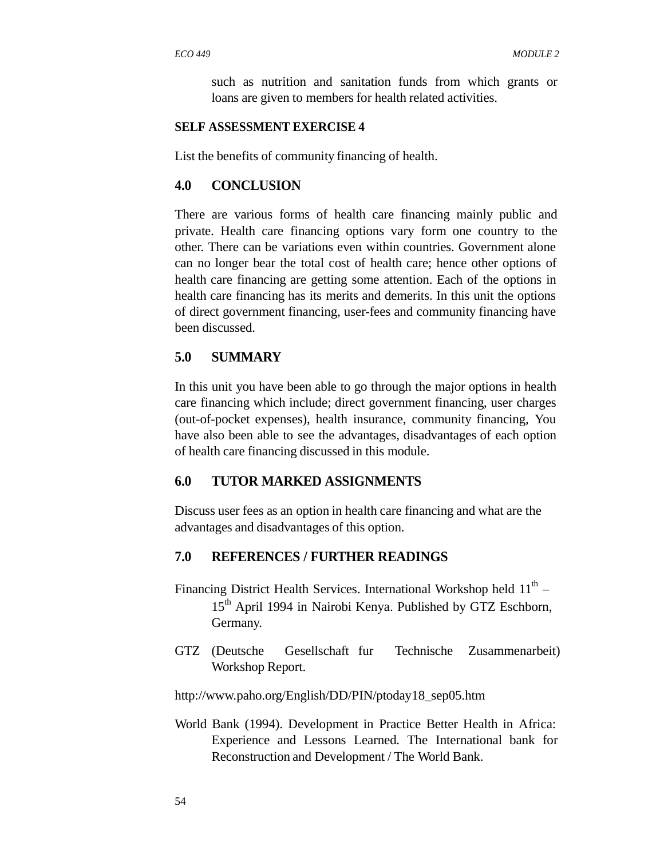such as nutrition and sanitation funds from which grants or loans are given to members for health related activities.

#### **SELF ASSESSMENT EXERCISE 4**

List the benefits of community financing of health.

#### **4.0 CONCLUSION**

There are various forms of health care financing mainly public and private. Health care financing options vary form one country to the other. There can be variations even within countries. Government alone can no longer bear the total cost of health care; hence other options of health care financing are getting some attention. Each of the options in health care financing has its merits and demerits. In this unit the options of direct government financing, user-fees and community financing have been discussed.

#### **5.0 SUMMARY**

In this unit you have been able to go through the major options in health care financing which include; direct government financing, user charges (out-of-pocket expenses), health insurance, community financing, You have also been able to see the advantages, disadvantages of each option of health care financing discussed in this module.

#### **6.0 TUTOR MARKED ASSIGNMENTS**

Discuss user fees as an option in health care financing and what are the advantages and disadvantages of this option.

## **7.0 REFERENCES / FURTHER READINGS**

- Financing District Health Services. International Workshop held  $11^{\text{th}}$  -15<sup>th</sup> April 1994 in Nairobi Kenya. Published by GTZ Eschborn, Germany.
- GTZ (Deutsche Gesellschaft fur Technische Zusammenarbeit) Workshop Report.

http://www.paho.org/English/DD/PIN/ptoday18\_sep05.htm

World Bank (1994). Development in Practice Better Health in Africa: Experience and Lessons Learned. The International bank for Reconstruction and Development / The World Bank.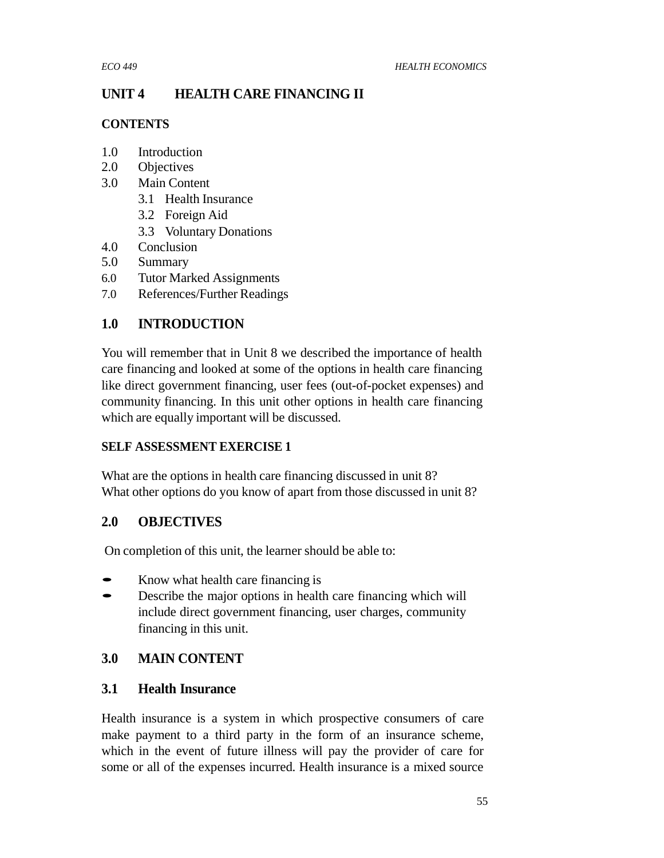# **UNIT 4 HEALTH CARE FINANCING II**

## **CONTENTS**

- 1.0 Introduction
- 2.0 Objectives
- 3.0 Main Content
	- 3.1 Health Insurance
	- 3.2 Foreign Aid
	- 3.3 Voluntary Donations
- 4.0 Conclusion
- 5.0 Summary
- 6.0 Tutor Marked Assignments
- 7.0 References/Further Readings

# **1.0 INTRODUCTION**

You will remember that in Unit 8 we described the importance of health care financing and looked at some of the options in health care financing like direct government financing, user fees (out-of-pocket expenses) and community financing. In this unit other options in health care financing which are equally important will be discussed.

# **SELF ASSESSMENT EXERCISE 1**

What are the options in health care financing discussed in unit 8? What other options do you know of apart from those discussed in unit 8?

# **2.0 OBJECTIVES**

On completion of this unit, the learner should be able to:

- Know what health care financing is<br>• Describe the major options in health
- Describe the major options in health care financing which will include direct government financing, user charges, community financing in this unit.

# **3.0 MAIN CONTENT**

# **3.1 Health Insurance**

Health insurance is a system in which prospective consumers of care make payment to a third party in the form of an insurance scheme, which in the event of future illness will pay the provider of care for some or all of the expenses incurred. Health insurance is a mixed source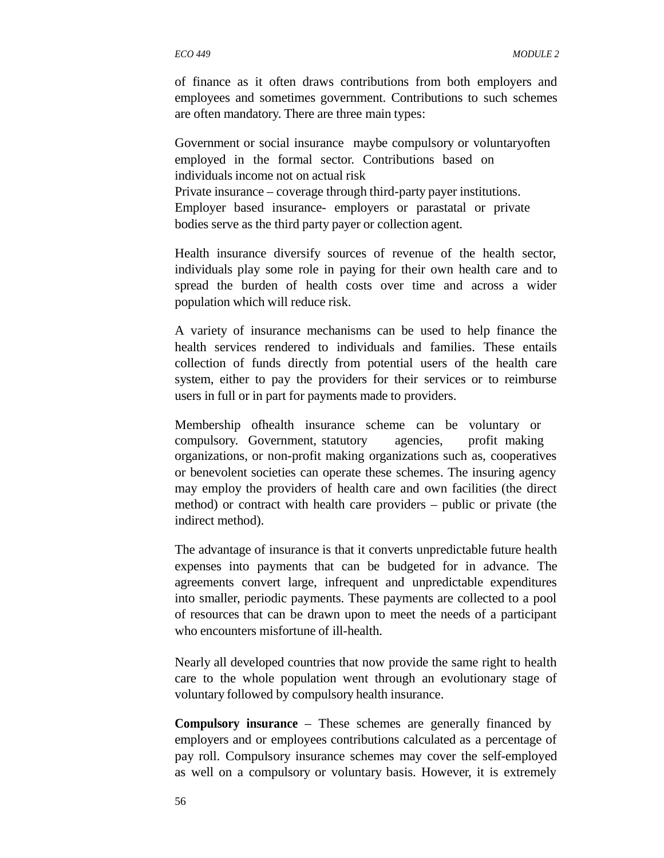of finance as it often draws contributions from both employers and employees and sometimes government. Contributions to such schemes are often mandatory. There are three main types:

Government or social insurance maybe compulsory or voluntaryoften employed in the formal sector. Contributions based on individuals income not on actual risk Private insurance – coverage through third-party payer institutions. Employer based insurance- employers or parastatal or private bodies serve as the third party payer or collection agent.

Health insurance diversify sources of revenue of the health sector, individuals play some role in paying for their own health care and to spread the burden of health costs over time and across a wider population which will reduce risk.

A variety of insurance mechanisms can be used to help finance the health services rendered to individuals and families. These entails collection of funds directly from potential users of the health care system, either to pay the providers for their services or to reimburse users in full or in part for payments made to providers.

Membership ofhealth insurance scheme can be voluntary or compulsory. Government, statutory agencies, profit making organizations, or non-profit making organizations such as, cooperatives or benevolent societies can operate these schemes. The insuring agency may employ the providers of health care and own facilities (the direct method) or contract with health care providers – public or private (the indirect method).

The advantage of insurance is that it converts unpredictable future health expenses into payments that can be budgeted for in advance. The agreements convert large, infrequent and unpredictable expenditures into smaller, periodic payments. These payments are collected to a pool of resources that can be drawn upon to meet the needs of a participant who encounters misfortune of ill-health.

Nearly all developed countries that now provide the same right to health care to the whole population went through an evolutionary stage of voluntary followed by compulsory health insurance.

**Compulsory insurance** – These schemes are generally financed by employers and or employees contributions calculated as a percentage of pay roll. Compulsory insurance schemes may cover the self-employed as well on a compulsory or voluntary basis. However, it is extremely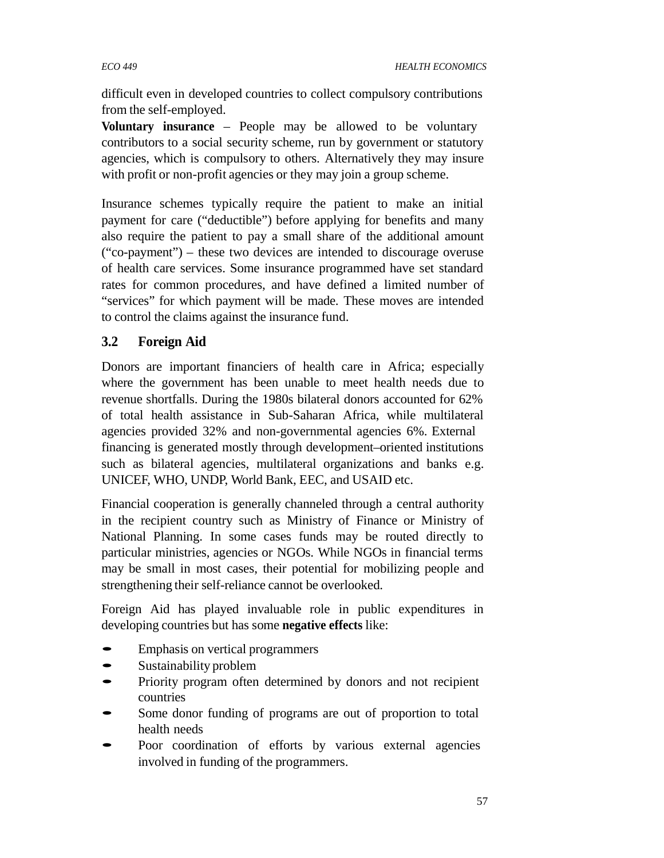difficult even in developed countries to collect compulsory contributions from the self-employed.

**Voluntary insurance** – People may be allowed to be voluntary contributors to a social security scheme, run by government or statutory agencies, which is compulsory to others. Alternatively they may insure with profit or non-profit agencies or they may join a group scheme.

Insurance schemes typically require the patient to make an initial payment for care ("deductible") before applying for benefits and many also require the patient to pay a small share of the additional amount ("co-payment") – these two devices are intended to discourage overuse of health care services. Some insurance programmed have set standard rates for common procedures, and have defined a limited number of "services" for which payment will be made. These moves are intended to control the claims against the insurance fund.

# **3.2 Foreign Aid**

Donors are important financiers of health care in Africa; especially where the government has been unable to meet health needs due to revenue shortfalls. During the 1980s bilateral donors accounted for 62% of total health assistance in Sub-Saharan Africa, while multilateral agencies provided 32% and non-governmental agencies 6%. External financing is generated mostly through development–oriented institutions such as bilateral agencies, multilateral organizations and banks e.g. UNICEF, WHO, UNDP, World Bank, EEC, and USAID etc.

Financial cooperation is generally channeled through a central authority in the recipient country such as Ministry of Finance or Ministry of National Planning. In some cases funds may be routed directly to particular ministries, agencies or NGOs. While NGOs in financial terms may be small in most cases, their potential for mobilizing people and strengthening their self-reliance cannot be overlooked.

Foreign Aid has played invaluable role in public expenditures in developing countries but has some **negative effects** like:

- Emphasis on vertical programmers
- Sustainability problem
- Priority program often determined by donors and not recipient countries
- Some donor funding of programs are out of proportion to total health needs
- Poor coordination of efforts by various external agencies involved in funding of the programmers.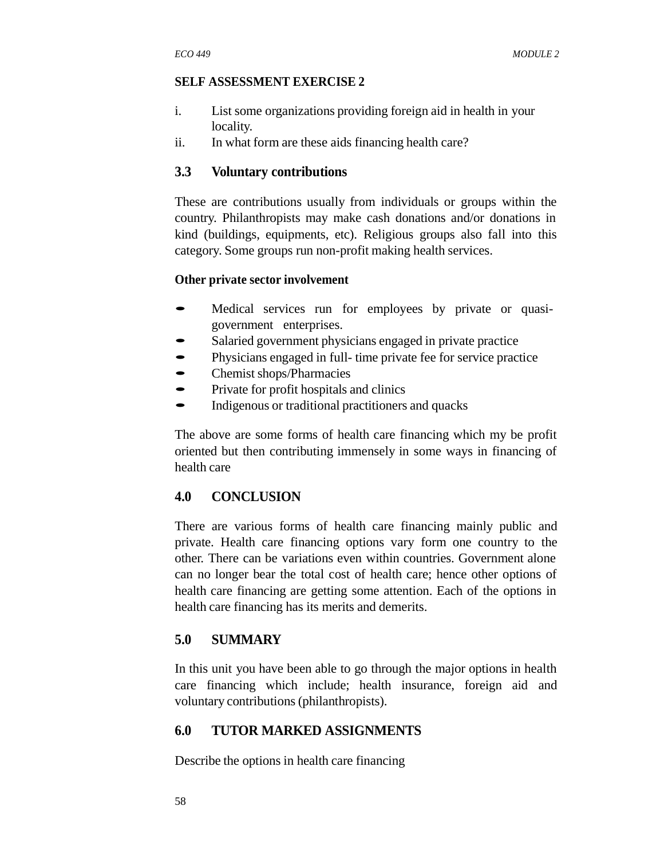#### **SELF ASSESSMENT EXERCISE 2**

- i. List some organizations providing foreign aid in health in your locality.
- ii. In what form are these aids financing health care?

#### **3.3 Voluntary contributions**

These are contributions usually from individuals or groups within the country. Philanthropists may make cash donations and/or donations in kind (buildings, equipments, etc). Religious groups also fall into this category. Some groups run non-profit making health services.

#### **Other private sector involvement**

- Medical services run for employees by private or quasigovernment enterprises.
- Salaried government physicians engaged in private practice
- Physicians engaged in full-time private fee for service practice
- Chemist shops/Pharmacies
- Private for profit hospitals and clinics
- Indigenous or traditional practitioners and quacks

The above are some forms of health care financing which my be profit oriented but then contributing immensely in some ways in financing of health care

## **4.0 CONCLUSION**

There are various forms of health care financing mainly public and private. Health care financing options vary form one country to the other. There can be variations even within countries. Government alone can no longer bear the total cost of health care; hence other options of health care financing are getting some attention. Each of the options in health care financing has its merits and demerits.

## **5.0 SUMMARY**

In this unit you have been able to go through the major options in health care financing which include; health insurance, foreign aid and voluntary contributions (philanthropists).

#### **6.0 TUTOR MARKED ASSIGNMENTS**

Describe the options in health care financing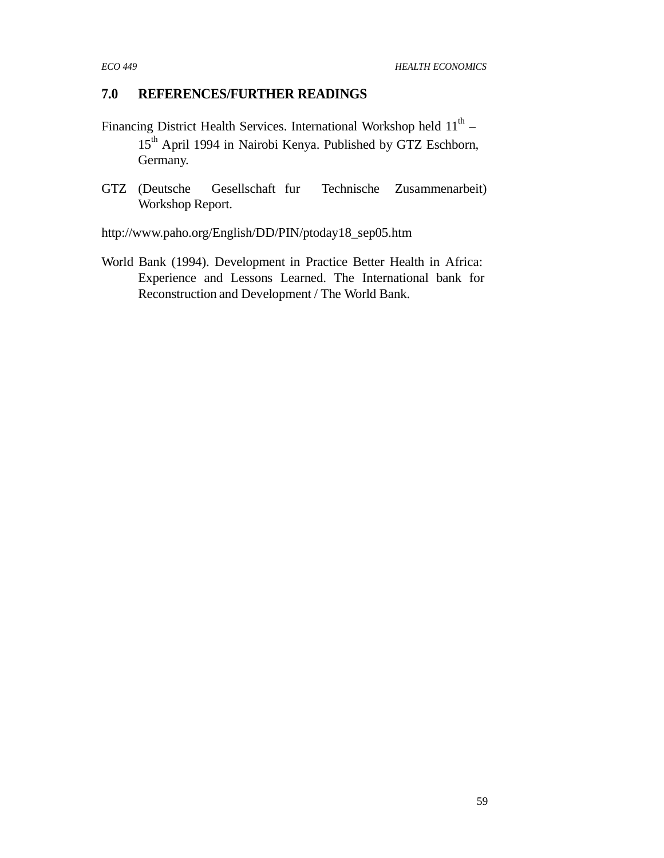# **7.0 REFERENCES/FURTHER READINGS**

- Financing District Health Services. International Workshop held  $11<sup>th</sup>$  15<sup>th</sup> April 1994 in Nairobi Kenya. Published by GTZ Eschborn, Germany.
- GTZ (Deutsche Gesellschaft fur Technische Zusammenarbeit) Workshop Report.

http://www.paho.org/English/DD/PIN/ptoday18\_sep05.htm

World Bank (1994). Development in Practice Better Health in Africa: Experience and Lessons Learned. The International bank for Reconstruction and Development / The World Bank.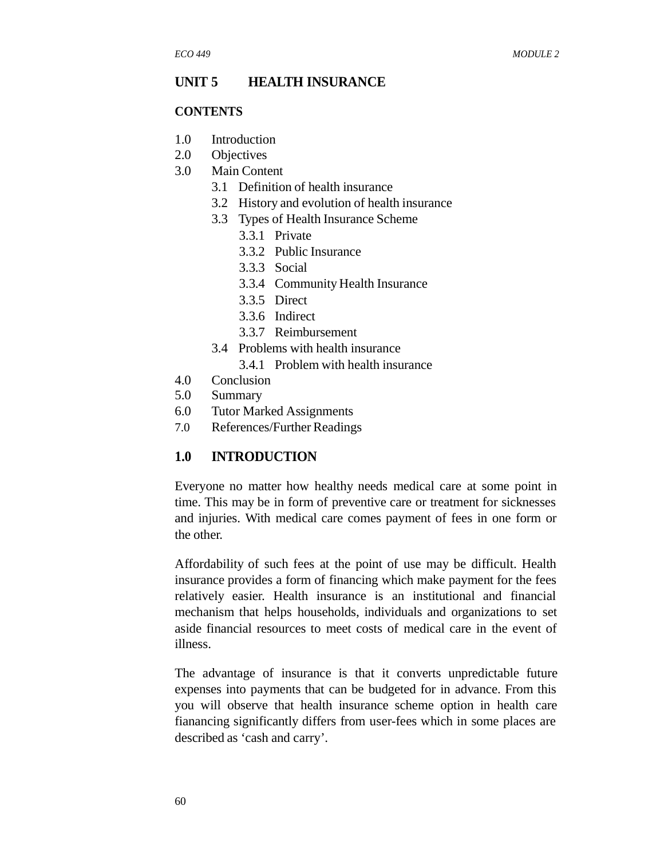#### **UNIT 5 HEALTH INSURANCE**

#### **CONTENTS**

- 1.0 Introduction
- 2.0 Objectives
- 3.0 Main Content
	- 3.1 Definition of health insurance
	- 3.2 History and evolution of health insurance
	- 3.3 Types of Health Insurance Scheme
		- 3.3.1 Private
		- 3.3.2 Public Insurance
		- 3.3.3 Social
		- 3.3.4 Community Health Insurance
		- 3.3.5 Direct
		- 3.3.6 Indirect
		- 3.3.7 Reimbursement
	- 3.4 Problems with health insurance
		- 3.4.1 Problem with health insurance
- 4.0 Conclusion
- 5.0 Summary
- 6.0 Tutor Marked Assignments
- 7.0 References/Further Readings

## **1.0 INTRODUCTION**

Everyone no matter how healthy needs medical care at some point in time. This may be in form of preventive care or treatment for sicknesses and injuries. With medical care comes payment of fees in one form or the other.

Affordability of such fees at the point of use may be difficult. Health insurance provides a form of financing which make payment for the fees relatively easier. Health insurance is an institutional and financial mechanism that helps households, individuals and organizations to set aside financial resources to meet costs of medical care in the event of illness.

The advantage of insurance is that it converts unpredictable future expenses into payments that can be budgeted for in advance. From this you will observe that health insurance scheme option in health care fianancing significantly differs from user-fees which in some places are described as 'cash and carry'.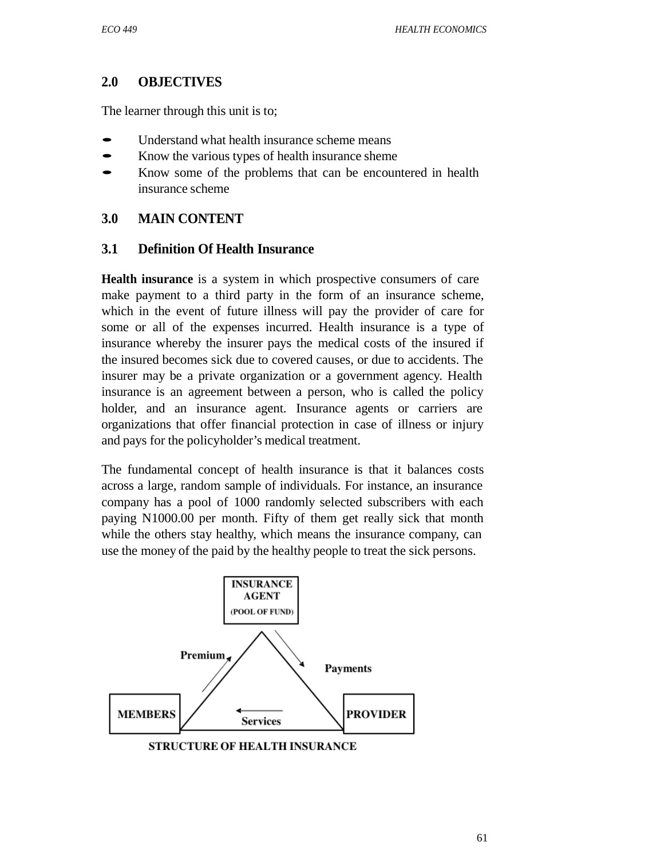# **2.0 OBJECTIVES**

The learner through this unit is to;

- Understand what health insurance scheme means
- Know the various types of health insurance sheme
- Know some of the problems that can be encountered in health insurance scheme

# **3.0 MAIN CONTENT**

## **3.1 Definition Of Health Insurance**

**Health insurance** is a system in which prospective consumers of care make payment to a third party in the form of an insurance scheme, which in the event of future illness will pay the provider of care for some or all of the expenses incurred. Health insurance is a type of insurance whereby the insurer pays the medical costs of the insured if the insured becomes sick due to covered causes, or due to accidents. The insurer may be a private organization or a government agency. Health insurance is an agreement between a person, who is called the policy holder, and an insurance agent. Insurance agents or carriers are organizations that offer financial protection in case of illness or injury and pays for the policyholder's medical treatment.

The fundamental concept of health insurance is that it balances costs across a large, random sample of individuals. For instance, an insurance company has a pool of 1000 randomly selected subscribers with each paying N1000.00 per month. Fifty of them get really sick that month while the others stay healthy, which means the insurance company, can use the money of the paid by the healthy people to treat the sick persons.

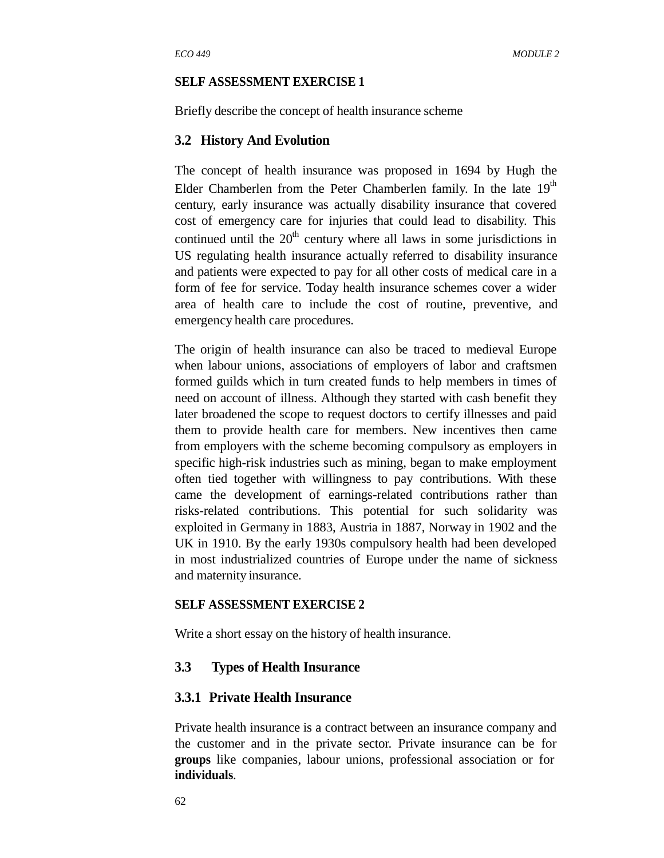#### **SELF ASSESSMENT EXERCISE 1**

Briefly describe the concept of health insurance scheme

#### **3.2 History And Evolution**

The concept of health insurance was proposed in 1694 by Hugh the Elder Chamberlen from the Peter Chamberlen family. In the late  $19<sup>th</sup>$ century, early insurance was actually disability insurance that covered cost of emergency care for injuries that could lead to disability. This continued until the  $20<sup>th</sup>$  century where all laws in some jurisdictions in US regulating health insurance actually referred to disability insurance and patients were expected to pay for all other costs of medical care in a form of fee for service. Today health insurance schemes cover a wider area of health care to include the cost of routine, preventive, and emergency health care procedures.

The origin of health insurance can also be traced to medieval Europe when labour unions, associations of employers of labor and craftsmen formed guilds which in turn created funds to help members in times of need on account of illness. Although they started with cash benefit they later broadened the scope to request doctors to certify illnesses and paid them to provide health care for members. New incentives then came from employers with the scheme becoming compulsory as employers in specific high-risk industries such as mining, began to make employment often tied together with willingness to pay contributions. With these came the development of earnings-related contributions rather than risks-related contributions. This potential for such solidarity was exploited in Germany in 1883, Austria in 1887, Norway in 1902 and the UK in 1910. By the early 1930s compulsory health had been developed in most industrialized countries of Europe under the name of sickness and maternity insurance*.*

#### **SELF ASSESSMENT EXERCISE 2**

Write a short essay on the history of health insurance.

#### **3.3 Types of Health Insurance**

#### **3.3.1 Private Health Insurance**

Private health insurance is a contract between an insurance company and the customer and in the private sector. Private insurance can be for **groups** like companies, labour unions, professional association or for **individuals**.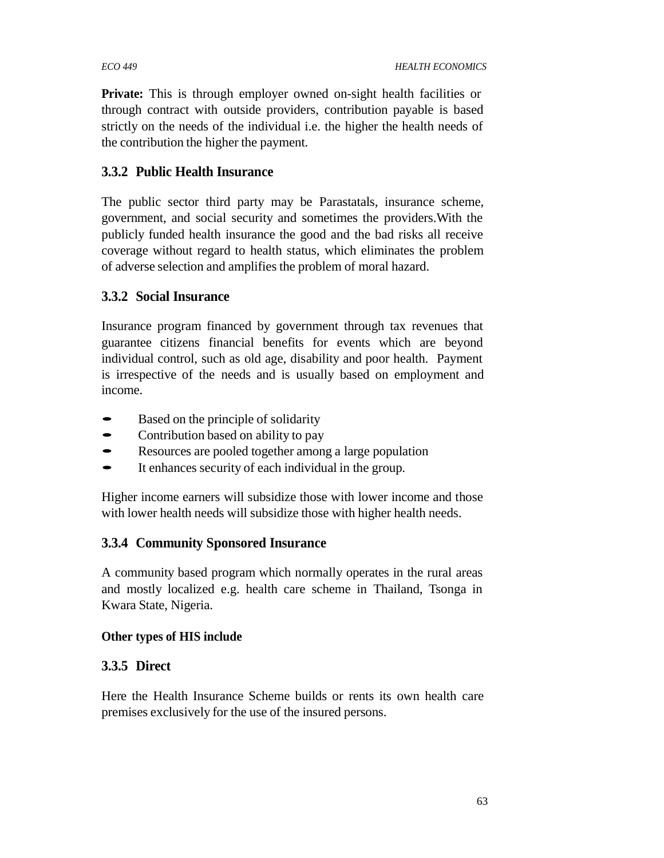**Private:** This is through employer owned on-sight health facilities or through contract with outside providers, contribution payable is based strictly on the needs of the individual i.e. the higher the health needs of the contribution the higher the payment.

# **3.3.2 Public Health Insurance**

The public sector third party may be Parastatals, insurance scheme, government, and social security and sometimes the providers.With the publicly funded health insurance the good and the bad risks all receive coverage without regard to health status, which eliminates the problem of adverse selection and amplifies the problem of moral hazard.

# **3.3.2 Social Insurance**

Insurance program financed by government through tax revenues that guarantee citizens financial benefits for events which are beyond individual control, such as old age, disability and poor health. Payment is irrespective of the needs and is usually based on employment and income.

- Based on the principle of solidarity<br>• Contribution based on ability to pay
- Contribution based on ability to pay
- Resources are pooled together among a large population<br>• It enhances security of each individual in the group
- It enhances security of each individual in the group.

Higher income earners will subsidize those with lower income and those with lower health needs will subsidize those with higher health needs.

# **3.3.4 Community Sponsored Insurance**

A community based program which normally operates in the rural areas and mostly localized e.g. health care scheme in Thailand, Tsonga in Kwara State, Nigeria.

# **Other types of HIS include**

# **3.3.5 Direct**

Here the Health Insurance Scheme builds or rents its own health care premises exclusively for the use of the insured persons.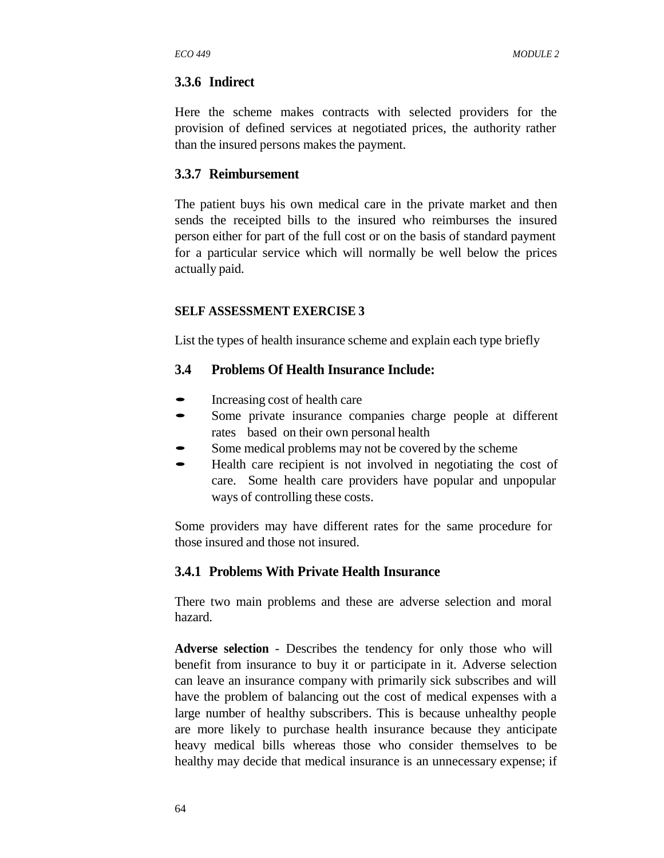#### **3.3.6 Indirect**

Here the scheme makes contracts with selected providers for the provision of defined services at negotiated prices, the authority rather than the insured persons makes the payment.

#### **3.3.7 Reimbursement**

The patient buys his own medical care in the private market and then sends the receipted bills to the insured who reimburses the insured person either for part of the full cost or on the basis of standard payment for a particular service which will normally be well below the prices actually paid.

#### **SELF ASSESSMENT EXERCISE 3**

List the types of health insurance scheme and explain each type briefly

#### **3.4 Problems Of Health Insurance Include:**

- Increasing cost of health care
- Some private insurance companies charge people at different rates based on their own personal health
- Some medical problems may not be covered by the scheme
- Health care recipient is not involved in negotiating the cost of care. Some health care providers have popular and unpopular ways of controlling these costs.

Some providers may have different rates for the same procedure for those insured and those not insured.

#### **3.4.1 Problems With Private Health Insurance**

There two main problems and these are adverse selection and moral hazard.

**Adverse selection** - Describes the tendency for only those who will benefit from insurance to buy it or participate in it. Adverse selection can leave an insurance company with primarily sick subscribes and will have the problem of balancing out the cost of medical expenses with a large number of healthy subscribers. This is because unhealthy people are more likely to purchase health insurance because they anticipate heavy medical bills whereas those who consider themselves to be healthy may decide that medical insurance is an unnecessary expense; if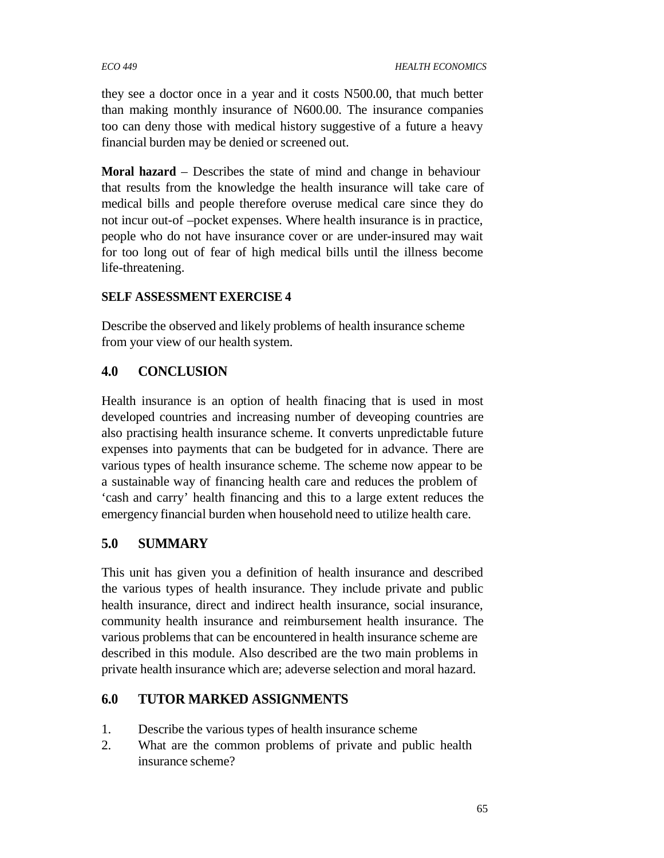they see a doctor once in a year and it costs N500.00, that much better than making monthly insurance of N600.00. The insurance companies too can deny those with medical history suggestive of a future a heavy financial burden may be denied or screened out.

**Moral hazard** – Describes the state of mind and change in behaviour that results from the knowledge the health insurance will take care of medical bills and people therefore overuse medical care since they do not incur out-of –pocket expenses. Where health insurance is in practice, people who do not have insurance cover or are under-insured may wait for too long out of fear of high medical bills until the illness become life-threatening.

## **SELF ASSESSMENT EXERCISE 4**

Describe the observed and likely problems of health insurance scheme from your view of our health system.

# **4.0 CONCLUSION**

Health insurance is an option of health finacing that is used in most developed countries and increasing number of deveoping countries are also practising health insurance scheme. It converts unpredictable future expenses into payments that can be budgeted for in advance. There are various types of health insurance scheme. The scheme now appear to be a sustainable way of financing health care and reduces the problem of 'cash and carry' health financing and this to a large extent reduces the emergency financial burden when household need to utilize health care.

# **5.0 SUMMARY**

This unit has given you a definition of health insurance and described the various types of health insurance. They include private and public health insurance, direct and indirect health insurance, social insurance, community health insurance and reimbursement health insurance. The various problems that can be encountered in health insurance scheme are described in this module. Also described are the two main problems in private health insurance which are; adeverse selection and moral hazard.

# **6.0 TUTOR MARKED ASSIGNMENTS**

- 1. Describe the various types of health insurance scheme
- 2. What are the common problems of private and public health insurance scheme?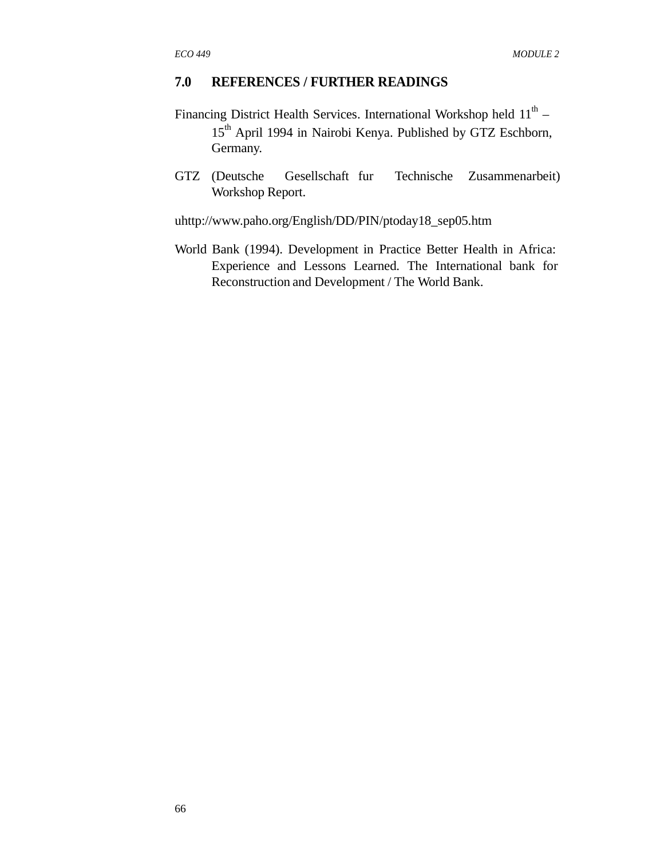## **7.0 REFERENCES / FURTHER READINGS**

- Financing District Health Services. International Workshop held  $11<sup>th</sup>$  15<sup>th</sup> April 1994 in Nairobi Kenya. Published by GTZ Eschborn, Germany.
- GTZ (Deutsche Gesellschaft fur Technische Zusammenarbeit) Workshop Report.

uhttp://www.paho.org/English/DD/PIN/ptoday18\_sep05.htm

World Bank (1994). Development in Practice Better Health in Africa: Experience and Lessons Learned. The International bank for Reconstruction and Development / The World Bank.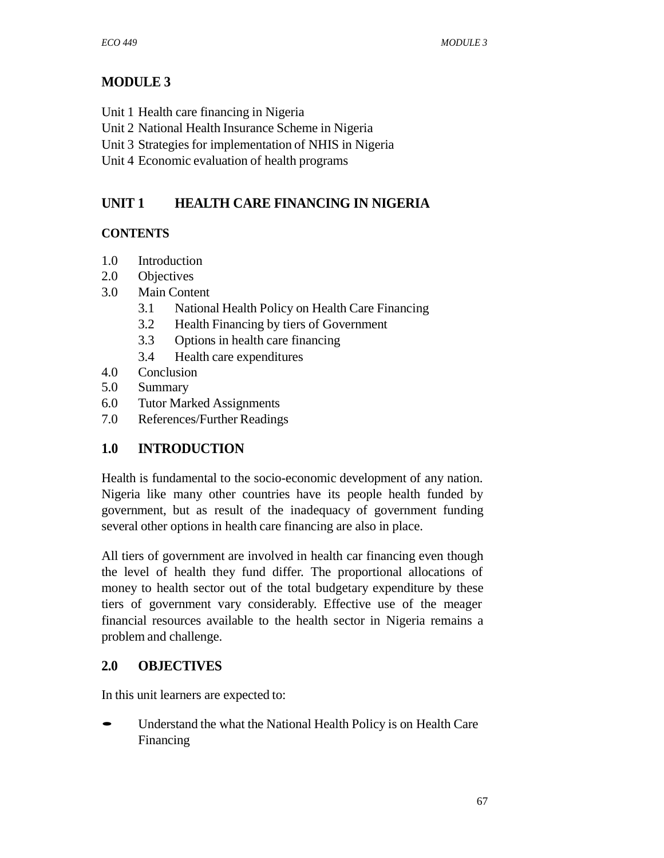# **MODULE 3**

- Unit 1 Health care financing in Nigeria
- Unit 2 National Health Insurance Scheme in Nigeria
- Unit 3 Strategies for implementation of NHIS in Nigeria
- Unit 4 Economic evaluation of health programs

# **UNIT 1 HEALTH CARE FINANCING IN NIGERIA**

# **CONTENTS**

- 1.0 Introduction
- 2.0 Objectives
- 3.0 Main Content
	- 3.1 National Health Policy on Health Care Financing
	- 3.2 Health Financing by tiers of Government
	- 3.3 Options in health care financing
	- 3.4 Health care expenditures
- 4.0 Conclusion
- 5.0 Summary
- 6.0 Tutor Marked Assignments
- 7.0 References/Further Readings

# **1.0 INTRODUCTION**

Health is fundamental to the socio-economic development of any nation. Nigeria like many other countries have its people health funded by government, but as result of the inadequacy of government funding several other options in health care financing are also in place.

All tiers of government are involved in health car financing even though the level of health they fund differ. The proportional allocations of money to health sector out of the total budgetary expenditure by these tiers of government vary considerably. Effective use of the meager financial resources available to the health sector in Nigeria remains a problem and challenge.

# **2.0 OBJECTIVES**

In this unit learners are expected to:

• Understand the what the National Health Policy is on Health Care Financing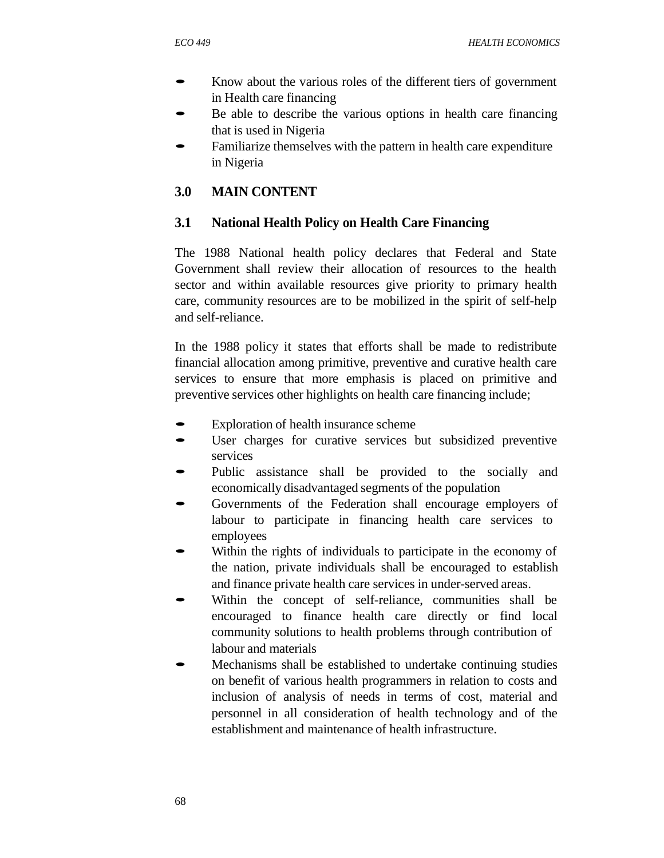- Know about the various roles of the different tiers of government in Health care financing
- Be able to describe the various options in health care financing that is used in Nigeria
- Familiarize themselves with the pattern in health care expenditure in Nigeria

# **3.0 MAIN CONTENT**

# **3.1 National Health Policy on Health Care Financing**

The 1988 National health policy declares that Federal and State Government shall review their allocation of resources to the health sector and within available resources give priority to primary health care, community resources are to be mobilized in the spirit of self-help and self-reliance.

In the 1988 policy it states that efforts shall be made to redistribute financial allocation among primitive, preventive and curative health care services to ensure that more emphasis is placed on primitive and preventive services other highlights on health care financing include;

- Exploration of health insurance scheme
- User charges for curative services but subsidized preventive services
- Public assistance shall be provided to the socially and economically disadvantaged segments of the population
- Governments of the Federation shall encourage employers of labour to participate in financing health care services to employees
- Within the rights of individuals to participate in the economy of the nation, private individuals shall be encouraged to establish and finance private health care services in under-served areas.
- Within the concept of self-reliance, communities shall be encouraged to finance health care directly or find local community solutions to health problems through contribution of labour and materials
- Mechanisms shall be established to undertake continuing studies on benefit of various health programmers in relation to costs and inclusion of analysis of needs in terms of cost, material and personnel in all consideration of health technology and of the establishment and maintenance of health infrastructure.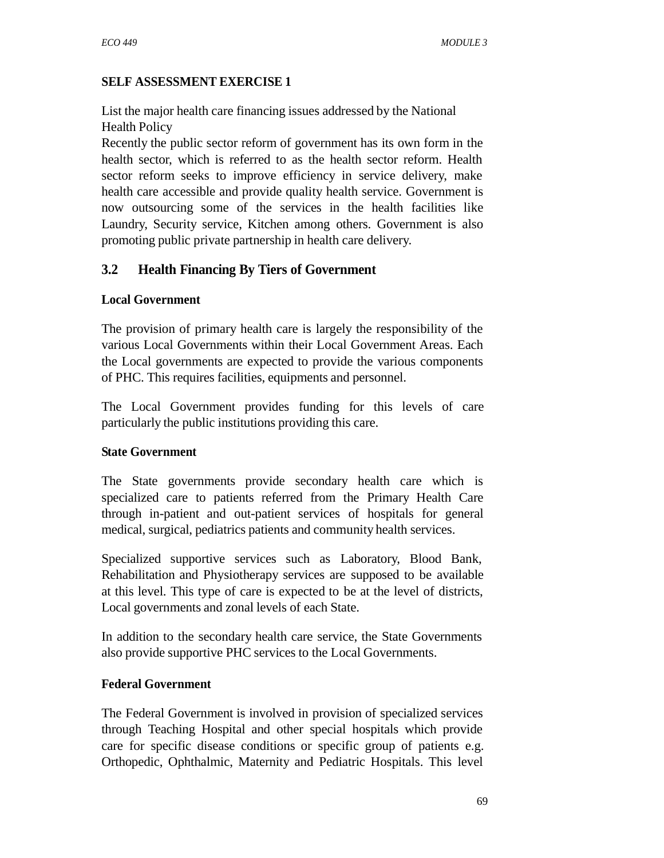## **SELF ASSESSMENT EXERCISE 1**

List the major health care financing issues addressed by the National Health Policy

Recently the public sector reform of government has its own form in the health sector, which is referred to as the health sector reform. Health sector reform seeks to improve efficiency in service delivery, make health care accessible and provide quality health service. Government is now outsourcing some of the services in the health facilities like Laundry, Security service, Kitchen among others. Government is also promoting public private partnership in health care delivery.

# **3.2 Health Financing By Tiers of Government**

## **Local Government**

The provision of primary health care is largely the responsibility of the various Local Governments within their Local Government Areas. Each the Local governments are expected to provide the various components of PHC. This requires facilities, equipments and personnel.

The Local Government provides funding for this levels of care particularly the public institutions providing this care.

## **State Government**

The State governments provide secondary health care which is specialized care to patients referred from the Primary Health Care through in-patient and out-patient services of hospitals for general medical, surgical, pediatrics patients and community health services.

Specialized supportive services such as Laboratory, Blood Bank, Rehabilitation and Physiotherapy services are supposed to be available at this level. This type of care is expected to be at the level of districts, Local governments and zonal levels of each State.

In addition to the secondary health care service, the State Governments also provide supportive PHC services to the Local Governments.

## **Federal Government**

The Federal Government is involved in provision of specialized services through Teaching Hospital and other special hospitals which provide care for specific disease conditions or specific group of patients e.g. Orthopedic, Ophthalmic, Maternity and Pediatric Hospitals. This level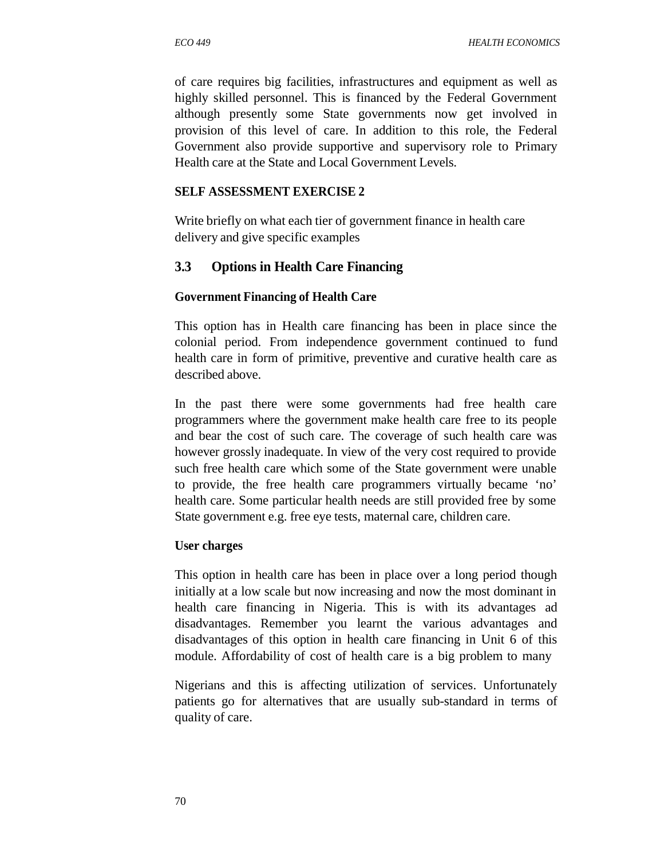of care requires big facilities, infrastructures and equipment as well as highly skilled personnel. This is financed by the Federal Government although presently some State governments now get involved in provision of this level of care. In addition to this role, the Federal Government also provide supportive and supervisory role to Primary Health care at the State and Local Government Levels.

#### **SELF ASSESSMENT EXERCISE 2**

Write briefly on what each tier of government finance in health care delivery and give specific examples

#### **3.3 Options in Health Care Financing**

#### **Government Financing of Health Care**

This option has in Health care financing has been in place since the colonial period. From independence government continued to fund health care in form of primitive, preventive and curative health care as described above.

In the past there were some governments had free health care programmers where the government make health care free to its people and bear the cost of such care. The coverage of such health care was however grossly inadequate. In view of the very cost required to provide such free health care which some of the State government were unable to provide, the free health care programmers virtually became 'no' health care. Some particular health needs are still provided free by some State government e.g. free eye tests, maternal care, children care.

#### **User charges**

This option in health care has been in place over a long period though initially at a low scale but now increasing and now the most dominant in health care financing in Nigeria. This is with its advantages ad disadvantages. Remember you learnt the various advantages and disadvantages of this option in health care financing in Unit 6 of this module. Affordability of cost of health care is a big problem to many

Nigerians and this is affecting utilization of services. Unfortunately patients go for alternatives that are usually sub-standard in terms of quality of care.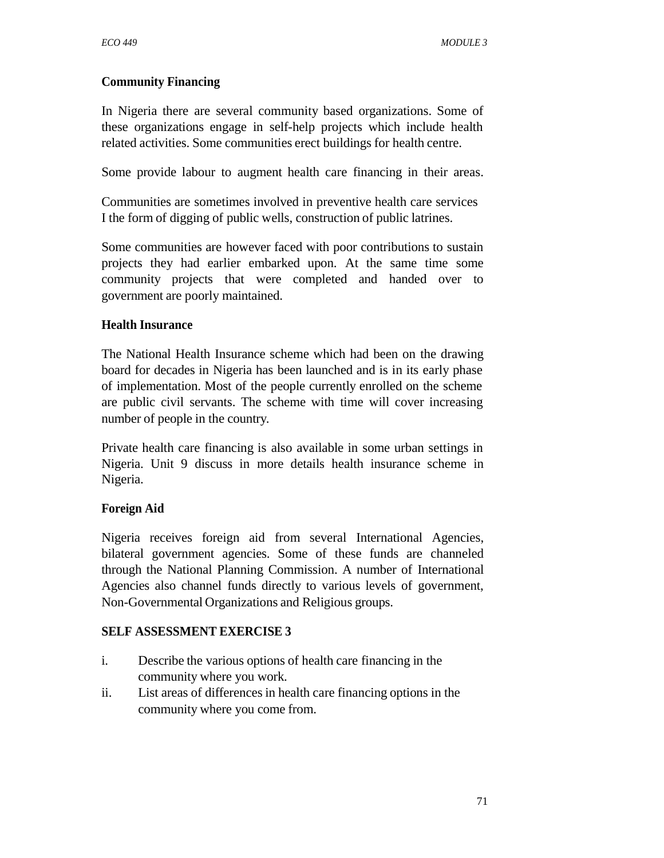### **Community Financing**

In Nigeria there are several community based organizations. Some of these organizations engage in self-help projects which include health related activities. Some communities erect buildings for health centre.

Some provide labour to augment health care financing in their areas.

Communities are sometimes involved in preventive health care services I the form of digging of public wells, construction of public latrines.

Some communities are however faced with poor contributions to sustain projects they had earlier embarked upon. At the same time some community projects that were completed and handed over to government are poorly maintained.

#### **Health Insurance**

The National Health Insurance scheme which had been on the drawing board for decades in Nigeria has been launched and is in its early phase of implementation. Most of the people currently enrolled on the scheme are public civil servants. The scheme with time will cover increasing number of people in the country.

Private health care financing is also available in some urban settings in Nigeria. Unit 9 discuss in more details health insurance scheme in Nigeria.

## **Foreign Aid**

Nigeria receives foreign aid from several International Agencies, bilateral government agencies. Some of these funds are channeled through the National Planning Commission. A number of International Agencies also channel funds directly to various levels of government, Non-Governmental Organizations and Religious groups.

#### **SELF ASSESSMENT EXERCISE 3**

- i. Describe the various options of health care financing in the community where you work.
- ii. List areas of differences in health care financing options in the community where you come from.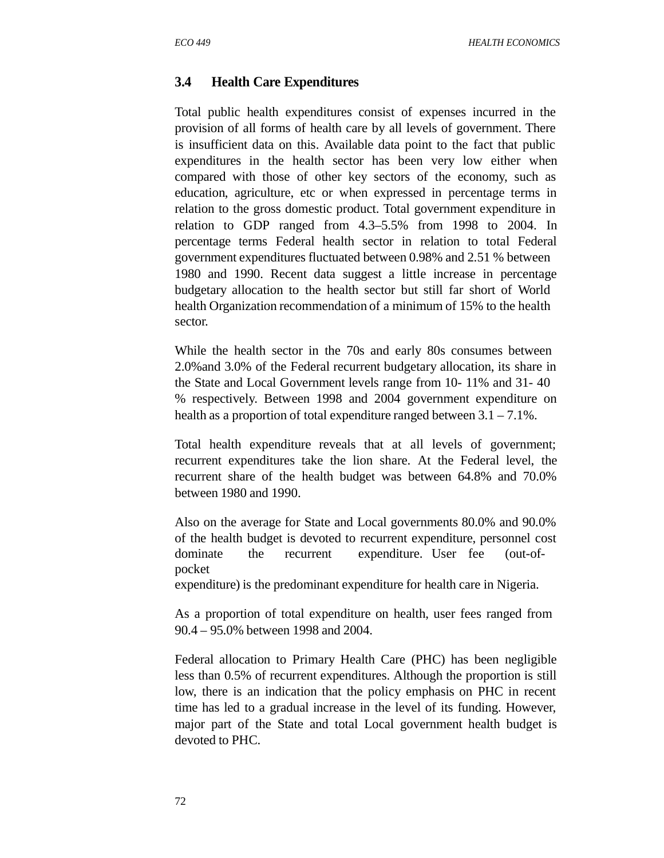## **3.4 Health Care Expenditures**

Total public health expenditures consist of expenses incurred in the provision of all forms of health care by all levels of government. There is insufficient data on this. Available data point to the fact that public expenditures in the health sector has been very low either when compared with those of other key sectors of the economy, such as education, agriculture, etc or when expressed in percentage terms in relation to the gross domestic product. Total government expenditure in relation to GDP ranged from 4.3–5.5% from 1998 to 2004. In percentage terms Federal health sector in relation to total Federal government expenditures fluctuated between 0.98% and 2.51 % between 1980 and 1990. Recent data suggest a little increase in percentage budgetary allocation to the health sector but still far short of World health Organization recommendation of a minimum of 15% to the health sector.

While the health sector in the 70s and early 80s consumes between 2.0%and 3.0% of the Federal recurrent budgetary allocation, its share in the State and Local Government levels range from 10- 11% and 31- 40 % respectively. Between 1998 and 2004 government expenditure on health as a proportion of total expenditure ranged between  $3.1 - 7.1\%$ .

Total health expenditure reveals that at all levels of government; recurrent expenditures take the lion share. At the Federal level, the recurrent share of the health budget was between 64.8% and 70.0% between 1980 and 1990.

Also on the average for State and Local governments 80.0% and 90.0% of the health budget is devoted to recurrent expenditure, personnel cost dominate the recurrent expenditure. User fee (out-ofpocket

expenditure) is the predominant expenditure for health care in Nigeria.

As a proportion of total expenditure on health, user fees ranged from 90.4 – 95.0% between 1998 and 2004.

Federal allocation to Primary Health Care (PHC) has been negligible less than 0.5% of recurrent expenditures. Although the proportion is still low, there is an indication that the policy emphasis on PHC in recent time has led to a gradual increase in the level of its funding. However, major part of the State and total Local government health budget is devoted to PHC.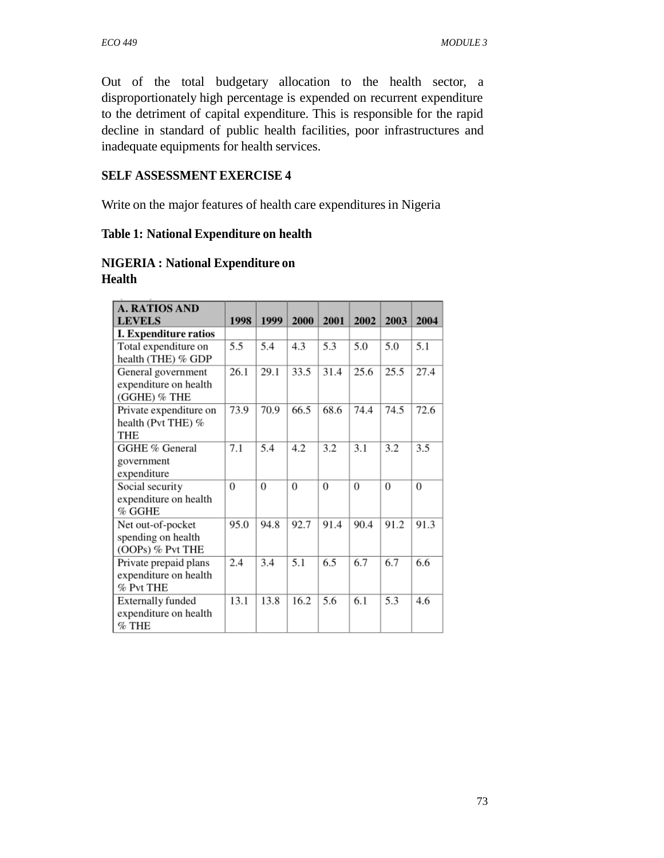Out of the total budgetary allocation to the health sector, a disproportionately high percentage is expended on recurrent expenditure to the detriment of capital expenditure. This is responsible for the rapid decline in standard of public health facilities, poor infrastructures and inadequate equipments for health services.

#### **SELF ASSESSMENT EXERCISE 4**

Write on the major features of health care expenditures in Nigeria

#### **Table 1: National Expenditure on health**

## **NIGERIA : National Expenditure on Health**

| <b>A. RATIOS AND</b>                  |      |          |                  |                  |          |                  |          |
|---------------------------------------|------|----------|------------------|------------------|----------|------------------|----------|
| <b>LEVELS</b>                         | 1998 | 1999     | 2000             | 2001             | 2002     | 2003             | 2004     |
| <b>I. Expenditure ratios</b>          |      |          |                  |                  |          |                  |          |
| Total expenditure on                  | 5.5  | 5.4      | 4.3              | 5.3              | 5.0      | 5.0              | 5.1      |
| health (THE) % GDP                    |      |          |                  |                  |          |                  |          |
| General government                    | 26.1 | 29.1     | 33.5             | 31.4             | 25.6     | 25.5             | 27.4     |
| expenditure on health<br>(GGHE) % THE |      |          |                  |                  |          |                  |          |
| Private expenditure on                | 73.9 | 70.9     | 66.5             | 68.6             | 74.4     | 74.5             | 72.6     |
| health (Pvt THE) %                    |      |          |                  |                  |          |                  |          |
| THE                                   |      |          |                  |                  |          |                  |          |
| GGHE % General                        | 7.1  | 5.4      | 4.2              | 3.2              | 3.1      | 3.2              | 3.5      |
| government                            |      |          |                  |                  |          |                  |          |
| expenditure                           |      |          |                  |                  |          |                  |          |
| Social security                       | 0    | $\theta$ | $\theta$         | $\boldsymbol{0}$ | $\theta$ | $\boldsymbol{0}$ | $\theta$ |
| expenditure on health                 |      |          |                  |                  |          |                  |          |
| % GGHE                                |      |          |                  |                  |          |                  |          |
| Net out-of-pocket                     | 95.0 | 94.8     | 92.7             | 91.4             | 90.4     | 91.2             | 91.3     |
| spending on health                    |      |          |                  |                  |          |                  |          |
| (OOPs) % Pvt THE                      |      |          |                  |                  |          |                  |          |
| Private prepaid plans                 | 2.4  | 3.4      | $\overline{5.1}$ | 6.5              | 6.7      | 6.7              | 6.6      |
| expenditure on health                 |      |          |                  |                  |          |                  |          |
| % Pvt THE                             |      |          |                  |                  |          |                  |          |
| Externally funded                     | 13.1 | 13.8     | 16.2             | 5.6              | 6.1      | 5.3              | 4.6      |
| expenditure on health                 |      |          |                  |                  |          |                  |          |
| $%$ THE                               |      |          |                  |                  |          |                  |          |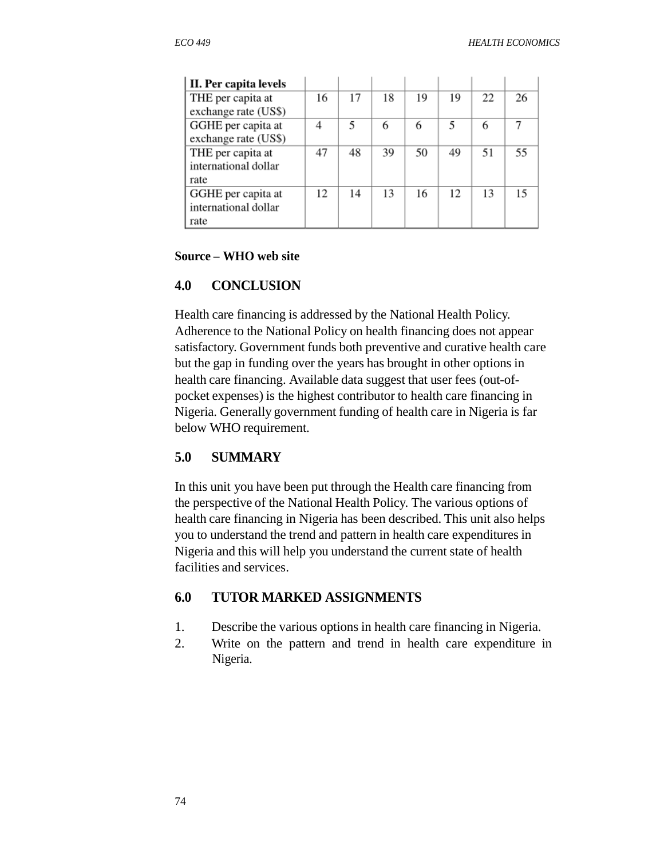| II. Per capita levels |    |    |    |    |    |    |    |
|-----------------------|----|----|----|----|----|----|----|
| THE per capita at     | 16 | 17 | 18 | 19 | 19 | 22 | 26 |
| exchange rate (US\$)  |    |    |    |    |    |    |    |
| GGHE per capita at    | 4  | 5  | 6  | 6  | 5  | 6  |    |
| exchange rate (US\$)  |    |    |    |    |    |    |    |
| THE per capita at     | 47 | 48 | 39 | 50 | 49 | 51 | 55 |
| international dollar  |    |    |    |    |    |    |    |
| rate                  |    |    |    |    |    |    |    |
| GGHE per capita at    | 12 | 14 | 13 | 16 | 12 | 13 |    |
| international dollar  |    |    |    |    |    |    |    |
| rate                  |    |    |    |    |    |    |    |

#### **Source – WHO web site**

#### **4.0 CONCLUSION**

Health care financing is addressed by the National Health Policy. Adherence to the National Policy on health financing does not appear satisfactory. Government funds both preventive and curative health care but the gap in funding over the years has brought in other options in health care financing. Available data suggest that user fees (out-ofpocket expenses) is the highest contributor to health care financing in Nigeria. Generally government funding of health care in Nigeria is far below WHO requirement.

## **5.0 SUMMARY**

In this unit you have been put through the Health care financing from the perspective of the National Health Policy. The various options of health care financing in Nigeria has been described. This unit also helps you to understand the trend and pattern in health care expenditures in Nigeria and this will help you understand the current state of health facilities and services.

## **6.0 TUTOR MARKED ASSIGNMENTS**

- 1. Describe the various options in health care financing in Nigeria.
- 2. Write on the pattern and trend in health care expenditure in Nigeria.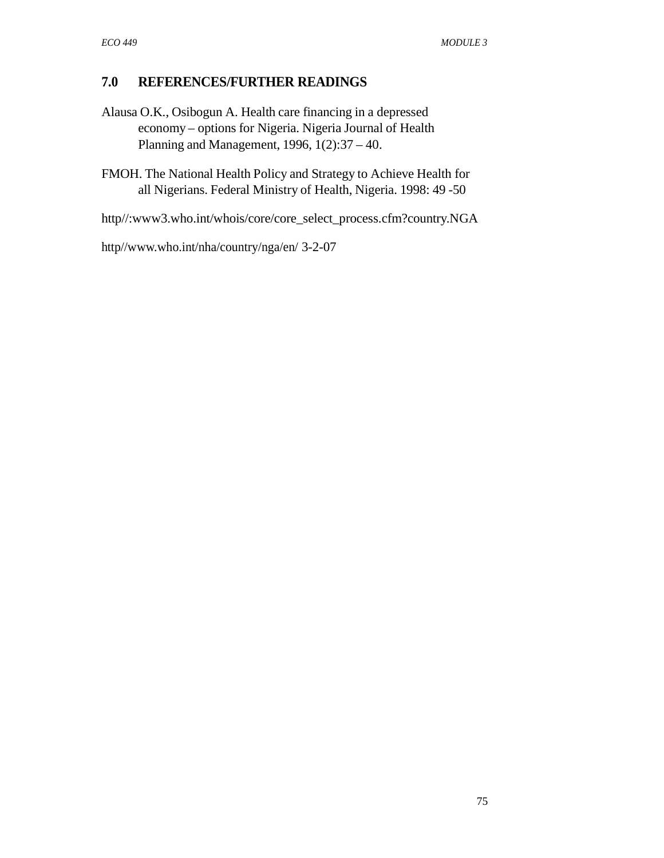## **7.0 REFERENCES/FURTHER READINGS**

- Alausa O.K., Osibogun A. Health care financing in a depressed economy – options for Nigeria. Nigeria Journal of Health Planning and Management, 1996, 1(2):37 – 40.
- FMOH. The National Health Policy and Strategy to Achieve Health for all Nigerians. Federal Ministry of Health, Nigeria. 1998: 49 -50

http//:www3.who.int/whois/core/core\_select\_process.cfm?country.NGA

http//www.who.int/nha/country/nga/en/ 3-2-07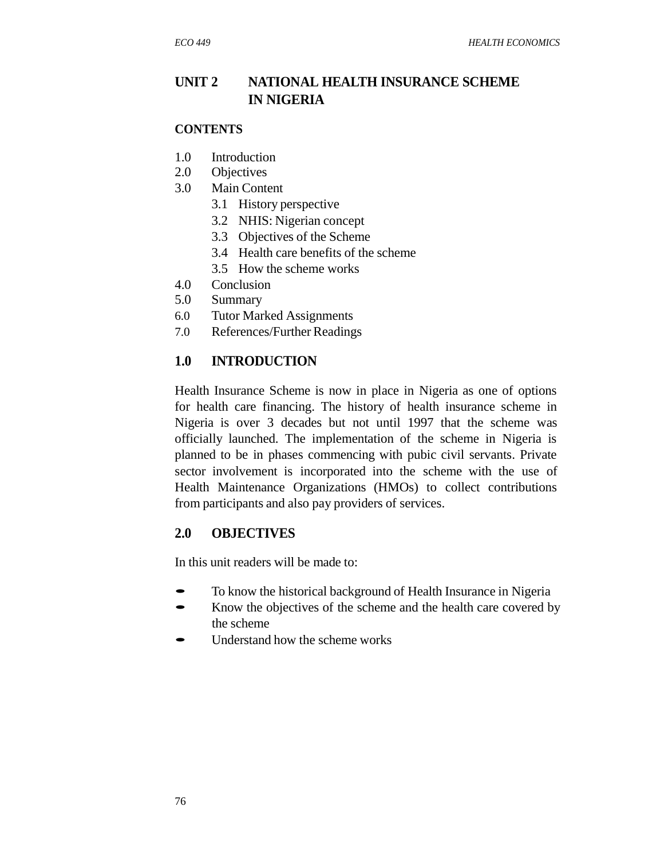# **UNIT 2 NATIONAL HEALTH INSURANCE SCHEME IN NIGERIA**

#### **CONTENTS**

- 1.0 Introduction
- 2.0 Objectives
- 3.0 Main Content
	- 3.1 History perspective
	- 3.2 NHIS: Nigerian concept
	- 3.3 Objectives of the Scheme
	- 3.4 Health care benefits of the scheme
	- 3.5 How the scheme works
- 4.0 Conclusion
- 5.0 Summary
- 6.0 Tutor Marked Assignments
- 7.0 References/Further Readings

## **1.0 INTRODUCTION**

Health Insurance Scheme is now in place in Nigeria as one of options for health care financing. The history of health insurance scheme in Nigeria is over 3 decades but not until 1997 that the scheme was officially launched. The implementation of the scheme in Nigeria is planned to be in phases commencing with pubic civil servants. Private sector involvement is incorporated into the scheme with the use of Health Maintenance Organizations (HMOs) to collect contributions from participants and also pay providers of services.

#### **2.0 OBJECTIVES**

In this unit readers will be made to:

- To know the historical background of Health Insurance in Nigeria<br>
Figure 1. Enough the objectives of the scheme and the health care covered by
- Know the objectives of the scheme and the health care covered by the scheme
- Understand how the scheme works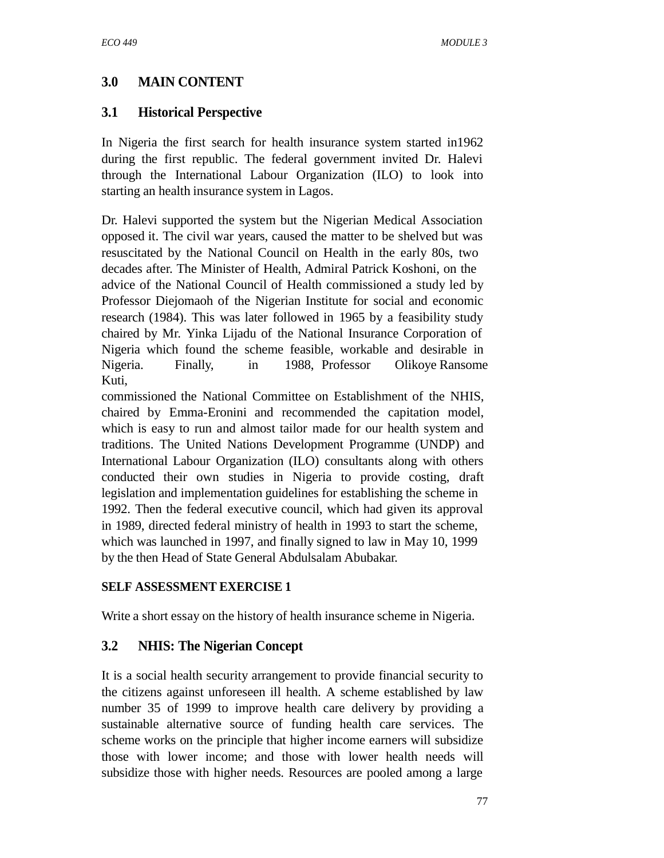# **3.0 MAIN CONTENT**

## **3.1 Historical Perspective**

In Nigeria the first search for health insurance system started in1962 during the first republic. The federal government invited Dr. Halevi through the International Labour Organization (ILO) to look into starting an health insurance system in Lagos.

Dr. Halevi supported the system but the Nigerian Medical Association opposed it. The civil war years, caused the matter to be shelved but was resuscitated by the National Council on Health in the early 80s, two decades after. The Minister of Health, Admiral Patrick Koshoni, on the advice of the National Council of Health commissioned a study led by Professor Diejomaoh of the Nigerian Institute for social and economic research (1984). This was later followed in 1965 by a feasibility study chaired by Mr. Yinka Lijadu of the National Insurance Corporation of Nigeria which found the scheme feasible, workable and desirable in Nigeria. Finally, in 1988, Professor Olikoye Ransome Kuti,

commissioned the National Committee on Establishment of the NHIS, chaired by Emma-Eronini and recommended the capitation model, which is easy to run and almost tailor made for our health system and traditions. The United Nations Development Programme (UNDP) and International Labour Organization (ILO) consultants along with others conducted their own studies in Nigeria to provide costing, draft legislation and implementation guidelines for establishing the scheme in 1992. Then the federal executive council, which had given its approval in 1989, directed federal ministry of health in 1993 to start the scheme, which was launched in 1997, and finally signed to law in May 10, 1999 by the then Head of State General Abdulsalam Abubakar.

## **SELF ASSESSMENT EXERCISE 1**

Write a short essay on the history of health insurance scheme in Nigeria.

## **3.2 NHIS: The Nigerian Concept**

It is a social health security arrangement to provide financial security to the citizens against unforeseen ill health. A scheme established by law number 35 of 1999 to improve health care delivery by providing a sustainable alternative source of funding health care services. The scheme works on the principle that higher income earners will subsidize those with lower income; and those with lower health needs will subsidize those with higher needs. Resources are pooled among a large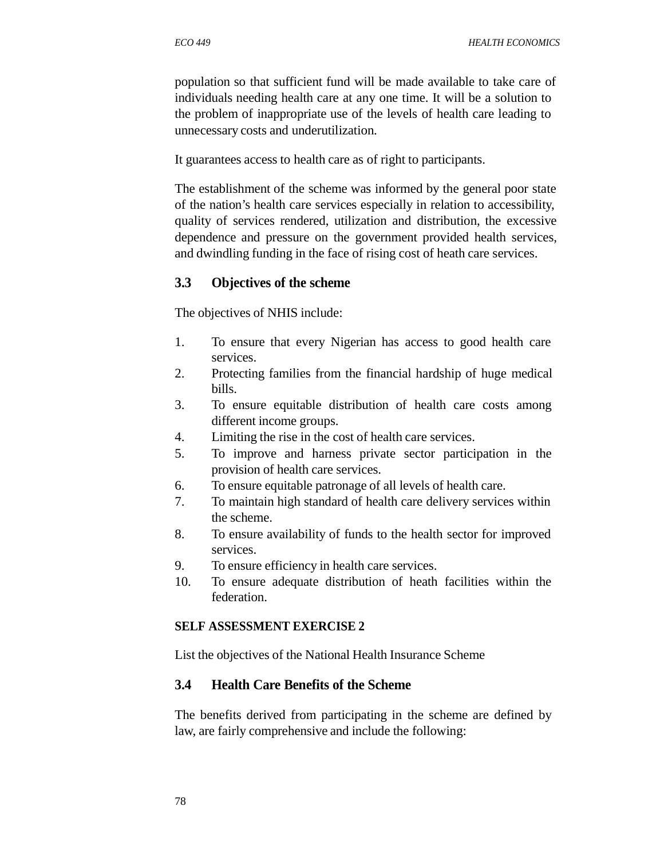population so that sufficient fund will be made available to take care of individuals needing health care at any one time. It will be a solution to the problem of inappropriate use of the levels of health care leading to unnecessary costs and underutilization.

It guarantees access to health care as of right to participants.

The establishment of the scheme was informed by the general poor state of the nation's health care services especially in relation to accessibility, quality of services rendered, utilization and distribution, the excessive dependence and pressure on the government provided health services, and dwindling funding in the face of rising cost of heath care services.

## **3.3 Objectives of the scheme**

The objectives of NHIS include:

- 1. To ensure that every Nigerian has access to good health care services.
- 2. Protecting families from the financial hardship of huge medical bills.
- 3. To ensure equitable distribution of health care costs among different income groups.
- 4. Limiting the rise in the cost of health care services.
- 5. To improve and harness private sector participation in the provision of health care services.
- 6. To ensure equitable patronage of all levels of health care.
- 7. To maintain high standard of health care delivery services within the scheme.
- 8. To ensure availability of funds to the health sector for improved services.
- 9. To ensure efficiency in health care services.
- 10. To ensure adequate distribution of heath facilities within the federation.

## **SELF ASSESSMENT EXERCISE 2**

List the objectives of the National Health Insurance Scheme

## **3.4 Health Care Benefits of the Scheme**

The benefits derived from participating in the scheme are defined by law, are fairly comprehensive and include the following: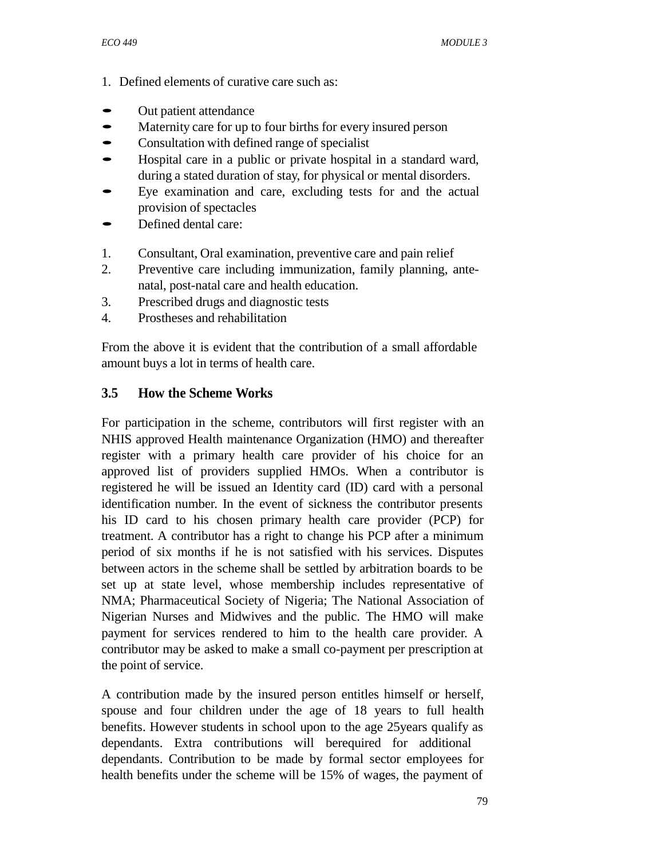- 1. Defined elements of curative care such as:
- Out patient attendance<br>• Maternity care for un to
- Maternity care for up to four births for every insured person<br>• Consultation with defined range of specialist
- Consultation with defined range of specialist
- Hospital care in <sup>a</sup> public or private hospital in <sup>a</sup> standard ward, during a stated duration of stay, for physical or mental disorders.
- Eye examination and care, excluding tests for and the actual
- provision of spectacles<br>
 Defined dental care:
- 1. Consultant, Oral examination, preventive care and pain relief
- 2. Preventive care including immunization, family planning, antenatal, post-natal care and health education.
- 3. Prescribed drugs and diagnostic tests
- 4. Prostheses and rehabilitation

From the above it is evident that the contribution of a small affordable amount buys a lot in terms of health care.

## **3.5 How the Scheme Works**

For participation in the scheme, contributors will first register with an NHIS approved Health maintenance Organization (HMO) and thereafter register with a primary health care provider of his choice for an approved list of providers supplied HMOs. When a contributor is registered he will be issued an Identity card (ID) card with a personal identification number. In the event of sickness the contributor presents his ID card to his chosen primary health care provider (PCP) for treatment. A contributor has a right to change his PCP after a minimum period of six months if he is not satisfied with his services. Disputes between actors in the scheme shall be settled by arbitration boards to be set up at state level, whose membership includes representative of NMA; Pharmaceutical Society of Nigeria; The National Association of Nigerian Nurses and Midwives and the public. The HMO will make payment for services rendered to him to the health care provider. A contributor may be asked to make a small co-payment per prescription at the point of service.

A contribution made by the insured person entitles himself or herself, spouse and four children under the age of 18 years to full health benefits. However students in school upon to the age 25years qualify as dependants. Extra contributions will berequired for additional dependants. Contribution to be made by formal sector employees for health benefits under the scheme will be 15% of wages, the payment of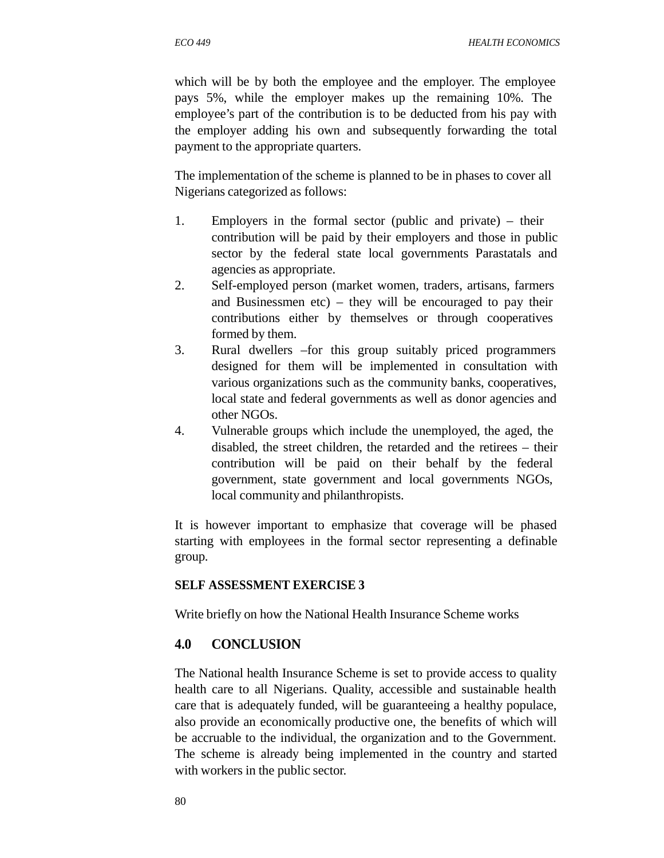*ECO 449 HEALTH ECONOMICS*

which will be by both the employee and the employer. The employee pays 5%, while the employer makes up the remaining 10%. The employee's part of the contribution is to be deducted from his pay with the employer adding his own and subsequently forwarding the total payment to the appropriate quarters.

The implementation of the scheme is planned to be in phases to cover all Nigerians categorized as follows:

- 1. Employers in the formal sector (public and private) their contribution will be paid by their employers and those in public sector by the federal state local governments Parastatals and agencies as appropriate.
- 2. Self-employed person (market women, traders, artisans, farmers and Businessmen etc) – they will be encouraged to pay their contributions either by themselves or through cooperatives formed by them.
- 3. Rural dwellers –for this group suitably priced programmers designed for them will be implemented in consultation with various organizations such as the community banks, cooperatives, local state and federal governments as well as donor agencies and other NGOs.
- 4. Vulnerable groups which include the unemployed, the aged, the disabled, the street children, the retarded and the retirees – their contribution will be paid on their behalf by the federal government, state government and local governments NGOs, local community and philanthropists.

It is however important to emphasize that coverage will be phased starting with employees in the formal sector representing a definable group.

## **SELF ASSESSMENT EXERCISE 3**

Write briefly on how the National Health Insurance Scheme works

#### **4.0 CONCLUSION**

The National health Insurance Scheme is set to provide access to quality health care to all Nigerians. Quality, accessible and sustainable health care that is adequately funded, will be guaranteeing a healthy populace, also provide an economically productive one, the benefits of which will be accruable to the individual, the organization and to the Government. The scheme is already being implemented in the country and started with workers in the public sector.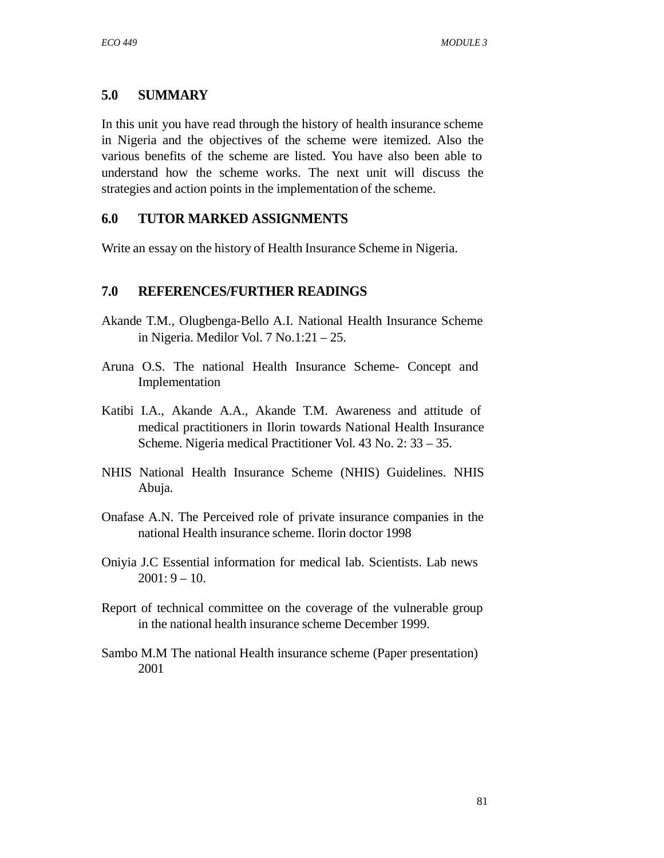## **5.0 SUMMARY**

In this unit you have read through the history of health insurance scheme in Nigeria and the objectives of the scheme were itemized. Also the various benefits of the scheme are listed. You have also been able to understand how the scheme works. The next unit will discuss the strategies and action points in the implementation of the scheme.

## **6.0 TUTOR MARKED ASSIGNMENTS**

Write an essay on the history of Health Insurance Scheme in Nigeria.

## **7.0 REFERENCES/FURTHER READINGS**

- Akande T.M., Olugbenga-Bello A.I. National Health Insurance Scheme in Nigeria. Medilor Vol. 7 No.1:21 – 25.
- Aruna O.S. The national Health Insurance Scheme- Concept and Implementation
- Katibi I.A., Akande A.A., Akande T.M. Awareness and attitude of medical practitioners in Ilorin towards National Health Insurance Scheme. Nigeria medical Practitioner Vol. 43 No. 2: 33 – 35.
- NHIS National Health Insurance Scheme (NHIS) Guidelines. NHIS Abuja.
- Onafase A.N. The Perceived role of private insurance companies in the national Health insurance scheme. Ilorin doctor 1998
- Oniyia J.C Essential information for medical lab. Scientists. Lab news  $2001:9 - 10.$
- Report of technical committee on the coverage of the vulnerable group in the national health insurance scheme December 1999.
- Sambo M.M The national Health insurance scheme (Paper presentation) 2001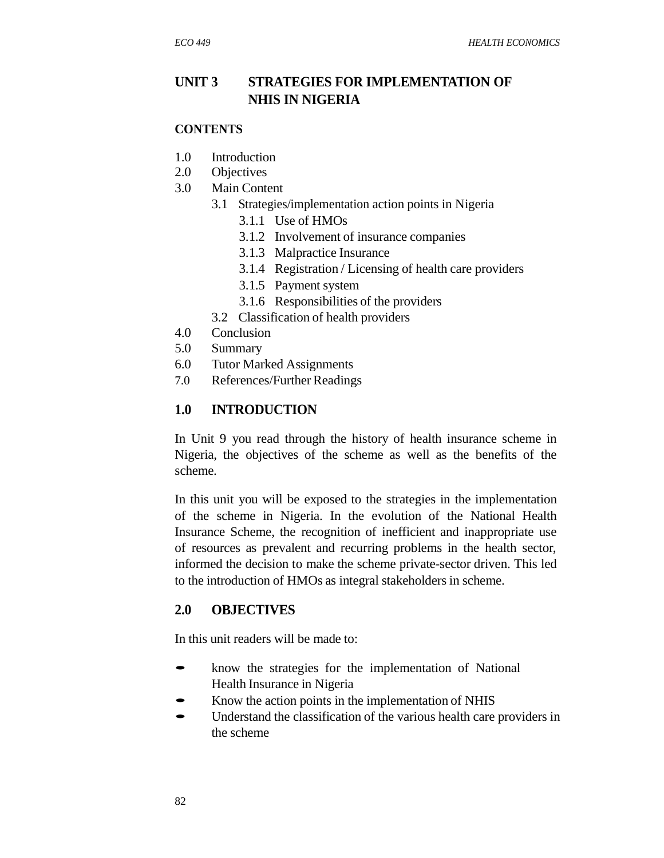## **UNIT 3 STRATEGIES FOR IMPLEMENTATION OF NHIS IN NIGERIA**

#### **CONTENTS**

- 1.0 Introduction
- 2.0 Objectives
- 3.0 Main Content
	- 3.1 Strategies/implementation action points in Nigeria
		- 3.1.1 Use of HMOs
			- 3.1.2 Involvement of insurance companies
			- 3.1.3 Malpractice Insurance
			- 3.1.4 Registration / Licensing of health care providers
			- 3.1.5 Payment system
		- 3.1.6 Responsibilities of the providers
	- 3.2 Classification of health providers
- 4.0 Conclusion
- 5.0 Summary
- 6.0 Tutor Marked Assignments
- 7.0 References/Further Readings

#### **1.0 INTRODUCTION**

In Unit 9 you read through the history of health insurance scheme in Nigeria, the objectives of the scheme as well as the benefits of the scheme.

In this unit you will be exposed to the strategies in the implementation of the scheme in Nigeria. In the evolution of the National Health Insurance Scheme, the recognition of inefficient and inappropriate use of resources as prevalent and recurring problems in the health sector, informed the decision to make the scheme private-sector driven. This led to the introduction of HMOs as integral stakeholdersin scheme.

## **2.0 OBJECTIVES**

In this unit readers will be made to:

- know the strategies for the implementation of National Health Insurance in Nigeria
- Know the action points in the implementation of NHIS
- Understand the classification of the various health care providers in the scheme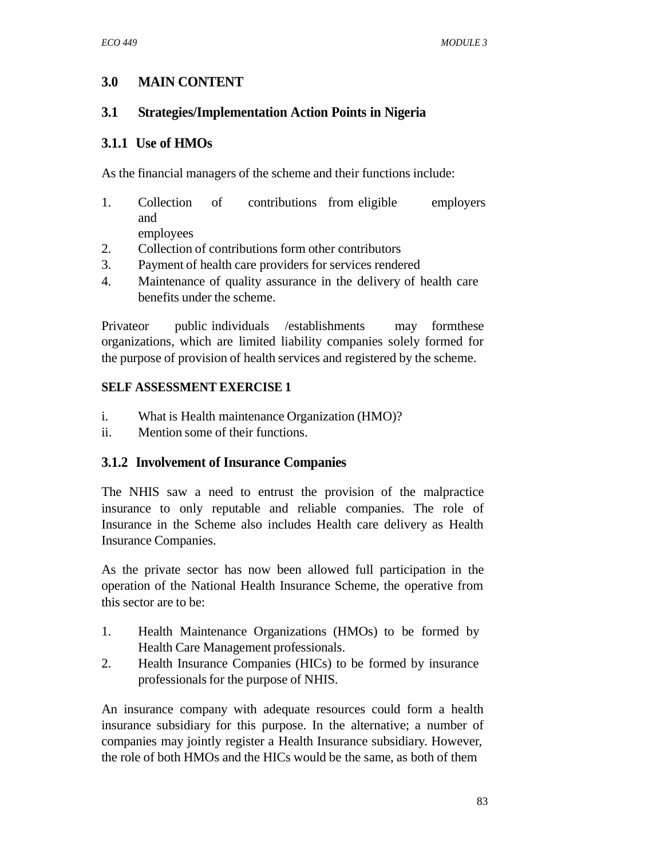# **3.0 MAIN CONTENT**

## **3.1 Strategies/Implementation Action Points in Nigeria**

## **3.1.1 Use of HMOs**

As the financial managers of the scheme and their functions include:

- 1. Collection of contributions from eligible employers and employees
- 2. Collection of contributions form other contributors
- 3. Payment of health care providers for services rendered
- 4. Maintenance of quality assurance in the delivery of health care benefits under the scheme.

Privateor public individuals /establishments may formthese organizations, which are limited liability companies solely formed for the purpose of provision of health services and registered by the scheme.

## **SELF ASSESSMENT EXERCISE 1**

- i. What is Health maintenance Organization (HMO)?
- ii. Mention some of their functions.

## **3.1.2 Involvement of Insurance Companies**

The NHIS saw a need to entrust the provision of the malpractice insurance to only reputable and reliable companies. The role of Insurance in the Scheme also includes Health care delivery as Health Insurance Companies.

As the private sector has now been allowed full participation in the operation of the National Health Insurance Scheme, the operative from this sector are to be:

- 1. Health Maintenance Organizations (HMOs) to be formed by Health Care Management professionals.
- 2. Health Insurance Companies (HICs) to be formed by insurance professionals for the purpose of NHIS.

An insurance company with adequate resources could form a health insurance subsidiary for this purpose. In the alternative; a number of companies may jointly register a Health Insurance subsidiary. However, the role of both HMOs and the HICs would be the same, as both of them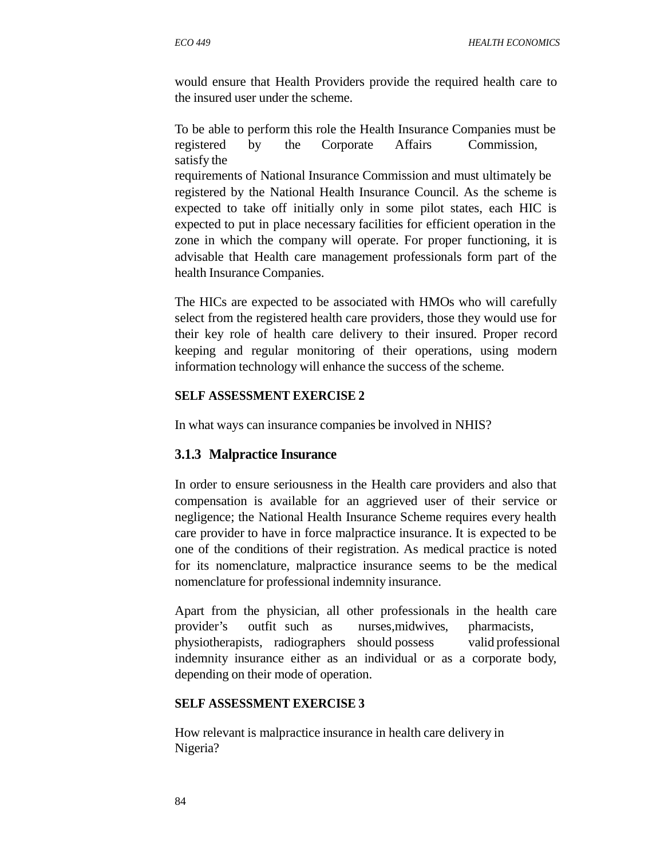would ensure that Health Providers provide the required health care to the insured user under the scheme.

To be able to perform this role the Health Insurance Companies must be registered by the Corporate Affairs Commission, satisfy the

requirements of National Insurance Commission and must ultimately be registered by the National Health Insurance Council. As the scheme is expected to take off initially only in some pilot states, each HIC is expected to put in place necessary facilities for efficient operation in the zone in which the company will operate. For proper functioning, it is advisable that Health care management professionals form part of the health Insurance Companies.

The HICs are expected to be associated with HMOs who will carefully select from the registered health care providers, those they would use for their key role of health care delivery to their insured. Proper record keeping and regular monitoring of their operations, using modern information technology will enhance the success of the scheme.

#### **SELF ASSESSMENT EXERCISE 2**

In what ways can insurance companies be involved in NHIS?

#### **3.1.3 Malpractice Insurance**

In order to ensure seriousness in the Health care providers and also that compensation is available for an aggrieved user of their service or negligence; the National Health Insurance Scheme requires every health care provider to have in force malpractice insurance. It is expected to be one of the conditions of their registration. As medical practice is noted for its nomenclature, malpractice insurance seems to be the medical nomenclature for professional indemnity insurance.

Apart from the physician, all other professionals in the health care provider's outfit such as nurses,midwives, pharmacists, physiotherapists, radiographers should possess valid professional indemnity insurance either as an individual or as a corporate body, depending on their mode of operation.

#### **SELF ASSESSMENT EXERCISE 3**

How relevant is malpractice insurance in health care delivery in Nigeria?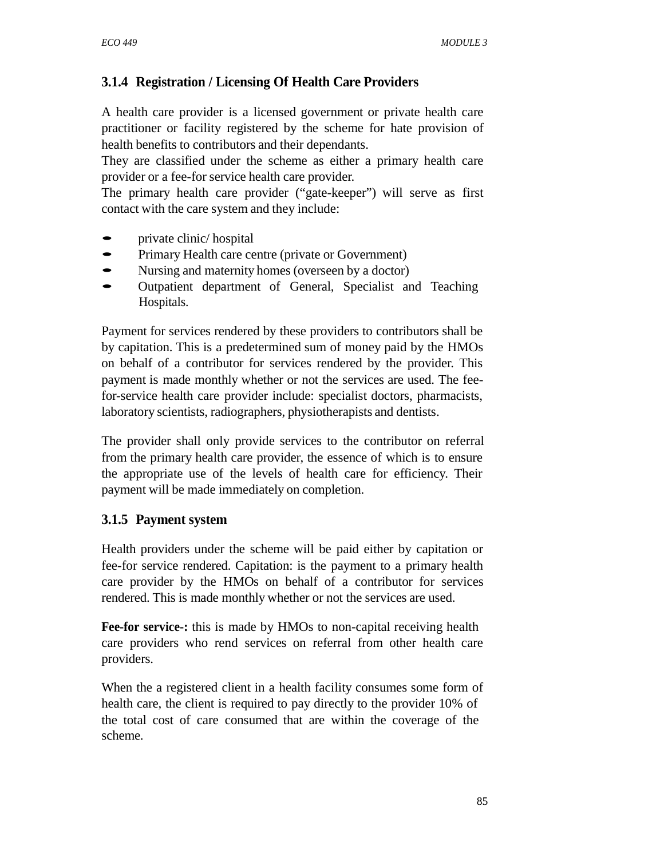# **3.1.4 Registration / Licensing Of Health Care Providers**

A health care provider is a licensed government or private health care practitioner or facility registered by the scheme for hate provision of health benefits to contributors and their dependants.

They are classified under the scheme as either a primary health care provider or a fee-for service health care provider.

The primary health care provider ("gate-keeper") will serve as first contact with the care system and they include:

- private clinic/ hospital
- Primary Health care centre (private or Government)<br>• Nursing and maternity homes (overseen by a doctor)
- Nursing and maternity homes (overseen by a doctor)<br>• Cutpatient department of General Specialist and
- Outpatient department of General, Specialist and Teaching Hospitals.

Payment for services rendered by these providers to contributors shall be by capitation. This is a predetermined sum of money paid by the HMOs on behalf of a contributor for services rendered by the provider. This payment is made monthly whether or not the services are used. The feefor-service health care provider include: specialist doctors, pharmacists, laboratory scientists, radiographers, physiotherapists and dentists.

The provider shall only provide services to the contributor on referral from the primary health care provider, the essence of which is to ensure the appropriate use of the levels of health care for efficiency. Their payment will be made immediately on completion.

## **3.1.5 Payment system**

Health providers under the scheme will be paid either by capitation or fee-for service rendered. Capitation: is the payment to a primary health care provider by the HMOs on behalf of a contributor for services rendered. This is made monthly whether or not the services are used.

**Fee-for service-:** this is made by HMOs to non-capital receiving health care providers who rend services on referral from other health care providers.

When the a registered client in a health facility consumes some form of health care, the client is required to pay directly to the provider 10% of the total cost of care consumed that are within the coverage of the scheme.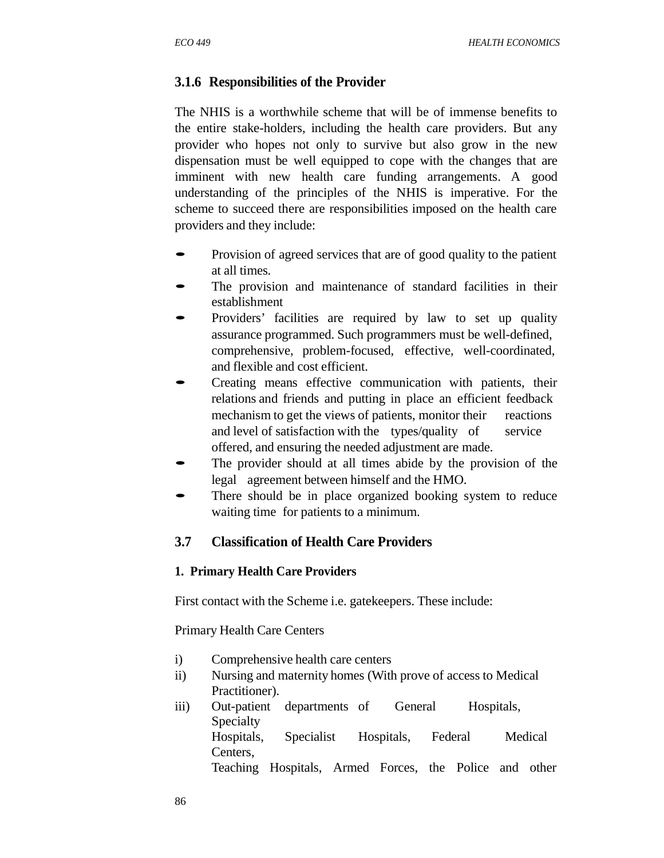## **3.1.6 Responsibilities of the Provider**

The NHIS is a worthwhile scheme that will be of immense benefits to the entire stake-holders, including the health care providers. But any provider who hopes not only to survive but also grow in the new dispensation must be well equipped to cope with the changes that are imminent with new health care funding arrangements. A good understanding of the principles of the NHIS is imperative. For the scheme to succeed there are responsibilities imposed on the health care providers and they include:

- Provision of agreed services that are of good quality to the patient at all times.
- The provision and maintenance of standard facilities in their establishment
- Providers' facilities are required by law to set up quality assurance programmed. Such programmers must be well-defined, comprehensive, problem-focused, effective, well-coordinated, and flexible and cost efficient.
- Creating means effective communication with patients, their relations and friends and putting in place an efficient feedback mechanism to get the views of patients, monitor their reactions and level of satisfaction with the types/quality of service offered, and ensuring the needed adjustment are made.
- The provider should at all times abide by the provision of the legal agreement between himself and the HMO.
- There should be in place organized booking system to reduce waiting time for patients to a minimum.

## **3.7 Classification of Health Care Providers**

#### **1. Primary Health Care Providers**

First contact with the Scheme i.e. gatekeepers. These include:

Primary Health Care Centers

- i) Comprehensive health care centers
- ii) Nursing and maternity homes (With prove of access to Medical Practitioner).
- iii) Out-patient departments of General Hospitals, Specialty Hospitals, Specialist Hospitals, Federal Medical Centers, Teaching Hospitals, Armed Forces, the Police and other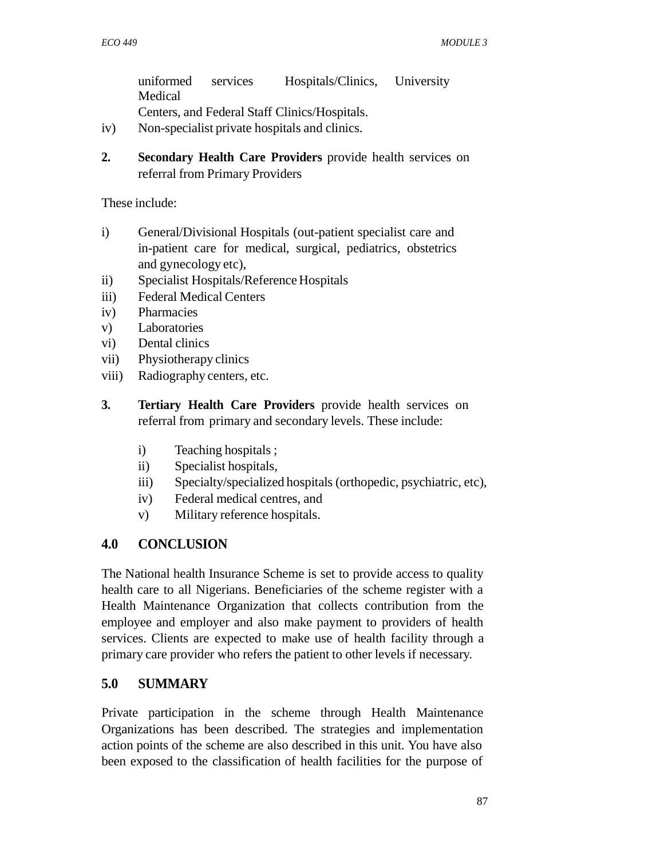uniformed services Hospitals/Clinics, University Medical Centers, and Federal Staff Clinics/Hospitals.

- iv) Non-specialist private hospitals and clinics.
- **2. Secondary Health Care Providers** provide health services on referral from Primary Providers

These include:

- i) General/Divisional Hospitals (out-patient specialist care and in-patient care for medical, surgical, pediatrics, obstetrics and gynecology etc),
- ii) Specialist Hospitals/Reference Hospitals
- iii) Federal Medical Centers
- iv) Pharmacies
- v) Laboratories
- vi) Dental clinics
- vii) Physiotherapy clinics
- viii) Radiography centers, etc.
- **3. Tertiary Health Care Providers** provide health services on referral from primary and secondary levels. These include:
	- i) Teaching hospitals ;
	- ii) Specialist hospitals,
	- iii) Specialty/specialized hospitals (orthopedic, psychiatric, etc),
	- iv) Federal medical centres, and
	- v) Military reference hospitals.

## **4.0 CONCLUSION**

The National health Insurance Scheme is set to provide access to quality health care to all Nigerians. Beneficiaries of the scheme register with a Health Maintenance Organization that collects contribution from the employee and employer and also make payment to providers of health services. Clients are expected to make use of health facility through a primary care provider who refers the patient to other levels if necessary.

## **5.0 SUMMARY**

Private participation in the scheme through Health Maintenance Organizations has been described. The strategies and implementation action points of the scheme are also described in this unit. You have also been exposed to the classification of health facilities for the purpose of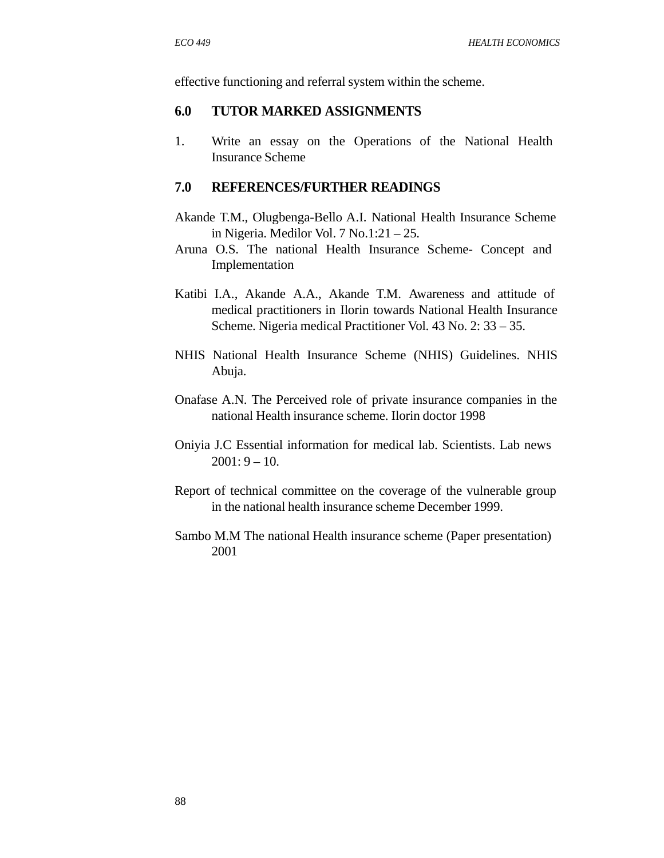effective functioning and referral system within the scheme.

#### **6.0 TUTOR MARKED ASSIGNMENTS**

1. Write an essay on the Operations of the National Health Insurance Scheme

#### **7.0 REFERENCES/FURTHER READINGS**

- Akande T.M., Olugbenga-Bello A.I. National Health Insurance Scheme in Nigeria. Medilor Vol. 7 No.1:21 – 25.
- Aruna O.S. The national Health Insurance Scheme- Concept and Implementation
- Katibi I.A., Akande A.A., Akande T.M. Awareness and attitude of medical practitioners in Ilorin towards National Health Insurance Scheme. Nigeria medical Practitioner Vol. 43 No. 2: 33 – 35.
- NHIS National Health Insurance Scheme (NHIS) Guidelines. NHIS Abuja.
- Onafase A.N. The Perceived role of private insurance companies in the national Health insurance scheme. Ilorin doctor 1998
- Oniyia J.C Essential information for medical lab. Scientists. Lab news  $2001:9 - 10.$
- Report of technical committee on the coverage of the vulnerable group in the national health insurance scheme December 1999.
- Sambo M.M The national Health insurance scheme (Paper presentation) 2001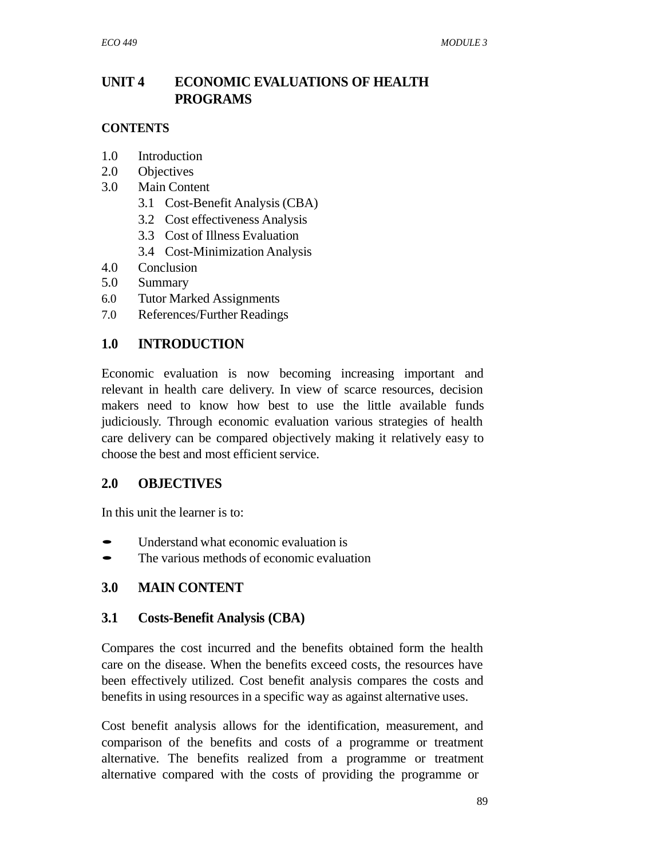# **UNIT 4 ECONOMIC EVALUATIONS OF HEALTH PROGRAMS**

## **CONTENTS**

- 1.0 Introduction
- 2.0 Objectives
- 3.0 Main Content
	- 3.1 Cost-Benefit Analysis (CBA)
	- 3.2 Cost effectiveness Analysis
	- 3.3 Cost of Illness Evaluation
	- 3.4 Cost-Minimization Analysis
- 4.0 Conclusion
- 5.0 Summary
- 6.0 Tutor Marked Assignments
- 7.0 References/Further Readings

## **1.0 INTRODUCTION**

Economic evaluation is now becoming increasing important and relevant in health care delivery. In view of scarce resources, decision makers need to know how best to use the little available funds judiciously. Through economic evaluation various strategies of health care delivery can be compared objectively making it relatively easy to choose the best and most efficient service.

## **2.0 OBJECTIVES**

In this unit the learner is to:

- Understand what economic evaluation is<br>
 The various methods of economic evaluation
- The various methods of economic evaluation

## **3.0 MAIN CONTENT**

## **3.1 Costs-Benefit Analysis (CBA)**

Compares the cost incurred and the benefits obtained form the health care on the disease. When the benefits exceed costs, the resources have been effectively utilized. Cost benefit analysis compares the costs and benefits in using resources in a specific way as against alternative uses.

Cost benefit analysis allows for the identification, measurement, and comparison of the benefits and costs of a programme or treatment alternative. The benefits realized from a programme or treatment alternative compared with the costs of providing the programme or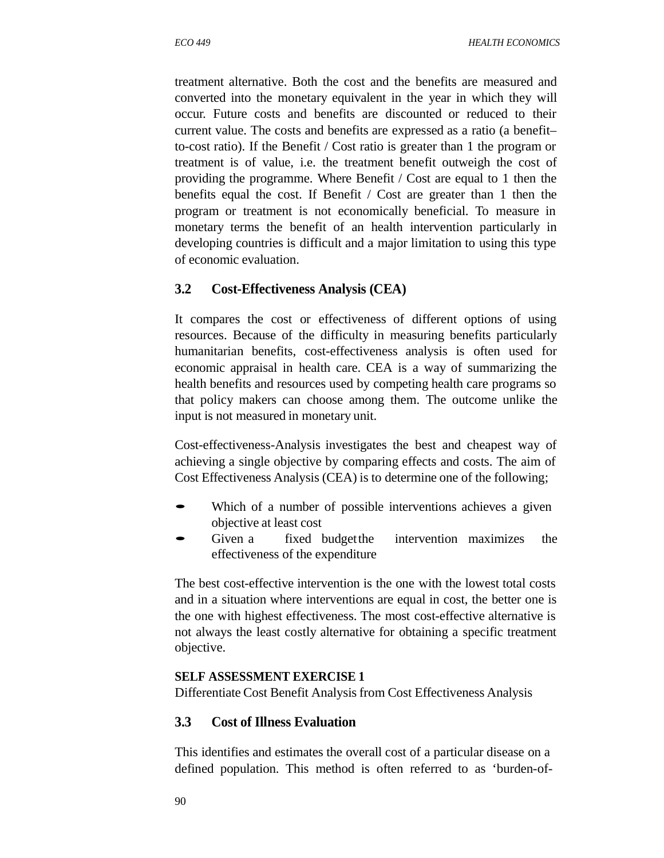treatment alternative. Both the cost and the benefits are measured and converted into the monetary equivalent in the year in which they will occur. Future costs and benefits are discounted or reduced to their current value. The costs and benefits are expressed as a ratio (a benefit– to-cost ratio). If the Benefit / Cost ratio is greater than 1 the program or treatment is of value, i.e. the treatment benefit outweigh the cost of providing the programme. Where Benefit / Cost are equal to 1 then the benefits equal the cost. If Benefit / Cost are greater than 1 then the program or treatment is not economically beneficial. To measure in monetary terms the benefit of an health intervention particularly in developing countries is difficult and a major limitation to using this type of economic evaluation.

## **3.2 Cost-Effectiveness Analysis (CEA)**

It compares the cost or effectiveness of different options of using resources. Because of the difficulty in measuring benefits particularly humanitarian benefits, cost-effectiveness analysis is often used for economic appraisal in health care. CEA is a way of summarizing the health benefits and resources used by competing health care programs so that policy makers can choose among them. The outcome unlike the input is not measured in monetary unit.

Cost-effectiveness-Analysis investigates the best and cheapest way of achieving a single objective by comparing effects and costs. The aim of Cost Effectiveness Analysis (CEA) is to determine one of the following;

- Which of a number of possible interventions achieves a given objective at least cost
- Given a fixed budget the intervention maximizes the effectiveness of the expenditure

The best cost-effective intervention is the one with the lowest total costs and in a situation where interventions are equal in cost, the better one is the one with highest effectiveness. The most cost-effective alternative is not always the least costly alternative for obtaining a specific treatment objective.

## **SELF ASSESSMENT EXERCISE 1**

Differentiate Cost Benefit Analysis from Cost Effectiveness Analysis

## **3.3 Cost of Illness Evaluation**

This identifies and estimates the overall cost of a particular disease on a defined population. This method is often referred to as 'burden-of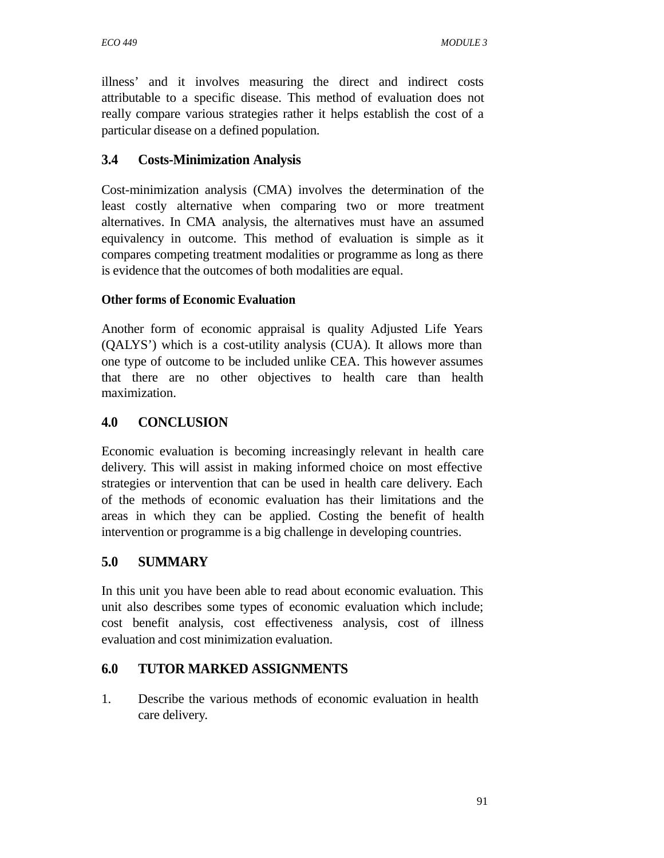illness' and it involves measuring the direct and indirect costs attributable to a specific disease. This method of evaluation does not really compare various strategies rather it helps establish the cost of a particular disease on a defined population.

## **3.4 Costs-Minimization Analysis**

Cost-minimization analysis (CMA) involves the determination of the least costly alternative when comparing two or more treatment alternatives. In CMA analysis, the alternatives must have an assumed equivalency in outcome. This method of evaluation is simple as it compares competing treatment modalities or programme as long as there is evidence that the outcomes of both modalities are equal.

## **Other forms of Economic Evaluation**

Another form of economic appraisal is quality Adjusted Life Years (QALYS') which is a cost-utility analysis (CUA). It allows more than one type of outcome to be included unlike CEA. This however assumes that there are no other objectives to health care than health maximization.

## **4.0 CONCLUSION**

Economic evaluation is becoming increasingly relevant in health care delivery. This will assist in making informed choice on most effective strategies or intervention that can be used in health care delivery. Each of the methods of economic evaluation has their limitations and the areas in which they can be applied. Costing the benefit of health intervention or programme is a big challenge in developing countries.

## **5.0 SUMMARY**

In this unit you have been able to read about economic evaluation. This unit also describes some types of economic evaluation which include; cost benefit analysis, cost effectiveness analysis, cost of illness evaluation and cost minimization evaluation.

## **6.0 TUTOR MARKED ASSIGNMENTS**

1. Describe the various methods of economic evaluation in health care delivery.